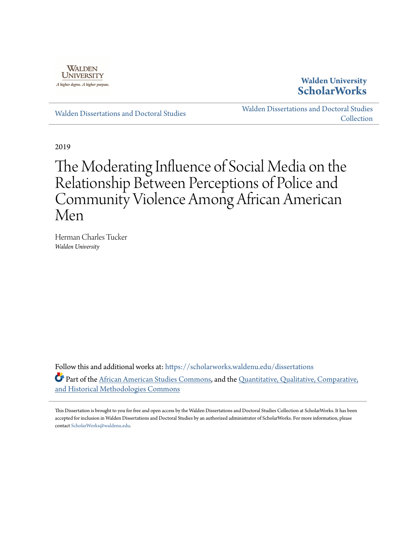

### **Walden University [ScholarWorks](https://scholarworks.waldenu.edu?utm_source=scholarworks.waldenu.edu%2Fdissertations%2F7205&utm_medium=PDF&utm_campaign=PDFCoverPages)**

[Walden Dissertations and Doctoral Studies](https://scholarworks.waldenu.edu/dissertations?utm_source=scholarworks.waldenu.edu%2Fdissertations%2F7205&utm_medium=PDF&utm_campaign=PDFCoverPages)

[Walden Dissertations and Doctoral Studies](https://scholarworks.waldenu.edu/dissanddoc?utm_source=scholarworks.waldenu.edu%2Fdissertations%2F7205&utm_medium=PDF&utm_campaign=PDFCoverPages) **[Collection](https://scholarworks.waldenu.edu/dissanddoc?utm_source=scholarworks.waldenu.edu%2Fdissertations%2F7205&utm_medium=PDF&utm_campaign=PDFCoverPages)** 

2019

# The Moderating Influence of Social Media on the Relationship Between Perceptions of Police and Community Violence Among African American Men

Herman Charles Tucker *Walden University*

Follow this and additional works at: [https://scholarworks.waldenu.edu/dissertations](https://scholarworks.waldenu.edu/dissertations?utm_source=scholarworks.waldenu.edu%2Fdissertations%2F7205&utm_medium=PDF&utm_campaign=PDFCoverPages) Part of the [African American Studies Commons,](http://network.bepress.com/hgg/discipline/567?utm_source=scholarworks.waldenu.edu%2Fdissertations%2F7205&utm_medium=PDF&utm_campaign=PDFCoverPages) and the [Quantitative, Qualitative, Comparative,](http://network.bepress.com/hgg/discipline/423?utm_source=scholarworks.waldenu.edu%2Fdissertations%2F7205&utm_medium=PDF&utm_campaign=PDFCoverPages) [and Historical Methodologies Commons](http://network.bepress.com/hgg/discipline/423?utm_source=scholarworks.waldenu.edu%2Fdissertations%2F7205&utm_medium=PDF&utm_campaign=PDFCoverPages)

This Dissertation is brought to you for free and open access by the Walden Dissertations and Doctoral Studies Collection at ScholarWorks. It has been accepted for inclusion in Walden Dissertations and Doctoral Studies by an authorized administrator of ScholarWorks. For more information, please contact [ScholarWorks@waldenu.edu](mailto:ScholarWorks@waldenu.edu).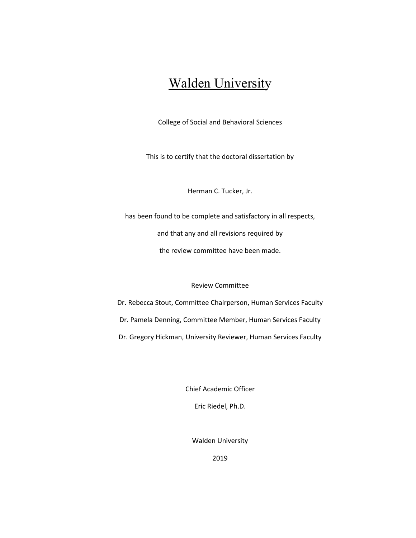## Walden University

College of Social and Behavioral Sciences

This is to certify that the doctoral dissertation by

Herman C. Tucker, Jr.

has been found to be complete and satisfactory in all respects,

and that any and all revisions required by

the review committee have been made.

Review Committee

Dr. Rebecca Stout, Committee Chairperson, Human Services Faculty Dr. Pamela Denning, Committee Member, Human Services Faculty Dr. Gregory Hickman, University Reviewer, Human Services Faculty

Chief Academic Officer

Eric Riedel, Ph.D.

Walden University

2019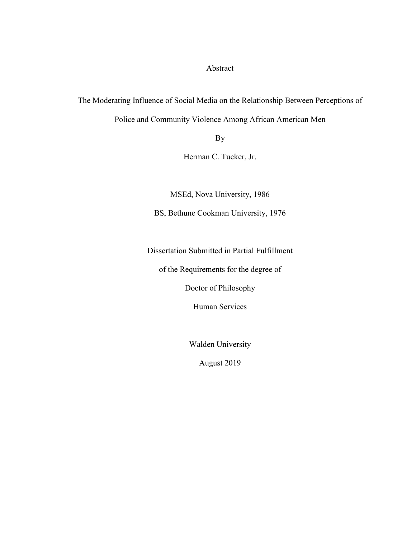Abstract

The Moderating Influence of Social Media on the Relationship Between Perceptions of

Police and Community Violence Among African American Men

By

Herman C. Tucker, Jr.

MSEd, Nova University, 1986

BS, Bethune Cookman University, 1976

Dissertation Submitted in Partial Fulfillment

of the Requirements for the degree of

Doctor of Philosophy

Human Services

Walden University

August 2019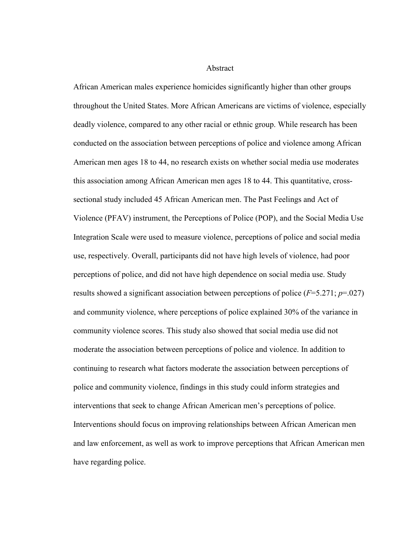Abstract

African American males experience homicides significantly higher than other groups throughout the United States. More African Americans are victims of violence, especially deadly violence, compared to any other racial or ethnic group. While research has been conducted on the association between perceptions of police and violence among African American men ages 18 to 44, no research exists on whether social media use moderates this association among African American men ages 18 to 44. This quantitative, crosssectional study included 45 African American men. The Past Feelings and Act of Violence (PFAV) instrument, the Perceptions of Police (POP), and the Social Media Use Integration Scale were used to measure violence, perceptions of police and social media use, respectively. Overall, participants did not have high levels of violence, had poor perceptions of police, and did not have high dependence on social media use. Study results showed a significant association between perceptions of police (*F*=5.271; *p*=.027) and community violence, where perceptions of police explained 30% of the variance in community violence scores. This study also showed that social media use did not moderate the association between perceptions of police and violence. In addition to continuing to research what factors moderate the association between perceptions of police and community violence, findings in this study could inform strategies and interventions that seek to change African American men's perceptions of police. Interventions should focus on improving relationships between African American men and law enforcement, as well as work to improve perceptions that African American men have regarding police.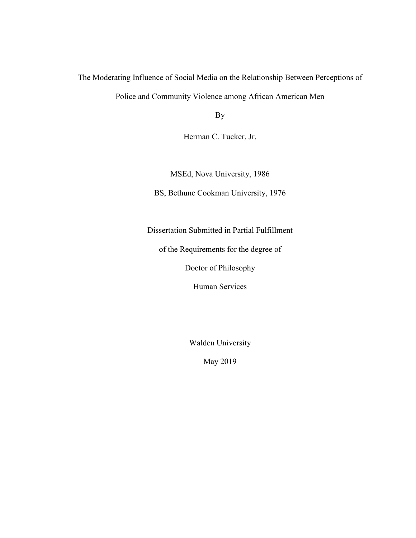The Moderating Influence of Social Media on the Relationship Between Perceptions of Police and Community Violence among African American Men

By

Herman C. Tucker, Jr.

MSEd, Nova University, 1986

BS, Bethune Cookman University, 1976

Dissertation Submitted in Partial Fulfillment

of the Requirements for the degree of

Doctor of Philosophy

Human Services

Walden University

May 2019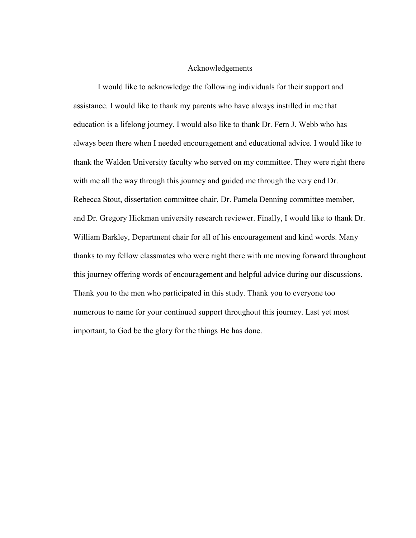#### Acknowledgements

 I would like to acknowledge the following individuals for their support and assistance. I would like to thank my parents who have always instilled in me that education is a lifelong journey. I would also like to thank Dr. Fern J. Webb who has always been there when I needed encouragement and educational advice. I would like to thank the Walden University faculty who served on my committee. They were right there with me all the way through this journey and guided me through the very end Dr. Rebecca Stout, dissertation committee chair, Dr. Pamela Denning committee member, and Dr. Gregory Hickman university research reviewer. Finally, I would like to thank Dr. William Barkley, Department chair for all of his encouragement and kind words. Many thanks to my fellow classmates who were right there with me moving forward throughout this journey offering words of encouragement and helpful advice during our discussions. Thank you to the men who participated in this study. Thank you to everyone too numerous to name for your continued support throughout this journey. Last yet most important, to God be the glory for the things He has done.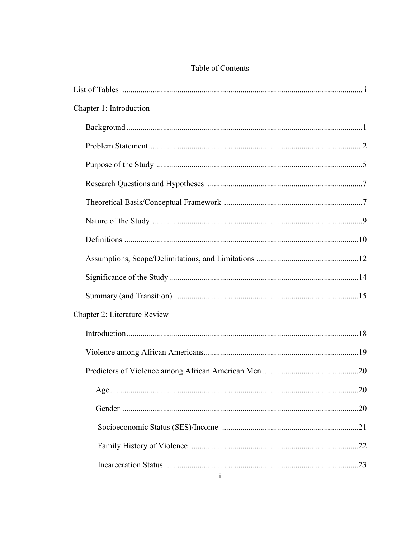| Table of Contents |  |
|-------------------|--|
|-------------------|--|

| Chapter 1: Introduction             |
|-------------------------------------|
|                                     |
|                                     |
|                                     |
|                                     |
|                                     |
|                                     |
|                                     |
|                                     |
|                                     |
|                                     |
| <b>Chapter 2: Literature Review</b> |
|                                     |
|                                     |
|                                     |
|                                     |
|                                     |
|                                     |
|                                     |
|                                     |
| $\mathbf{1}$                        |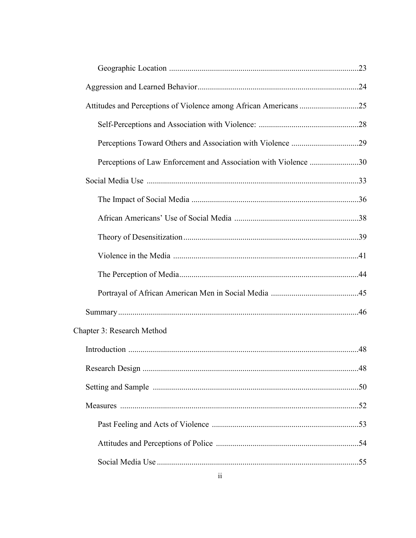| Perceptions of Law Enforcement and Association with Violence 30 |  |
|-----------------------------------------------------------------|--|
|                                                                 |  |
|                                                                 |  |
|                                                                 |  |
|                                                                 |  |
|                                                                 |  |
|                                                                 |  |
|                                                                 |  |
|                                                                 |  |
| Chapter 3: Research Method                                      |  |
|                                                                 |  |
|                                                                 |  |
|                                                                 |  |
|                                                                 |  |
|                                                                 |  |
|                                                                 |  |
|                                                                 |  |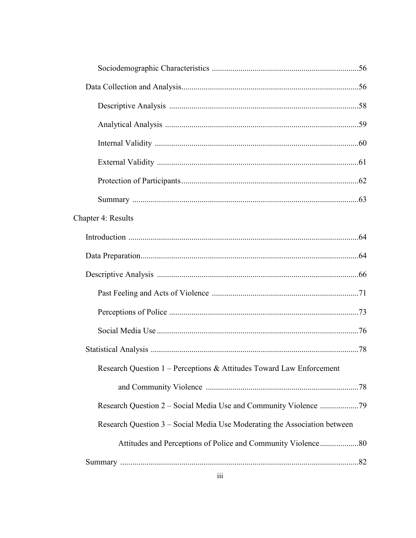| Chapter 4: Results                                                        |  |
|---------------------------------------------------------------------------|--|
|                                                                           |  |
|                                                                           |  |
|                                                                           |  |
|                                                                           |  |
|                                                                           |  |
|                                                                           |  |
|                                                                           |  |
| Research Question 1 – Perceptions & Attitudes Toward Law Enforcement      |  |
|                                                                           |  |
|                                                                           |  |
| Research Question 3 – Social Media Use Moderating the Association between |  |
|                                                                           |  |
|                                                                           |  |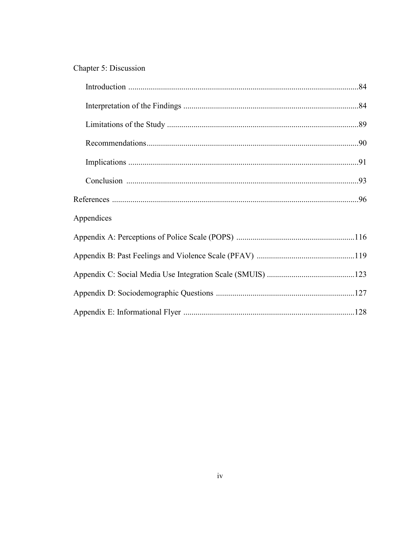### Chapter 5: Discussion

| Appendices |  |
|------------|--|
|            |  |
|            |  |
|            |  |
|            |  |
|            |  |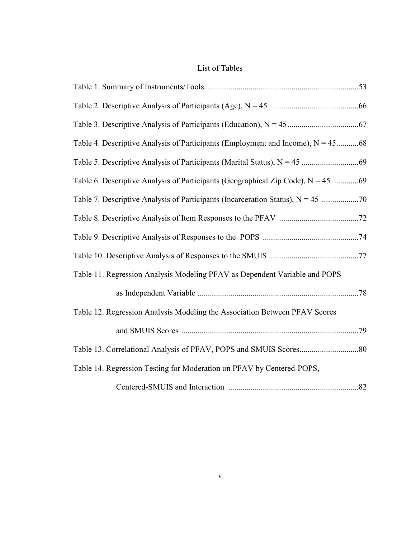### List of Tables

| Table 11. Regression Analysis Modeling PFAV as Dependent Variable and POPS |  |
|----------------------------------------------------------------------------|--|
|                                                                            |  |
| Table 12. Regression Analysis Modeling the Association Between PFAV Scores |  |
|                                                                            |  |
|                                                                            |  |
| Table 14. Regression Testing for Moderation on PFAV by Centered-POPS,      |  |
|                                                                            |  |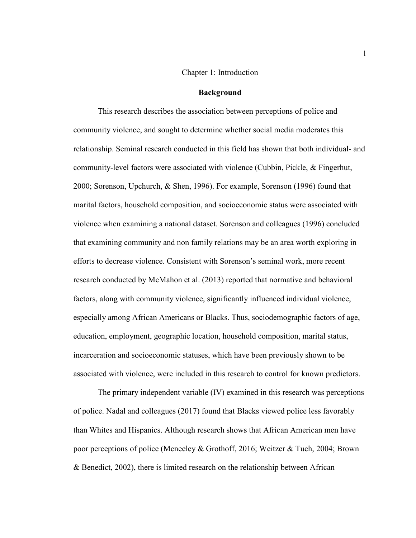#### Chapter 1: Introduction

#### **Background**

This research describes the association between perceptions of police and community violence, and sought to determine whether social media moderates this relationship. Seminal research conducted in this field has shown that both individual- and community-level factors were associated with violence (Cubbin, Pickle, & Fingerhut, 2000; Sorenson, Upchurch, & Shen, 1996). For example, Sorenson (1996) found that marital factors, household composition, and socioeconomic status were associated with violence when examining a national dataset. Sorenson and colleagues (1996) concluded that examining community and non family relations may be an area worth exploring in efforts to decrease violence. Consistent with Sorenson's seminal work, more recent research conducted by McMahon et al. (2013) reported that normative and behavioral factors, along with community violence, significantly influenced individual violence, especially among African Americans or Blacks. Thus, sociodemographic factors of age, education, employment, geographic location, household composition, marital status, incarceration and socioeconomic statuses, which have been previously shown to be associated with violence, were included in this research to control for known predictors.

The primary independent variable (IV) examined in this research was perceptions of police. Nadal and colleagues (2017) found that Blacks viewed police less favorably than Whites and Hispanics. Although research shows that African American men have poor perceptions of police (Mcneeley & Grothoff, 2016; Weitzer & Tuch, 2004; Brown & Benedict, 2002), there is limited research on the relationship between African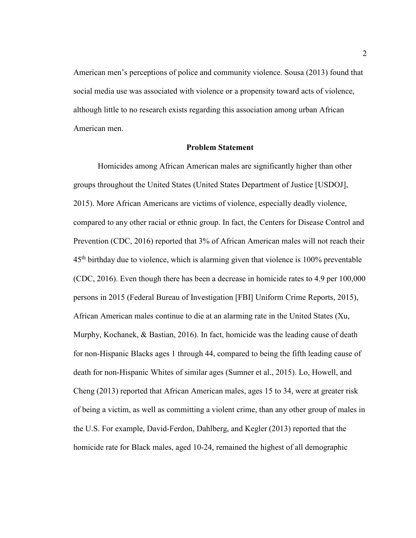American men's perceptions of police and community violence. Sousa (2013) found that social media use was associated with violence or a propensity toward acts of violence, although little to no research exists regarding this association among urban African American men.

#### **Problem Statement**

 Homicides among African American males are significantly higher than other groups throughout the United States (United States Department of Justice [USDOJ], 2015). More African Americans are victims of violence, especially deadly violence, compared to any other racial or ethnic group. In fact, the Centers for Disease Control and Prevention (CDC, 2016) reported that 3% of African American males will not reach their 45th birthday due to violence, which is alarming given that violence is 100% preventable (CDC, 2016). Even though there has been a decrease in homicide rates to 4.9 per 100,000 persons in 2015 (Federal Bureau of Investigation [FBI] Uniform Crime Reports, 2015), African American males continue to die at an alarming rate in the United States (Xu, Murphy, Kochanek, & Bastian, 2016). In fact, homicide was the leading cause of death for non-Hispanic Blacks ages 1 through 44, compared to being the fifth leading cause of death for non-Hispanic Whites of similar ages (Sumner et al., 2015). Lo, Howell, and Cheng (2013) reported that African American males, ages 15 to 34, were at greater risk of being a victim, as well as committing a violent crime, than any other group of males in the U.S. For example, David-Ferdon, Dahlberg, and Kegler (2013) reported that the homicide rate for Black males, aged 10-24, remained the highest of all demographic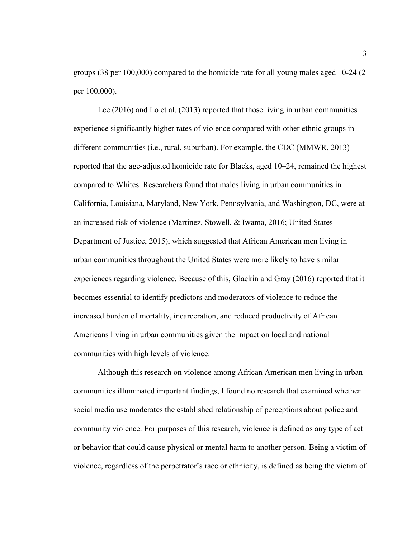groups (38 per 100,000) compared to the homicide rate for all young males aged 10-24 (2 per 100,000).

 Lee (2016) and Lo et al. (2013) reported that those living in urban communities experience significantly higher rates of violence compared with other ethnic groups in different communities (i.e., rural, suburban). For example, the CDC (MMWR, 2013) reported that the age-adjusted homicide rate for Blacks, aged 10–24, remained the highest compared to Whites. Researchers found that males living in urban communities in California, Louisiana, Maryland, New York, Pennsylvania, and Washington, DC, were at an increased risk of violence (Martinez, Stowell, & Iwama, 2016; United States Department of Justice, 2015), which suggested that African American men living in urban communities throughout the United States were more likely to have similar experiences regarding violence. Because of this, Glackin and Gray (2016) reported that it becomes essential to identify predictors and moderators of violence to reduce the increased burden of mortality, incarceration, and reduced productivity of African Americans living in urban communities given the impact on local and national communities with high levels of violence.

Although this research on violence among African American men living in urban communities illuminated important findings, I found no research that examined whether social media use moderates the established relationship of perceptions about police and community violence. For purposes of this research, violence is defined as any type of act or behavior that could cause physical or mental harm to another person. Being a victim of violence, regardless of the perpetrator's race or ethnicity, is defined as being the victim of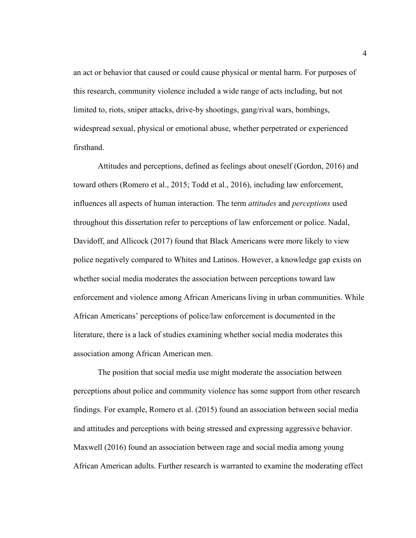an act or behavior that caused or could cause physical or mental harm. For purposes of this research, community violence included a wide range of acts including, but not limited to, riots, sniper attacks, drive-by shootings, gang/rival wars, bombings, widespread sexual, physical or emotional abuse, whether perpetrated or experienced firsthand.

Attitudes and perceptions, defined as feelings about oneself (Gordon, 2016) and toward others (Romero et al., 2015; Todd et al., 2016), including law enforcement, influences all aspects of human interaction. The term *attitudes* and *perceptions* used throughout this dissertation refer to perceptions of law enforcement or police. Nadal, Davidoff, and Allicock (2017) found that Black Americans were more likely to view police negatively compared to Whites and Latinos. However, a knowledge gap exists on whether social media moderates the association between perceptions toward law enforcement and violence among African Americans living in urban communities. While African Americans' perceptions of police/law enforcement is documented in the literature, there is a lack of studies examining whether social media moderates this association among African American men.

The position that social media use might moderate the association between perceptions about police and community violence has some support from other research findings. For example, Romero et al. (2015) found an association between social media and attitudes and perceptions with being stressed and expressing aggressive behavior. Maxwell (2016) found an association between rage and social media among young African American adults. Further research is warranted to examine the moderating effect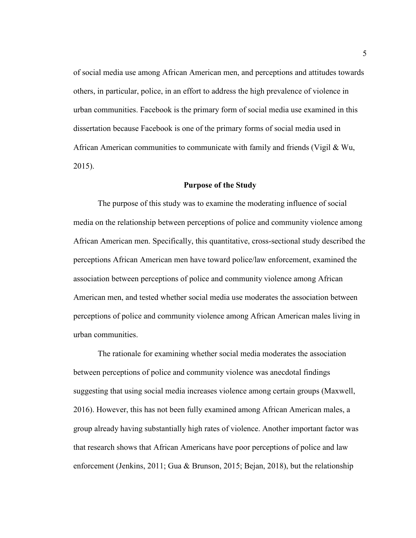of social media use among African American men, and perceptions and attitudes towards others, in particular, police, in an effort to address the high prevalence of violence in urban communities. Facebook is the primary form of social media use examined in this dissertation because Facebook is one of the primary forms of social media used in African American communities to communicate with family and friends (Vigil & Wu, 2015).

#### **Purpose of the Study**

The purpose of this study was to examine the moderating influence of social media on the relationship between perceptions of police and community violence among African American men. Specifically, this quantitative, cross-sectional study described the perceptions African American men have toward police/law enforcement, examined the association between perceptions of police and community violence among African American men, and tested whether social media use moderates the association between perceptions of police and community violence among African American males living in urban communities.

The rationale for examining whether social media moderates the association between perceptions of police and community violence was anecdotal findings suggesting that using social media increases violence among certain groups (Maxwell, 2016). However, this has not been fully examined among African American males, a group already having substantially high rates of violence. Another important factor was that research shows that African Americans have poor perceptions of police and law enforcement (Jenkins, 2011; Gua & Brunson, 2015; Bejan, 2018), but the relationship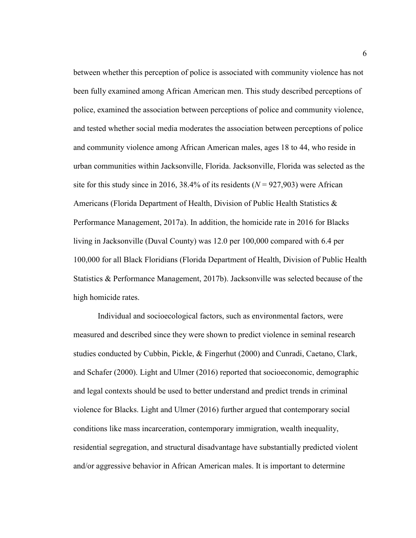between whether this perception of police is associated with community violence has not been fully examined among African American men. This study described perceptions of police, examined the association between perceptions of police and community violence, and tested whether social media moderates the association between perceptions of police and community violence among African American males, ages 18 to 44, who reside in urban communities within Jacksonville, Florida. Jacksonville, Florida was selected as the site for this study since in 2016,  $38.4\%$  of its residents ( $N = 927.903$ ) were African Americans (Florida Department of Health, Division of Public Health Statistics & Performance Management, 2017a). In addition, the homicide rate in 2016 for Blacks living in Jacksonville (Duval County) was 12.0 per 100,000 compared with 6.4 per 100,000 for all Black Floridians (Florida Department of Health, Division of Public Health Statistics & Performance Management, 2017b). Jacksonville was selected because of the high homicide rates.

Individual and socioecological factors, such as environmental factors, were measured and described since they were shown to predict violence in seminal research studies conducted by Cubbin, Pickle, & Fingerhut (2000) and Cunradi, Caetano, Clark, and Schafer (2000). Light and Ulmer (2016) reported that socioeconomic, demographic and legal contexts should be used to better understand and predict trends in criminal violence for Blacks. Light and Ulmer (2016) further argued that contemporary social conditions like mass incarceration, contemporary immigration, wealth inequality, residential segregation, and structural disadvantage have substantially predicted violent and/or aggressive behavior in African American males. It is important to determine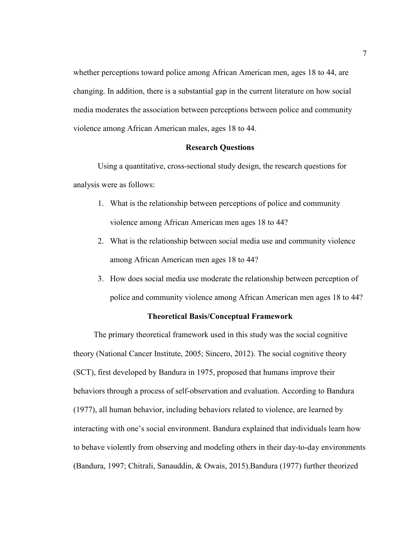whether perceptions toward police among African American men, ages 18 to 44, are changing. In addition, there is a substantial gap in the current literature on how social media moderates the association between perceptions between police and community violence among African American males, ages 18 to 44.

#### **Research Questions**

Using a quantitative, cross-sectional study design, the research questions for analysis were as follows:

- 1. What is the relationship between perceptions of police and community violence among African American men ages 18 to 44?
- 2. What is the relationship between social media use and community violence among African American men ages 18 to 44?
- 3. How does social media use moderate the relationship between perception of police and community violence among African American men ages 18 to 44?

#### **Theoretical Basis/Conceptual Framework**

 The primary theoretical framework used in this study was the social cognitive theory (National Cancer Institute, 2005; Sincero, 2012). The social cognitive theory (SCT), first developed by Bandura in 1975, proposed that humans improve their behaviors through a process of self-observation and evaluation. According to Bandura (1977), all human behavior, including behaviors related to violence, are learned by interacting with one's social environment. Bandura explained that individuals learn how to behave violently from observing and modeling others in their day-to-day environments (Bandura, 1997; Chitrali, Sanauddin, & Owais, 2015).Bandura (1977) further theorized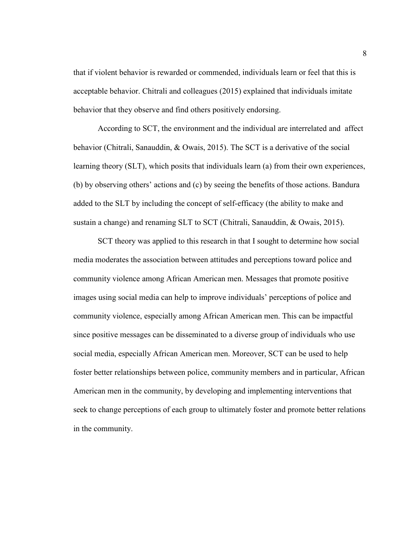that if violent behavior is rewarded or commended, individuals learn or feel that this is acceptable behavior. Chitrali and colleagues (2015) explained that individuals imitate behavior that they observe and find others positively endorsing.

According to SCT, the environment and the individual are interrelated and affect behavior (Chitrali, Sanauddin, & Owais, 2015). The SCT is a derivative of the social learning theory (SLT), which posits that individuals learn (a) from their own experiences, (b) by observing others' actions and (c) by seeing the benefits of those actions. Bandura added to the SLT by including the concept of self-efficacy (the ability to make and sustain a change) and renaming SLT to SCT (Chitrali, Sanauddin, & Owais, 2015).

SCT theory was applied to this research in that I sought to determine how social media moderates the association between attitudes and perceptions toward police and community violence among African American men. Messages that promote positive images using social media can help to improve individuals' perceptions of police and community violence, especially among African American men. This can be impactful since positive messages can be disseminated to a diverse group of individuals who use social media, especially African American men. Moreover, SCT can be used to help foster better relationships between police, community members and in particular, African American men in the community, by developing and implementing interventions that seek to change perceptions of each group to ultimately foster and promote better relations in the community.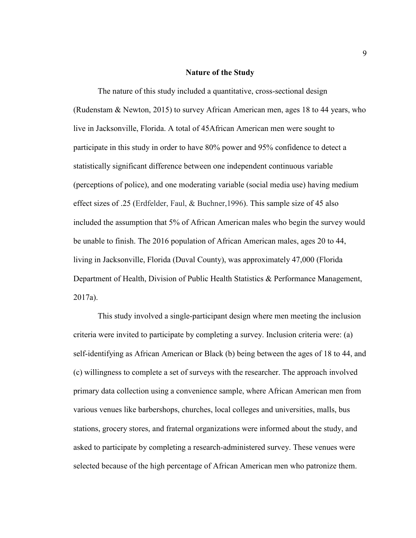#### **Nature of the Study**

The nature of this study included a quantitative, cross-sectional design (Rudenstam & Newton, 2015) to survey African American men, ages 18 to 44 years, who live in Jacksonville, Florida. A total of 45African American men were sought to participate in this study in order to have 80% power and 95% confidence to detect a statistically significant difference between one independent continuous variable (perceptions of police), and one moderating variable (social media use) having medium effect sizes of .25 (Erdfelder, Faul, & Buchner,1996). This sample size of 45 also included the assumption that 5% of African American males who begin the survey would be unable to finish. The 2016 population of African American males, ages 20 to 44, living in Jacksonville, Florida (Duval County), was approximately 47,000 (Florida Department of Health, Division of Public Health Statistics & Performance Management, 2017a).

This study involved a single-participant design where men meeting the inclusion criteria were invited to participate by completing a survey. Inclusion criteria were: (a) self-identifying as African American or Black (b) being between the ages of 18 to 44, and (c) willingness to complete a set of surveys with the researcher. The approach involved primary data collection using a convenience sample, where African American men from various venues like barbershops, churches, local colleges and universities, malls, bus stations, grocery stores, and fraternal organizations were informed about the study, and asked to participate by completing a research-administered survey. These venues were selected because of the high percentage of African American men who patronize them.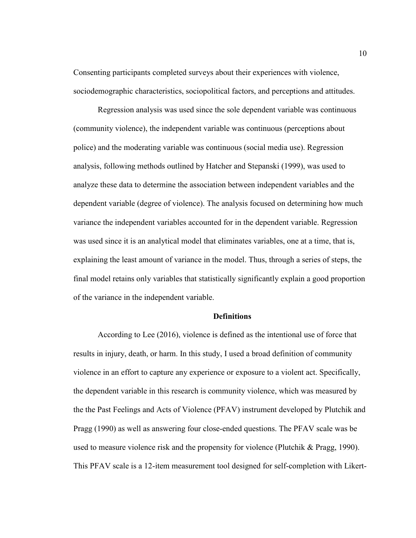Consenting participants completed surveys about their experiences with violence, sociodemographic characteristics, sociopolitical factors, and perceptions and attitudes.

Regression analysis was used since the sole dependent variable was continuous (community violence), the independent variable was continuous (perceptions about police) and the moderating variable was continuous (social media use). Regression analysis, following methods outlined by Hatcher and Stepanski (1999), was used to analyze these data to determine the association between independent variables and the dependent variable (degree of violence). The analysis focused on determining how much variance the independent variables accounted for in the dependent variable. Regression was used since it is an analytical model that eliminates variables, one at a time, that is, explaining the least amount of variance in the model. Thus, through a series of steps, the final model retains only variables that statistically significantly explain a good proportion of the variance in the independent variable.

#### **Definitions**

According to Lee (2016), violence is defined as the intentional use of force that results in injury, death, or harm. In this study, I used a broad definition of community violence in an effort to capture any experience or exposure to a violent act. Specifically, the dependent variable in this research is community violence, which was measured by the the Past Feelings and Acts of Violence (PFAV) instrument developed by Plutchik and Pragg (1990) as well as answering four close-ended questions. The PFAV scale was be used to measure violence risk and the propensity for violence (Plutchik & Pragg, 1990). This PFAV scale is a 12-item measurement tool designed for self-completion with Likert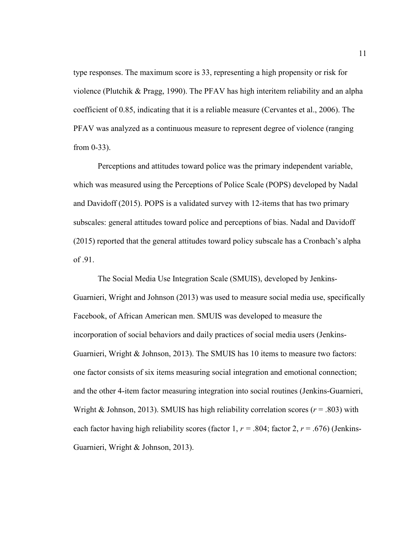type responses. The maximum score is 33, representing a high propensity or risk for violence (Plutchik & Pragg, 1990). The PFAV has high interitem reliability and an alpha coefficient of 0.85, indicating that it is a reliable measure (Cervantes et al., 2006). The PFAV was analyzed as a continuous measure to represent degree of violence (ranging from 0-33).

Perceptions and attitudes toward police was the primary independent variable, which was measured using the Perceptions of Police Scale (POPS) developed by Nadal and Davidoff (2015). POPS is a validated survey with 12-items that has two primary subscales: general attitudes toward police and perceptions of bias. Nadal and Davidoff (2015) reported that the general attitudes toward policy subscale has a Cronbach's alpha of .91.

The Social Media Use Integration Scale (SMUIS), developed by Jenkins-Guarnieri, Wright and Johnson (2013) was used to measure social media use, specifically Facebook, of African American men. SMUIS was developed to measure the incorporation of social behaviors and daily practices of social media users (Jenkins-Guarnieri, Wright & Johnson, 2013). The SMUIS has 10 items to measure two factors: one factor consists of six items measuring social integration and emotional connection; and the other 4-item factor measuring integration into social routines (Jenkins-Guarnieri, Wright & Johnson, 2013). SMUIS has high reliability correlation scores  $(r = .803)$  with each factor having high reliability scores (factor 1,  $r = .804$ ; factor 2,  $r = .676$ ) (Jenkins-Guarnieri, Wright & Johnson, 2013).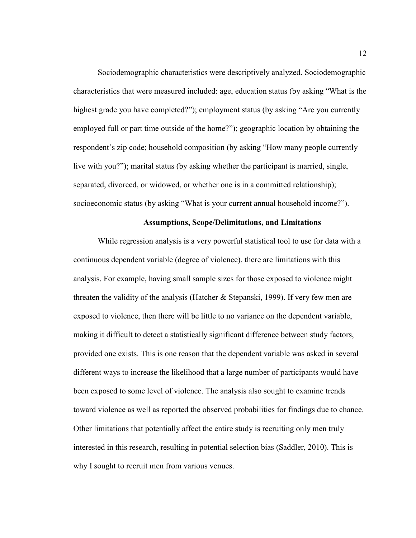Sociodemographic characteristics were descriptively analyzed. Sociodemographic characteristics that were measured included: age, education status (by asking "What is the highest grade you have completed?"); employment status (by asking "Are you currently employed full or part time outside of the home?"); geographic location by obtaining the respondent's zip code; household composition (by asking "How many people currently live with you?"); marital status (by asking whether the participant is married, single, separated, divorced, or widowed, or whether one is in a committed relationship); socioeconomic status (by asking "What is your current annual household income?").

#### **Assumptions, Scope/Delimitations, and Limitations**

While regression analysis is a very powerful statistical tool to use for data with a continuous dependent variable (degree of violence), there are limitations with this analysis. For example, having small sample sizes for those exposed to violence might threaten the validity of the analysis (Hatcher & Stepanski, 1999). If very few men are exposed to violence, then there will be little to no variance on the dependent variable, making it difficult to detect a statistically significant difference between study factors, provided one exists. This is one reason that the dependent variable was asked in several different ways to increase the likelihood that a large number of participants would have been exposed to some level of violence. The analysis also sought to examine trends toward violence as well as reported the observed probabilities for findings due to chance. Other limitations that potentially affect the entire study is recruiting only men truly interested in this research, resulting in potential selection bias (Saddler, 2010). This is why I sought to recruit men from various venues.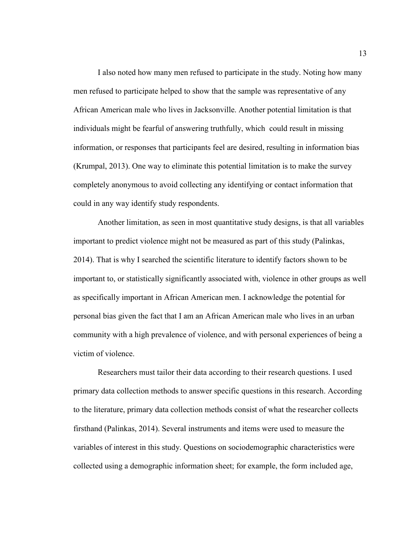I also noted how many men refused to participate in the study. Noting how many men refused to participate helped to show that the sample was representative of any African American male who lives in Jacksonville. Another potential limitation is that individuals might be fearful of answering truthfully, which could result in missing information, or responses that participants feel are desired, resulting in information bias (Krumpal, 2013). One way to eliminate this potential limitation is to make the survey completely anonymous to avoid collecting any identifying or contact information that could in any way identify study respondents.

Another limitation, as seen in most quantitative study designs, is that all variables important to predict violence might not be measured as part of this study (Palinkas, 2014). That is why I searched the scientific literature to identify factors shown to be important to, or statistically significantly associated with, violence in other groups as well as specifically important in African American men. I acknowledge the potential for personal bias given the fact that I am an African American male who lives in an urban community with a high prevalence of violence, and with personal experiences of being a victim of violence.

Researchers must tailor their data according to their research questions. I used primary data collection methods to answer specific questions in this research. According to the literature, primary data collection methods consist of what the researcher collects firsthand (Palinkas, 2014). Several instruments and items were used to measure the variables of interest in this study. Questions on sociodemographic characteristics were collected using a demographic information sheet; for example, the form included age,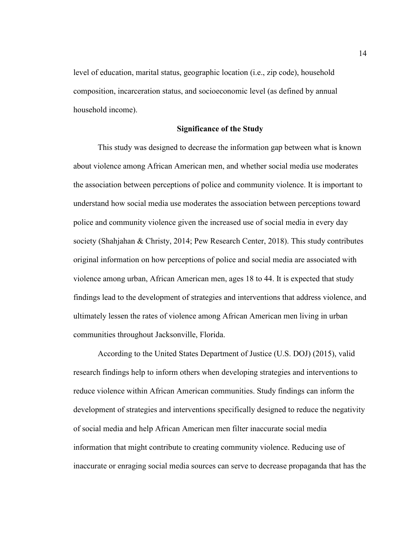level of education, marital status, geographic location (i.e., zip code), household composition, incarceration status, and socioeconomic level (as defined by annual household income).

#### **Significance of the Study**

This study was designed to decrease the information gap between what is known about violence among African American men, and whether social media use moderates the association between perceptions of police and community violence. It is important to understand how social media use moderates the association between perceptions toward police and community violence given the increased use of social media in every day society (Shahjahan & Christy, 2014; Pew Research Center, 2018). This study contributes original information on how perceptions of police and social media are associated with violence among urban, African American men, ages 18 to 44. It is expected that study findings lead to the development of strategies and interventions that address violence, and ultimately lessen the rates of violence among African American men living in urban communities throughout Jacksonville, Florida.

According to the United States Department of Justice (U.S. DOJ) (2015), valid research findings help to inform others when developing strategies and interventions to reduce violence within African American communities. Study findings can inform the development of strategies and interventions specifically designed to reduce the negativity of social media and help African American men filter inaccurate social media information that might contribute to creating community violence. Reducing use of inaccurate or enraging social media sources can serve to decrease propaganda that has the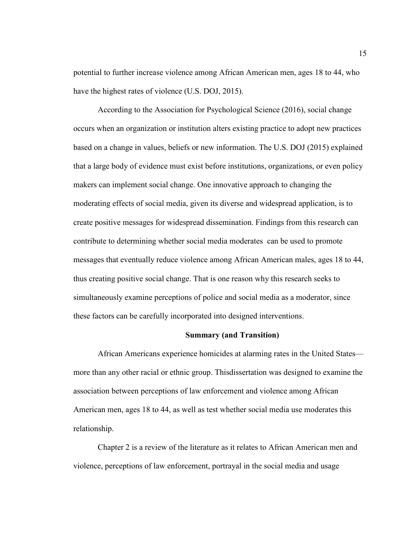potential to further increase violence among African American men, ages 18 to 44, who have the highest rates of violence (U.S. DOJ, 2015).

According to the Association for Psychological Science (2016), social change occurs when an organization or institution alters existing practice to adopt new practices based on a change in values, beliefs or new information. The U.S. DOJ (2015) explained that a large body of evidence must exist before institutions, organizations, or even policy makers can implement social change. One innovative approach to changing the moderating effects of social media, given its diverse and widespread application, is to create positive messages for widespread dissemination. Findings from this research can contribute to determining whether social media moderates can be used to promote messages that eventually reduce violence among African American males, ages 18 to 44, thus creating positive social change. That is one reason why this research seeks to simultaneously examine perceptions of police and social media as a moderator, since these factors can be carefully incorporated into designed interventions.

#### **Summary (and Transition)**

 African Americans experience homicides at alarming rates in the United States more than any other racial or ethnic group. Thisdissertation was designed to examine the association between perceptions of law enforcement and violence among African American men, ages 18 to 44, as well as test whether social media use moderates this relationship.

 Chapter 2 is a review of the literature as it relates to African American men and violence, perceptions of law enforcement, portrayal in the social media and usage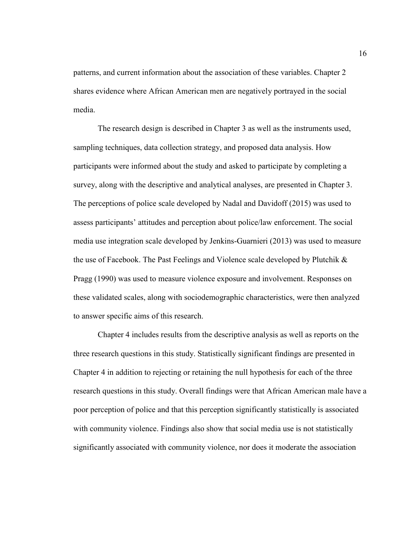patterns, and current information about the association of these variables. Chapter 2 shares evidence where African American men are negatively portrayed in the social media.

The research design is described in Chapter 3 as well as the instruments used, sampling techniques, data collection strategy, and proposed data analysis. How participants were informed about the study and asked to participate by completing a survey, along with the descriptive and analytical analyses, are presented in Chapter 3. The perceptions of police scale developed by Nadal and Davidoff (2015) was used to assess participants' attitudes and perception about police/law enforcement. The social media use integration scale developed by Jenkins-Guarnieri (2013) was used to measure the use of Facebook. The Past Feelings and Violence scale developed by Plutchik  $\&$ Pragg (1990) was used to measure violence exposure and involvement. Responses on these validated scales, along with sociodemographic characteristics, were then analyzed to answer specific aims of this research.

Chapter 4 includes results from the descriptive analysis as well as reports on the three research questions in this study. Statistically significant findings are presented in Chapter 4 in addition to rejecting or retaining the null hypothesis for each of the three research questions in this study. Overall findings were that African American male have a poor perception of police and that this perception significantly statistically is associated with community violence. Findings also show that social media use is not statistically significantly associated with community violence, nor does it moderate the association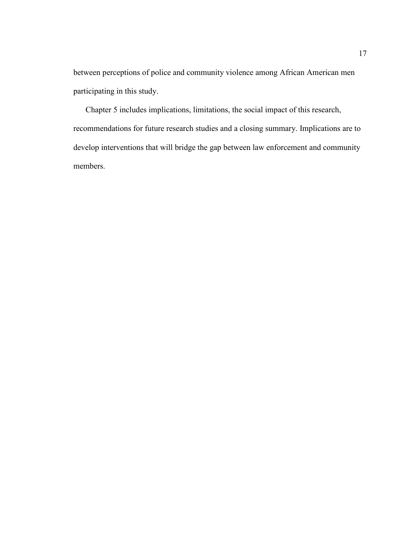between perceptions of police and community violence among African American men participating in this study.

Chapter 5 includes implications, limitations, the social impact of this research, recommendations for future research studies and a closing summary. Implications are to develop interventions that will bridge the gap between law enforcement and community members.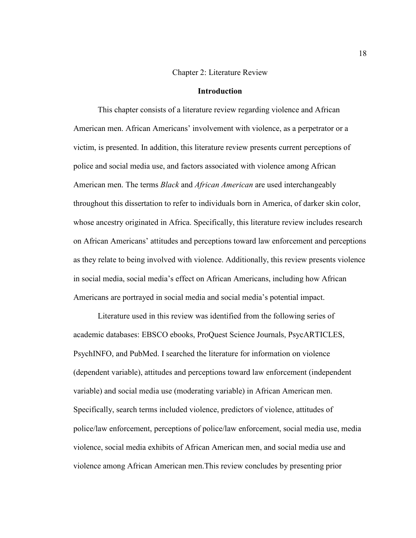#### Chapter 2: Literature Review

#### **Introduction**

This chapter consists of a literature review regarding violence and African American men. African Americans' involvement with violence, as a perpetrator or a victim, is presented. In addition, this literature review presents current perceptions of police and social media use, and factors associated with violence among African American men. The terms *Black* and *African American* are used interchangeably throughout this dissertation to refer to individuals born in America, of darker skin color, whose ancestry originated in Africa. Specifically, this literature review includes research on African Americans' attitudes and perceptions toward law enforcement and perceptions as they relate to being involved with violence. Additionally, this review presents violence in social media, social media's effect on African Americans, including how African Americans are portrayed in social media and social media's potential impact.

Literature used in this review was identified from the following series of academic databases: EBSCO ebooks, ProQuest Science Journals, PsycARTICLES, PsychINFO, and PubMed. I searched the literature for information on violence (dependent variable), attitudes and perceptions toward law enforcement (independent variable) and social media use (moderating variable) in African American men. Specifically, search terms included violence, predictors of violence, attitudes of police/law enforcement, perceptions of police/law enforcement, social media use, media violence, social media exhibits of African American men, and social media use and violence among African American men.This review concludes by presenting prior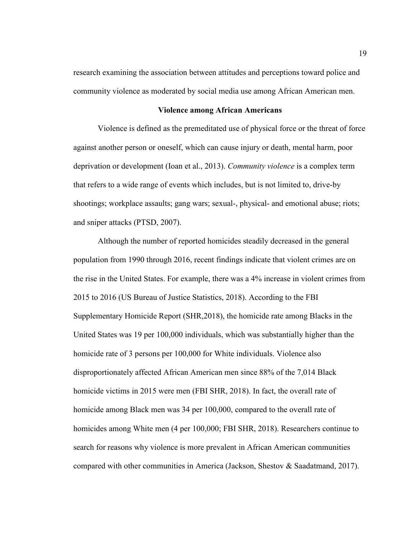research examining the association between attitudes and perceptions toward police and community violence as moderated by social media use among African American men.

#### **Violence among African Americans**

Violence is defined as the premeditated use of physical force or the threat of force against another person or oneself, which can cause injury or death, mental harm, poor deprivation or development (Ioan et al., 2013). *Community violence* is a complex term that refers to a wide range of events which includes, but is not limited to, drive-by shootings; workplace assaults; gang wars; sexual-, physical- and emotional abuse; riots; and sniper attacks (PTSD, 2007).

Although the number of reported homicides steadily decreased in the general population from 1990 through 2016, recent findings indicate that violent crimes are on the rise in the United States. For example, there was a 4% increase in violent crimes from 2015 to 2016 (US Bureau of Justice Statistics, 2018). According to the FBI Supplementary Homicide Report (SHR,2018), the homicide rate among Blacks in the United States was 19 per 100,000 individuals, which was substantially higher than the homicide rate of 3 persons per 100,000 for White individuals. Violence also disproportionately affected African American men since 88% of the 7,014 Black homicide victims in 2015 were men (FBI SHR, 2018). In fact, the overall rate of homicide among Black men was 34 per 100,000, compared to the overall rate of homicides among White men (4 per 100,000; FBI SHR, 2018). Researchers continue to search for reasons why violence is more prevalent in African American communities compared with other communities in America (Jackson, Shestov & Saadatmand, 2017).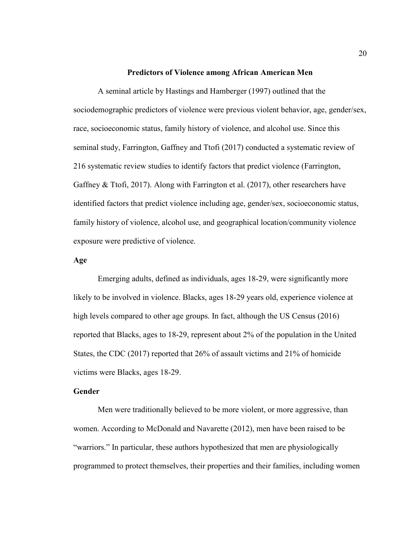#### **Predictors of Violence among African American Men**

A seminal article by Hastings and Hamberger (1997) outlined that the sociodemographic predictors of violence were previous violent behavior, age, gender/sex, race, socioeconomic status, family history of violence, and alcohol use. Since this seminal study, Farrington, Gaffney and Ttofi (2017) conducted a systematic review of 216 systematic review studies to identify factors that predict violence (Farrington, Gaffney & Ttofi, 2017). Along with Farrington et al. (2017), other researchers have identified factors that predict violence including age, gender/sex, socioeconomic status, family history of violence, alcohol use, and geographical location/community violence exposure were predictive of violence.

#### **Age**

 Emerging adults, defined as individuals, ages 18-29, were significantly more likely to be involved in violence. Blacks, ages 18-29 years old, experience violence at high levels compared to other age groups. In fact, although the US Census (2016) reported that Blacks, ages to 18-29, represent about 2% of the population in the United States, the CDC (2017) reported that 26% of assault victims and 21% of homicide victims were Blacks, ages 18-29.

#### **Gender**

Men were traditionally believed to be more violent, or more aggressive, than women. According to McDonald and Navarette (2012), men have been raised to be "warriors." In particular, these authors hypothesized that men are physiologically programmed to protect themselves, their properties and their families, including women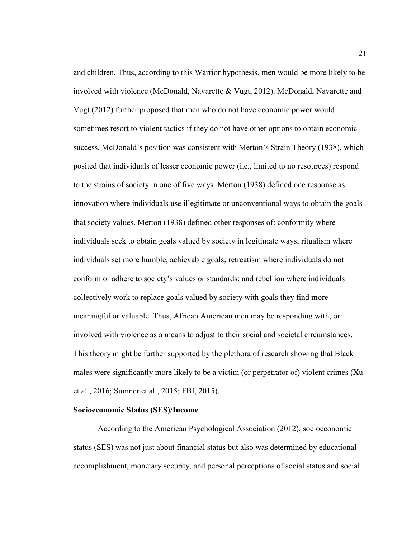and children. Thus, according to this Warrior hypothesis, men would be more likely to be involved with violence (McDonald, Navarette & Vugt, 2012). McDonald, Navarette and Vugt (2012) further proposed that men who do not have economic power would sometimes resort to violent tactics if they do not have other options to obtain economic success. McDonald's position was consistent with Merton's Strain Theory (1938), which posited that individuals of lesser economic power (i.e., limited to no resources) respond to the strains of society in one of five ways. Merton (1938) defined one response as innovation where individuals use illegitimate or unconventional ways to obtain the goals that society values. Merton (1938) defined other responses of: conformity where individuals seek to obtain goals valued by society in legitimate ways; ritualism where individuals set more humble, achievable goals; retreatism where individuals do not conform or adhere to society's values or standards; and rebellion where individuals collectively work to replace goals valued by society with goals they find more meaningful or valuable. Thus, African American men may be responding with, or involved with violence as a means to adjust to their social and societal circumstances. This theory might be further supported by the plethora of research showing that Black males were significantly more likely to be a victim (or perpetrator of) violent crimes (Xu et al., 2016; Sumner et al., 2015; FBI, 2015).

#### **Socioeconomic Status (SES)/Income**

According to the American Psychological Association (2012), socioeconomic status (SES) was not just about financial status but also was determined by educational accomplishment, monetary security, and personal perceptions of social status and social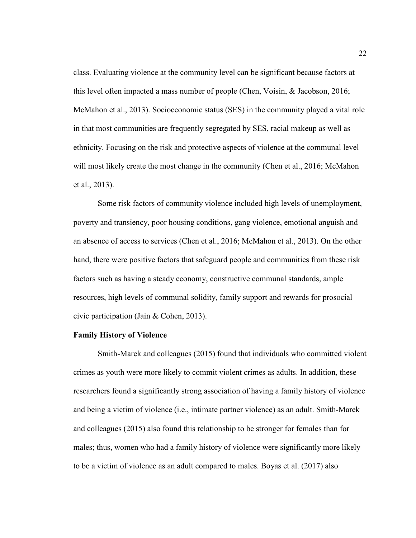class. Evaluating violence at the community level can be significant because factors at this level often impacted a mass number of people (Chen, Voisin, & Jacobson, 2016; McMahon et al., 2013). Socioeconomic status (SES) in the community played a vital role in that most communities are frequently segregated by SES, racial makeup as well as ethnicity. Focusing on the risk and protective aspects of violence at the communal level will most likely create the most change in the community (Chen et al., 2016; McMahon et al., 2013).

Some risk factors of community violence included high levels of unemployment, poverty and transiency, poor housing conditions, gang violence, emotional anguish and an absence of access to services (Chen et al., 2016; McMahon et al., 2013). On the other hand, there were positive factors that safeguard people and communities from these risk factors such as having a steady economy, constructive communal standards, ample resources, high levels of communal solidity, family support and rewards for prosocial civic participation (Jain & Cohen, 2013).

#### **Family History of Violence**

Smith-Marek and colleagues (2015) found that individuals who committed violent crimes as youth were more likely to commit violent crimes as adults. In addition, these researchers found a significantly strong association of having a family history of violence and being a victim of violence (i.e., intimate partner violence) as an adult. Smith-Marek and colleagues (2015) also found this relationship to be stronger for females than for males; thus, women who had a family history of violence were significantly more likely to be a victim of violence as an adult compared to males. Boyas et al. (2017) also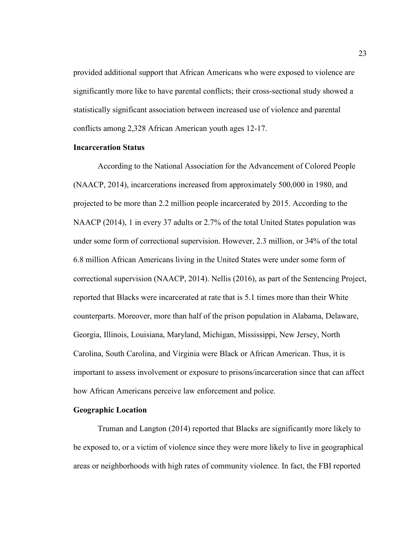provided additional support that African Americans who were exposed to violence are significantly more like to have parental conflicts; their cross-sectional study showed a statistically significant association between increased use of violence and parental conflicts among 2,328 African American youth ages 12-17.

#### **Incarceration Status**

According to the National Association for the Advancement of Colored People (NAACP, 2014), incarcerations increased from approximately 500,000 in 1980, and projected to be more than 2.2 million people incarcerated by 2015. According to the NAACP (2014), 1 in every 37 adults or 2.7% of the total United States population was under some form of correctional supervision. However, 2.3 million, or 34% of the total 6.8 million African Americans living in the United States were under some form of correctional supervision (NAACP, 2014). Nellis (2016), as part of the Sentencing Project, reported that Blacks were incarcerated at rate that is 5.1 times more than their White counterparts. Moreover, more than half of the prison population in Alabama, Delaware, Georgia, Illinois, Louisiana, Maryland, Michigan, Mississippi, New Jersey, North Carolina, South Carolina, and Virginia were Black or African American. Thus, it is important to assess involvement or exposure to prisons/incarceration since that can affect how African Americans perceive law enforcement and police.

#### **Geographic Location**

Truman and Langton (2014) reported that Blacks are significantly more likely to be exposed to, or a victim of violence since they were more likely to live in geographical areas or neighborhoods with high rates of community violence. In fact, the FBI reported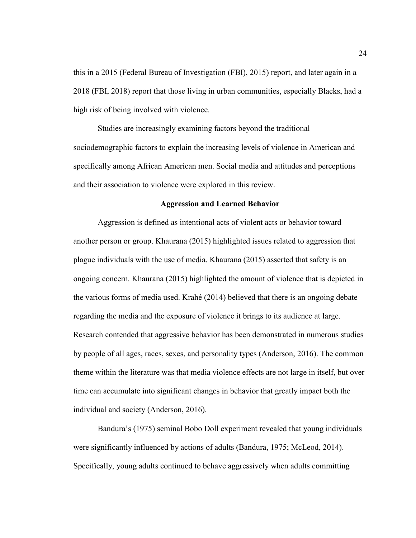this in a 2015 (Federal Bureau of Investigation (FBI), 2015) report, and later again in a 2018 (FBI, 2018) report that those living in urban communities, especially Blacks, had a high risk of being involved with violence.

Studies are increasingly examining factors beyond the traditional sociodemographic factors to explain the increasing levels of violence in American and specifically among African American men. Social media and attitudes and perceptions and their association to violence were explored in this review.

#### **Aggression and Learned Behavior**

Aggression is defined as intentional acts of violent acts or behavior toward another person or group. Khaurana (2015) highlighted issues related to aggression that plague individuals with the use of media. Khaurana (2015) asserted that safety is an ongoing concern. Khaurana (2015) highlighted the amount of violence that is depicted in the various forms of media used. Krahé (2014) believed that there is an ongoing debate regarding the media and the exposure of violence it brings to its audience at large. Research contended that aggressive behavior has been demonstrated in numerous studies by people of all ages, races, sexes, and personality types (Anderson, 2016). The common theme within the literature was that media violence effects are not large in itself, but over time can accumulate into significant changes in behavior that greatly impact both the individual and society (Anderson, 2016).

Bandura's (1975) seminal Bobo Doll experiment revealed that young individuals were significantly influenced by actions of adults (Bandura, 1975; McLeod, 2014). Specifically, young adults continued to behave aggressively when adults committing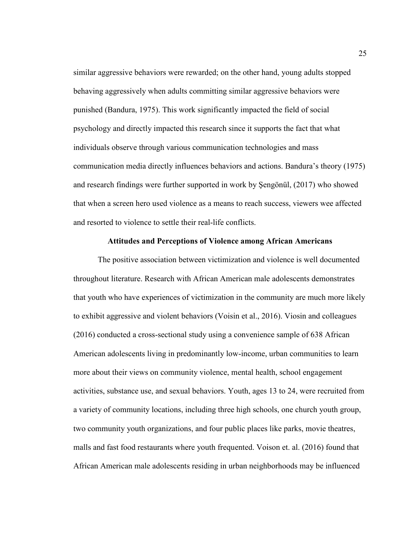similar aggressive behaviors were rewarded; on the other hand, young adults stopped behaving aggressively when adults committing similar aggressive behaviors were punished (Bandura, 1975). This work significantly impacted the field of social psychology and directly impacted this research since it supports the fact that what individuals observe through various communication technologies and mass communication media directly influences behaviors and actions. Bandura's theory (1975) and research findings were further supported in work by Şengönül, (2017) who showed that when a screen hero used violence as a means to reach success, viewers wee affected and resorted to violence to settle their real-life conflicts.

#### **Attitudes and Perceptions of Violence among African Americans**

The positive association between victimization and violence is well documented throughout literature. Research with African American male adolescents demonstrates that youth who have experiences of victimization in the community are much more likely to exhibit aggressive and violent behaviors (Voisin et al., 2016). Viosin and colleagues (2016) conducted a cross-sectional study using a convenience sample of 638 African American adolescents living in predominantly low-income, urban communities to learn more about their views on community violence, mental health, school engagement activities, substance use, and sexual behaviors. Youth, ages 13 to 24, were recruited from a variety of community locations, including three high schools, one church youth group, two community youth organizations, and four public places like parks, movie theatres, malls and fast food restaurants where youth frequented. Voison et. al. (2016) found that African American male adolescents residing in urban neighborhoods may be influenced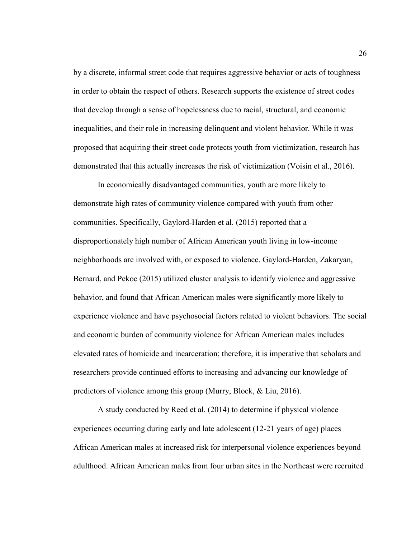by a discrete, informal street code that requires aggressive behavior or acts of toughness in order to obtain the respect of others. Research supports the existence of street codes that develop through a sense of hopelessness due to racial, structural, and economic inequalities, and their role in increasing delinquent and violent behavior. While it was proposed that acquiring their street code protects youth from victimization, research has demonstrated that this actually increases the risk of victimization (Voisin et al., 2016).

In economically disadvantaged communities, youth are more likely to demonstrate high rates of community violence compared with youth from other communities. Specifically, Gaylord-Harden et al. (2015) reported that a disproportionately high number of African American youth living in low-income neighborhoods are involved with, or exposed to violence. Gaylord-Harden, Zakaryan, Bernard, and Pekoc (2015) utilized cluster analysis to identify violence and aggressive behavior, and found that African American males were significantly more likely to experience violence and have psychosocial factors related to violent behaviors. The social and economic burden of community violence for African American males includes elevated rates of homicide and incarceration; therefore, it is imperative that scholars and researchers provide continued efforts to increasing and advancing our knowledge of predictors of violence among this group (Murry, Block, & Liu, 2016).

A study conducted by Reed et al. (2014) to determine if physical violence experiences occurring during early and late adolescent (12-21 years of age) places African American males at increased risk for interpersonal violence experiences beyond adulthood. African American males from four urban sites in the Northeast were recruited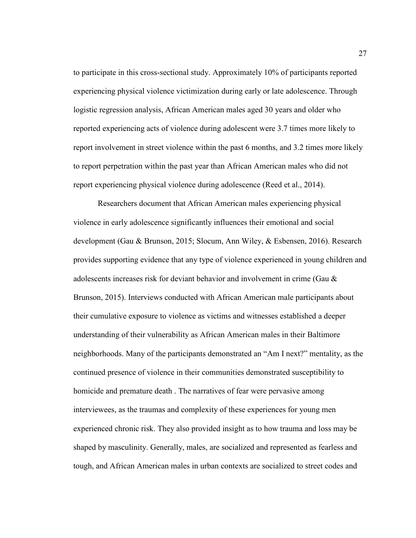to participate in this cross-sectional study. Approximately 10% of participants reported experiencing physical violence victimization during early or late adolescence. Through logistic regression analysis, African American males aged 30 years and older who reported experiencing acts of violence during adolescent were 3.7 times more likely to report involvement in street violence within the past 6 months, and 3.2 times more likely to report perpetration within the past year than African American males who did not report experiencing physical violence during adolescence (Reed et al., 2014).

Researchers document that African American males experiencing physical violence in early adolescence significantly influences their emotional and social development (Gau & Brunson, 2015; Slocum, Ann Wiley, & Esbensen, 2016). Research provides supporting evidence that any type of violence experienced in young children and adolescents increases risk for deviant behavior and involvement in crime (Gau & Brunson, 2015). Interviews conducted with African American male participants about their cumulative exposure to violence as victims and witnesses established a deeper understanding of their vulnerability as African American males in their Baltimore neighborhoods. Many of the participants demonstrated an "Am I next?" mentality, as the continued presence of violence in their communities demonstrated susceptibility to homicide and premature death . The narratives of fear were pervasive among interviewees, as the traumas and complexity of these experiences for young men experienced chronic risk. They also provided insight as to how trauma and loss may be shaped by masculinity. Generally, males, are socialized and represented as fearless and tough, and African American males in urban contexts are socialized to street codes and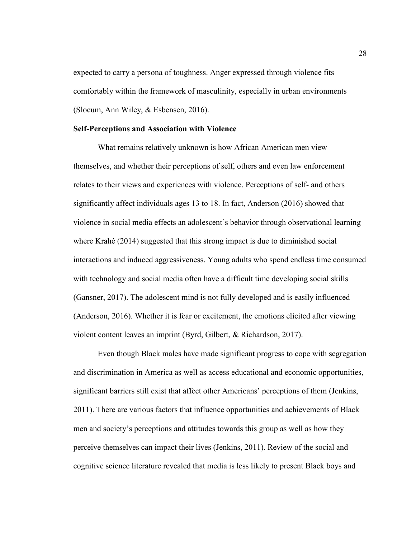expected to carry a persona of toughness. Anger expressed through violence fits comfortably within the framework of masculinity, especially in urban environments (Slocum, Ann Wiley, & Esbensen, 2016).

## **Self-Perceptions and Association with Violence**

What remains relatively unknown is how African American men view themselves, and whether their perceptions of self, others and even law enforcement relates to their views and experiences with violence. Perceptions of self- and others significantly affect individuals ages 13 to 18. In fact, Anderson (2016) showed that violence in social media effects an adolescent's behavior through observational learning where Krahé (2014) suggested that this strong impact is due to diminished social interactions and induced aggressiveness. Young adults who spend endless time consumed with technology and social media often have a difficult time developing social skills (Gansner, 2017). The adolescent mind is not fully developed and is easily influenced (Anderson, 2016). Whether it is fear or excitement, the emotions elicited after viewing violent content leaves an imprint (Byrd, Gilbert, & Richardson, 2017).

Even though Black males have made significant progress to cope with segregation and discrimination in America as well as access educational and economic opportunities, significant barriers still exist that affect other Americans' perceptions of them (Jenkins, 2011). There are various factors that influence opportunities and achievements of Black men and society's perceptions and attitudes towards this group as well as how they perceive themselves can impact their lives (Jenkins, 2011). Review of the social and cognitive science literature revealed that media is less likely to present Black boys and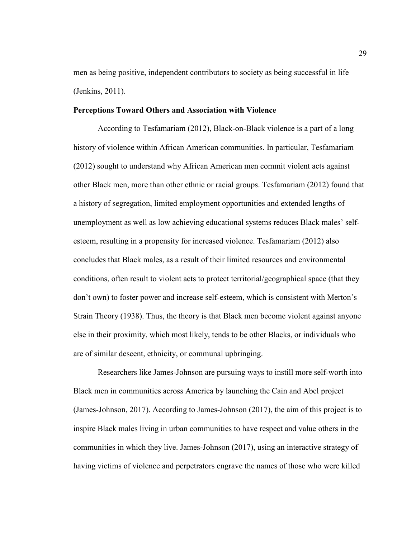men as being positive, independent contributors to society as being successful in life (Jenkins, 2011).

## **Perceptions Toward Others and Association with Violence**

According to Tesfamariam (2012), Black-on-Black violence is a part of a long history of violence within African American communities. In particular, Tesfamariam (2012) sought to understand why African American men commit violent acts against other Black men, more than other ethnic or racial groups. Tesfamariam (2012) found that a history of segregation, limited employment opportunities and extended lengths of unemployment as well as low achieving educational systems reduces Black males' selfesteem, resulting in a propensity for increased violence. Tesfamariam (2012) also concludes that Black males, as a result of their limited resources and environmental conditions, often result to violent acts to protect territorial/geographical space (that they don't own) to foster power and increase self-esteem, which is consistent with Merton's Strain Theory (1938). Thus, the theory is that Black men become violent against anyone else in their proximity, which most likely, tends to be other Blacks, or individuals who are of similar descent, ethnicity, or communal upbringing.

Researchers like James-Johnson are pursuing ways to instill more self-worth into Black men in communities across America by launching the Cain and Abel project (James-Johnson, 2017). According to James-Johnson (2017), the aim of this project is to inspire Black males living in urban communities to have respect and value others in the communities in which they live. James-Johnson (2017), using an interactive strategy of having victims of violence and perpetrators engrave the names of those who were killed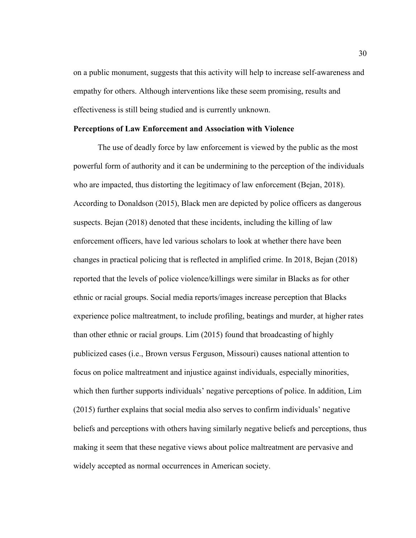on a public monument, suggests that this activity will help to increase self-awareness and empathy for others. Although interventions like these seem promising, results and effectiveness is still being studied and is currently unknown.

### **Perceptions of Law Enforcement and Association with Violence**

The use of deadly force by law enforcement is viewed by the public as the most powerful form of authority and it can be undermining to the perception of the individuals who are impacted, thus distorting the legitimacy of law enforcement (Bejan, 2018). According to Donaldson (2015), Black men are depicted by police officers as dangerous suspects. Bejan (2018) denoted that these incidents, including the killing of law enforcement officers, have led various scholars to look at whether there have been changes in practical policing that is reflected in amplified crime. In 2018, Bejan (2018) reported that the levels of police violence/killings were similar in Blacks as for other ethnic or racial groups. Social media reports/images increase perception that Blacks experience police maltreatment, to include profiling, beatings and murder, at higher rates than other ethnic or racial groups. Lim (2015) found that broadcasting of highly publicized cases (i.e., Brown versus Ferguson, Missouri) causes national attention to focus on police maltreatment and injustice against individuals, especially minorities, which then further supports individuals' negative perceptions of police. In addition, Lim (2015) further explains that social media also serves to confirm individuals' negative beliefs and perceptions with others having similarly negative beliefs and perceptions, thus making it seem that these negative views about police maltreatment are pervasive and widely accepted as normal occurrences in American society.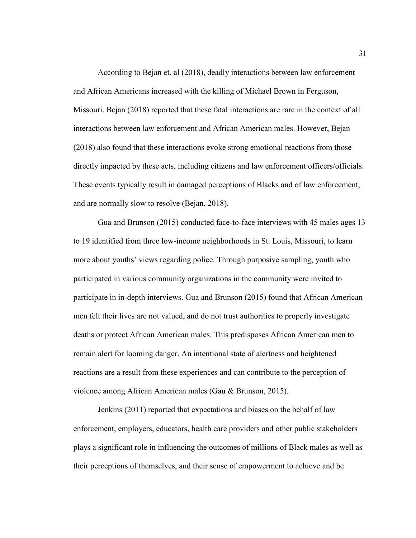According to Bejan et. al (2018), deadly interactions between law enforcement and African Americans increased with the killing of Michael Brown in Ferguson, Missouri. Bejan (2018) reported that these fatal interactions are rare in the context of all interactions between law enforcement and African American males. However, Bejan (2018) also found that these interactions evoke strong emotional reactions from those directly impacted by these acts, including citizens and law enforcement officers/officials. These events typically result in damaged perceptions of Blacks and of law enforcement, and are normally slow to resolve (Bejan, 2018).

Gua and Brunson (2015) conducted face-to-face interviews with 45 males ages 13 to 19 identified from three low-income neighborhoods in St. Louis, Missouri, to learn more about youths' views regarding police. Through purposive sampling, youth who participated in various community organizations in the community were invited to participate in in-depth interviews. Gua and Brunson (2015) found that African American men felt their lives are not valued, and do not trust authorities to properly investigate deaths or protect African American males. This predisposes African American men to remain alert for looming danger. An intentional state of alertness and heightened reactions are a result from these experiences and can contribute to the perception of violence among African American males (Gau & Brunson, 2015).

Jenkins (2011) reported that expectations and biases on the behalf of law enforcement, employers, educators, health care providers and other public stakeholders plays a significant role in influencing the outcomes of millions of Black males as well as their perceptions of themselves, and their sense of empowerment to achieve and be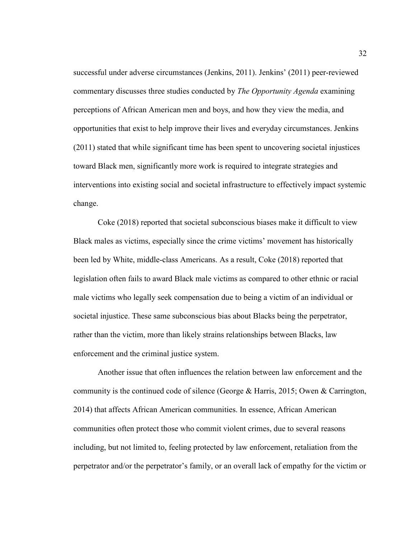successful under adverse circumstances (Jenkins, 2011). Jenkins' (2011) peer-reviewed commentary discusses three studies conducted by *The Opportunity Agenda* examining perceptions of African American men and boys, and how they view the media, and opportunities that exist to help improve their lives and everyday circumstances. Jenkins (2011) stated that while significant time has been spent to uncovering societal injustices toward Black men, significantly more work is required to integrate strategies and interventions into existing social and societal infrastructure to effectively impact systemic change.

Coke (2018) reported that societal subconscious biases make it difficult to view Black males as victims, especially since the crime victims' movement has historically been led by White, middle-class Americans. As a result, Coke (2018) reported that legislation often fails to award Black male victims as compared to other ethnic or racial male victims who legally seek compensation due to being a victim of an individual or societal injustice. These same subconscious bias about Blacks being the perpetrator, rather than the victim, more than likely strains relationships between Blacks, law enforcement and the criminal justice system.

Another issue that often influences the relation between law enforcement and the community is the continued code of silence (George & Harris, 2015; Owen & Carrington, 2014) that affects African American communities. In essence, African American communities often protect those who commit violent crimes, due to several reasons including, but not limited to, feeling protected by law enforcement, retaliation from the perpetrator and/or the perpetrator's family, or an overall lack of empathy for the victim or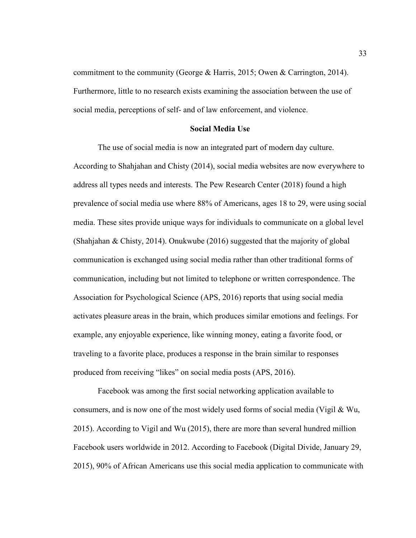commitment to the community (George & Harris, 2015; Owen & Carrington, 2014). Furthermore, little to no research exists examining the association between the use of social media, perceptions of self- and of law enforcement, and violence.

### **Social Media Use**

 The use of social media is now an integrated part of modern day culture. According to Shahjahan and Chisty (2014), social media websites are now everywhere to address all types needs and interests. The Pew Research Center (2018) found a high prevalence of social media use where 88% of Americans, ages 18 to 29, were using social media. These sites provide unique ways for individuals to communicate on a global level (Shahjahan & Chisty, 2014). Onukwube (2016) suggested that the majority of global communication is exchanged using social media rather than other traditional forms of communication, including but not limited to telephone or written correspondence. The Association for Psychological Science (APS, 2016) reports that using social media activates pleasure areas in the brain, which produces similar emotions and feelings. For example, any enjoyable experience, like winning money, eating a favorite food, or traveling to a favorite place, produces a response in the brain similar to responses produced from receiving "likes" on social media posts (APS, 2016).

 Facebook was among the first social networking application available to consumers, and is now one of the most widely used forms of social media (Vigil & Wu, 2015). According to Vigil and Wu (2015), there are more than several hundred million Facebook users worldwide in 2012. According to Facebook (Digital Divide, January 29, 2015), 90% of African Americans use this social media application to communicate with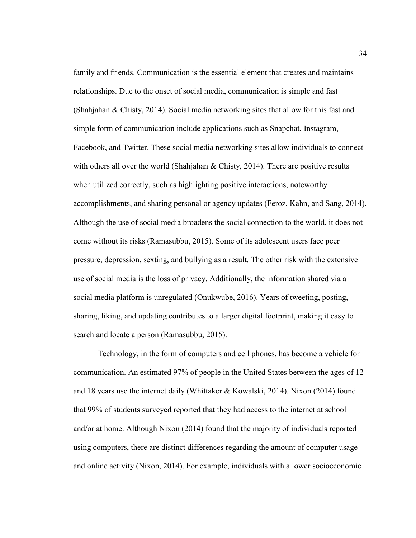family and friends. Communication is the essential element that creates and maintains relationships. Due to the onset of social media, communication is simple and fast (Shahjahan & Chisty, 2014). Social media networking sites that allow for this fast and simple form of communication include applications such as Snapchat, Instagram, Facebook, and Twitter. These social media networking sites allow individuals to connect with others all over the world (Shahjahan & Chisty, 2014). There are positive results when utilized correctly, such as highlighting positive interactions, noteworthy accomplishments, and sharing personal or agency updates (Feroz, Kahn, and Sang, 2014). Although the use of social media broadens the social connection to the world, it does not come without its risks (Ramasubbu, 2015). Some of its adolescent users face peer pressure, depression, sexting, and bullying as a result. The other risk with the extensive use of social media is the loss of privacy. Additionally, the information shared via a social media platform is unregulated (Onukwube, 2016). Years of tweeting, posting, sharing, liking, and updating contributes to a larger digital footprint, making it easy to search and locate a person (Ramasubbu, 2015).

Technology, in the form of computers and cell phones, has become a vehicle for communication. An estimated 97% of people in the United States between the ages of 12 and 18 years use the internet daily (Whittaker & Kowalski, 2014). Nixon (2014) found that 99% of students surveyed reported that they had access to the internet at school and/or at home. Although Nixon (2014) found that the majority of individuals reported using computers, there are distinct differences regarding the amount of computer usage and online activity (Nixon, 2014). For example, individuals with a lower socioeconomic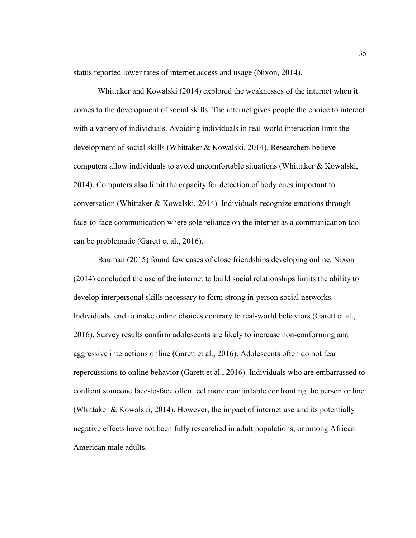status reported lower rates of internet access and usage (Nixon, 2014).

 Whittaker and Kowalski (2014) explored the weaknesses of the internet when it comes to the development of social skills. The internet gives people the choice to interact with a variety of individuals. Avoiding individuals in real-world interaction limit the development of social skills (Whittaker & Kowalski, 2014). Researchers believe computers allow individuals to avoid uncomfortable situations (Whittaker & Kowalski, 2014). Computers also limit the capacity for detection of body cues important to conversation (Whittaker & Kowalski, 2014). Individuals recognize emotions through face-to-face communication where sole reliance on the internet as a communication tool can be problematic (Garett et al., 2016).

 Bauman (2015) found few cases of close friendships developing online. Nixon (2014) concluded the use of the internet to build social relationships limits the ability to develop interpersonal skills necessary to form strong in-person social networks. Individuals tend to make online choices contrary to real-world behaviors (Garett et al., 2016). Survey results confirm adolescents are likely to increase non-conforming and aggressive interactions online (Garett et al., 2016). Adolescents often do not fear repercussions to online behavior (Garett et al., 2016). Individuals who are embarrassed to confront someone face-to-face often feel more comfortable confronting the person online (Whittaker & Kowalski, 2014). However, the impact of internet use and its potentially negative effects have not been fully researched in adult populations, or among African American male adults.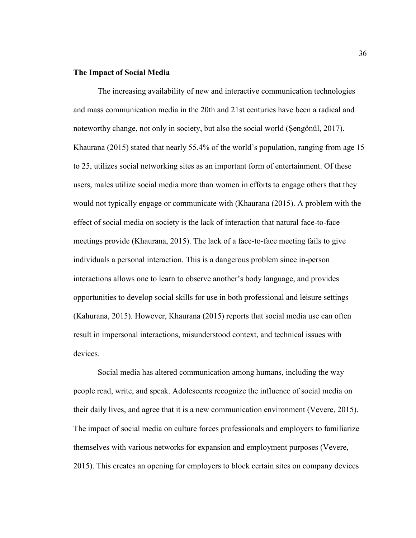## **The Impact of Social Media**

The increasing availability of new and interactive communication technologies and mass communication media in the 20th and 21st centuries have been a radical and noteworthy change, not only in society, but also the social world (Şengönül, 2017). Khaurana (2015) stated that nearly 55.4% of the world's population, ranging from age 15 to 25, utilizes social networking sites as an important form of entertainment. Of these users, males utilize social media more than women in efforts to engage others that they would not typically engage or communicate with (Khaurana (2015). A problem with the effect of social media on society is the lack of interaction that natural face-to-face meetings provide (Khaurana, 2015). The lack of a face-to-face meeting fails to give individuals a personal interaction. This is a dangerous problem since in-person interactions allows one to learn to observe another's body language, and provides opportunities to develop social skills for use in both professional and leisure settings (Kahurana, 2015). However, Khaurana (2015) reports that social media use can often result in impersonal interactions, misunderstood context, and technical issues with devices.

 Social media has altered communication among humans, including the way people read, write, and speak. Adolescents recognize the influence of social media on their daily lives, and agree that it is a new communication environment (Vevere, 2015). The impact of social media on culture forces professionals and employers to familiarize themselves with various networks for expansion and employment purposes (Vevere, 2015). This creates an opening for employers to block certain sites on company devices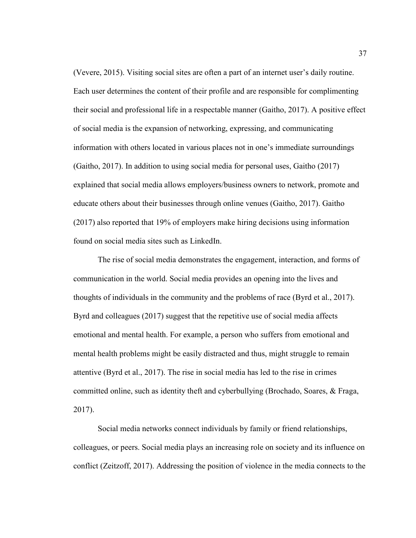(Vevere, 2015). Visiting social sites are often a part of an internet user's daily routine. Each user determines the content of their profile and are responsible for complimenting their social and professional life in a respectable manner (Gaitho, 2017). A positive effect of social media is the expansion of networking, expressing, and communicating information with others located in various places not in one's immediate surroundings (Gaitho, 2017). In addition to using social media for personal uses, Gaitho (2017) explained that social media allows employers/business owners to network, promote and educate others about their businesses through online venues (Gaitho, 2017). Gaitho (2017) also reported that 19% of employers make hiring decisions using information found on social media sites such as LinkedIn.

The rise of social media demonstrates the engagement, interaction, and forms of communication in the world. Social media provides an opening into the lives and thoughts of individuals in the community and the problems of race (Byrd et al., 2017). Byrd and colleagues (2017) suggest that the repetitive use of social media affects emotional and mental health. For example, a person who suffers from emotional and mental health problems might be easily distracted and thus, might struggle to remain attentive (Byrd et al., 2017). The rise in social media has led to the rise in crimes committed online, such as identity theft and cyberbullying (Brochado, Soares, & Fraga, 2017).

Social media networks connect individuals by family or friend relationships, colleagues, or peers. Social media plays an increasing role on society and its influence on conflict (Zeitzoff, 2017). Addressing the position of violence in the media connects to the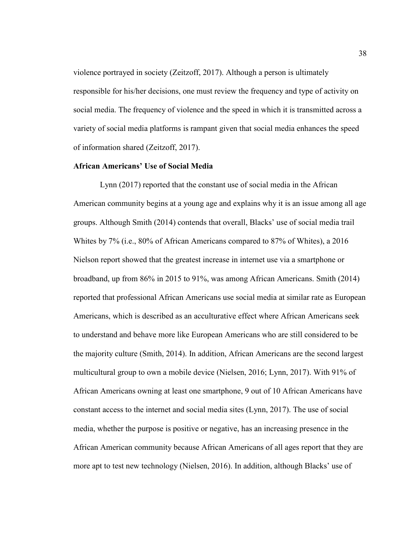violence portrayed in society (Zeitzoff, 2017). Although a person is ultimately responsible for his/her decisions, one must review the frequency and type of activity on social media. The frequency of violence and the speed in which it is transmitted across a variety of social media platforms is rampant given that social media enhances the speed of information shared (Zeitzoff, 2017).

# **African Americans' Use of Social Media**

 Lynn (2017) reported that the constant use of social media in the African American community begins at a young age and explains why it is an issue among all age groups. Although Smith (2014) contends that overall, Blacks' use of social media trail Whites by 7% (i.e., 80% of African Americans compared to 87% of Whites), a 2016 Nielson report showed that the greatest increase in internet use via a smartphone or broadband, up from 86% in 2015 to 91%, was among African Americans. Smith (2014) reported that professional African Americans use social media at similar rate as European Americans, which is described as an acculturative effect where African Americans seek to understand and behave more like European Americans who are still considered to be the majority culture (Smith, 2014). In addition, African Americans are the second largest multicultural group to own a mobile device (Nielsen, 2016; Lynn, 2017). With 91% of African Americans owning at least one smartphone, 9 out of 10 African Americans have constant access to the internet and social media sites (Lynn, 2017). The use of social media, whether the purpose is positive or negative, has an increasing presence in the African American community because African Americans of all ages report that they are more apt to test new technology (Nielsen, 2016). In addition, although Blacks' use of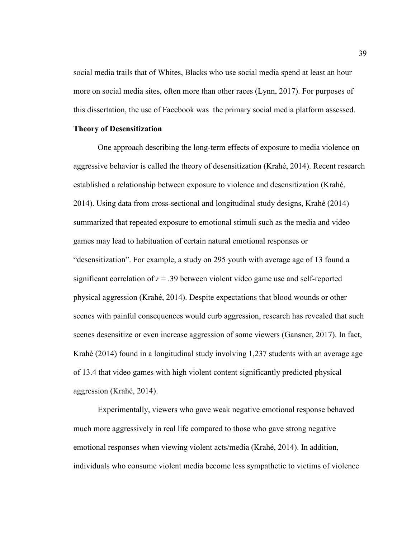social media trails that of Whites, Blacks who use social media spend at least an hour more on social media sites, often more than other races (Lynn, 2017). For purposes of this dissertation, the use of Facebook was the primary social media platform assessed.

## **Theory of Desensitization**

One approach describing the long-term effects of exposure to media violence on aggressive behavior is called the theory of desensitization (Krahé, 2014). Recent research established a relationship between exposure to violence and desensitization (Krahé, 2014). Using data from cross-sectional and longitudinal study designs, Krahé (2014) summarized that repeated exposure to emotional stimuli such as the media and video games may lead to habituation of certain natural emotional responses or "desensitization". For example, a study on 295 youth with average age of 13 found a significant correlation of  $r = 0.39$  between violent video game use and self-reported physical aggression (Krahé, 2014). Despite expectations that blood wounds or other scenes with painful consequences would curb aggression, research has revealed that such scenes desensitize or even increase aggression of some viewers (Gansner, 2017). In fact, Krahé (2014) found in a longitudinal study involving 1,237 students with an average age of 13.4 that video games with high violent content significantly predicted physical aggression (Krahé, 2014).

Experimentally, viewers who gave weak negative emotional response behaved much more aggressively in real life compared to those who gave strong negative emotional responses when viewing violent acts/media (Krahé, 2014). In addition, individuals who consume violent media become less sympathetic to victims of violence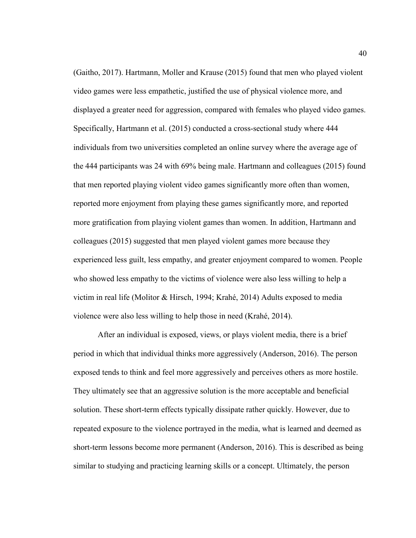(Gaitho, 2017). Hartmann, Moller and Krause (2015) found that men who played violent video games were less empathetic, justified the use of physical violence more, and displayed a greater need for aggression, compared with females who played video games. Specifically, Hartmann et al. (2015) conducted a cross-sectional study where 444 individuals from two universities completed an online survey where the average age of the 444 participants was 24 with 69% being male. Hartmann and colleagues (2015) found that men reported playing violent video games significantly more often than women, reported more enjoyment from playing these games significantly more, and reported more gratification from playing violent games than women. In addition, Hartmann and colleagues (2015) suggested that men played violent games more because they experienced less guilt, less empathy, and greater enjoyment compared to women. People who showed less empathy to the victims of violence were also less willing to help a victim in real life (Molitor & Hirsch, 1994; Krahé, 2014) Adults exposed to media violence were also less willing to help those in need (Krahé, 2014).

After an individual is exposed, views, or plays violent media, there is a brief period in which that individual thinks more aggressively (Anderson, 2016). The person exposed tends to think and feel more aggressively and perceives others as more hostile. They ultimately see that an aggressive solution is the more acceptable and beneficial solution. These short-term effects typically dissipate rather quickly. However, due to repeated exposure to the violence portrayed in the media, what is learned and deemed as short-term lessons become more permanent (Anderson, 2016). This is described as being similar to studying and practicing learning skills or a concept. Ultimately, the person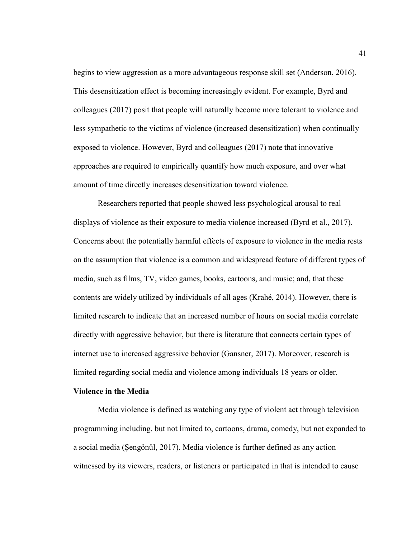begins to view aggression as a more advantageous response skill set (Anderson, 2016). This desensitization effect is becoming increasingly evident. For example, Byrd and colleagues (2017) posit that people will naturally become more tolerant to violence and less sympathetic to the victims of violence (increased desensitization) when continually exposed to violence. However, Byrd and colleagues (2017) note that innovative approaches are required to empirically quantify how much exposure, and over what amount of time directly increases desensitization toward violence.

Researchers reported that people showed less psychological arousal to real displays of violence as their exposure to media violence increased (Byrd et al., 2017). Concerns about the potentially harmful effects of exposure to violence in the media rests on the assumption that violence is a common and widespread feature of different types of media, such as films, TV, video games, books, cartoons, and music; and, that these contents are widely utilized by individuals of all ages (Krahé, 2014). However, there is limited research to indicate that an increased number of hours on social media correlate directly with aggressive behavior, but there is literature that connects certain types of internet use to increased aggressive behavior (Gansner, 2017). Moreover, research is limited regarding social media and violence among individuals 18 years or older.

### **Violence in the Media**

Media violence is defined as watching any type of violent act through television programming including, but not limited to, cartoons, drama, comedy, but not expanded to a social media (Şengönül, 2017). Media violence is further defined as any action witnessed by its viewers, readers, or listeners or participated in that is intended to cause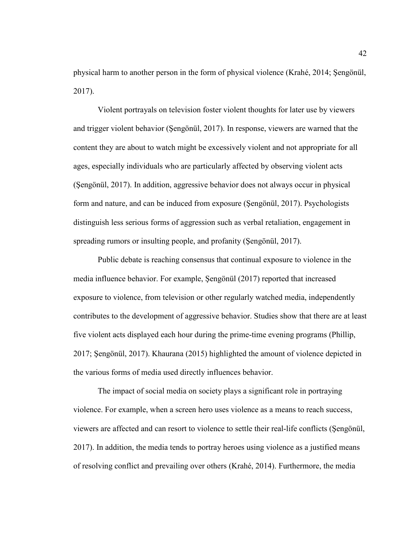physical harm to another person in the form of physical violence (Krahé, 2014; Şengönül, 2017).

Violent portrayals on television foster violent thoughts for later use by viewers and trigger violent behavior (Şengönül, 2017). In response, viewers are warned that the content they are about to watch might be excessively violent and not appropriate for all ages, especially individuals who are particularly affected by observing violent acts (Şengönül, 2017). In addition, aggressive behavior does not always occur in physical form and nature, and can be induced from exposure (Şengönül, 2017). Psychologists distinguish less serious forms of aggression such as verbal retaliation, engagement in spreading rumors or insulting people, and profanity (Şengönül, 2017).

Public debate is reaching consensus that continual exposure to violence in the media influence behavior. For example, Şengönül (2017) reported that increased exposure to violence, from television or other regularly watched media, independently contributes to the development of aggressive behavior. Studies show that there are at least five violent acts displayed each hour during the prime-time evening programs (Phillip, 2017; Şengönül, 2017). Khaurana (2015) highlighted the amount of violence depicted in the various forms of media used directly influences behavior.

The impact of social media on society plays a significant role in portraying violence. For example, when a screen hero uses violence as a means to reach success, viewers are affected and can resort to violence to settle their real-life conflicts (Şengönül, 2017). In addition, the media tends to portray heroes using violence as a justified means of resolving conflict and prevailing over others (Krahé, 2014). Furthermore, the media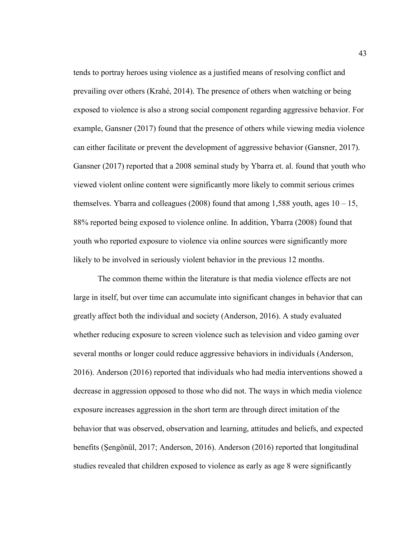tends to portray heroes using violence as a justified means of resolving conflict and prevailing over others (Krahé, 2014). The presence of others when watching or being exposed to violence is also a strong social component regarding aggressive behavior. For example, Gansner (2017) found that the presence of others while viewing media violence can either facilitate or prevent the development of aggressive behavior (Gansner, 2017). Gansner (2017) reported that a 2008 seminal study by Ybarra et. al. found that youth who viewed violent online content were significantly more likely to commit serious crimes themselves. Ybarra and colleagues (2008) found that among 1,588 youth, ages  $10 - 15$ , 88% reported being exposed to violence online. In addition, Ybarra (2008) found that youth who reported exposure to violence via online sources were significantly more likely to be involved in seriously violent behavior in the previous 12 months.

The common theme within the literature is that media violence effects are not large in itself, but over time can accumulate into significant changes in behavior that can greatly affect both the individual and society (Anderson, 2016). A study evaluated whether reducing exposure to screen violence such as television and video gaming over several months or longer could reduce aggressive behaviors in individuals (Anderson, 2016). Anderson (2016) reported that individuals who had media interventions showed a decrease in aggression opposed to those who did not. The ways in which media violence exposure increases aggression in the short term are through direct imitation of the behavior that was observed, observation and learning, attitudes and beliefs, and expected benefits (Şengönül, 2017; Anderson, 2016). Anderson (2016) reported that longitudinal studies revealed that children exposed to violence as early as age 8 were significantly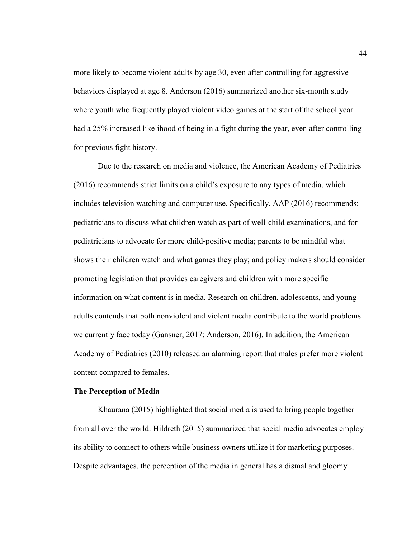more likely to become violent adults by age 30, even after controlling for aggressive behaviors displayed at age 8. Anderson (2016) summarized another six-month study where youth who frequently played violent video games at the start of the school year had a 25% increased likelihood of being in a fight during the year, even after controlling for previous fight history.

Due to the research on media and violence, the American Academy of Pediatrics (2016) recommends strict limits on a child's exposure to any types of media, which includes television watching and computer use. Specifically, AAP (2016) recommends: pediatricians to discuss what children watch as part of well-child examinations, and for pediatricians to advocate for more child-positive media; parents to be mindful what shows their children watch and what games they play; and policy makers should consider promoting legislation that provides caregivers and children with more specific information on what content is in media. Research on children, adolescents, and young adults contends that both nonviolent and violent media contribute to the world problems we currently face today (Gansner, 2017; Anderson, 2016). In addition, the American Academy of Pediatrics (2010) released an alarming report that males prefer more violent content compared to females.

## **The Perception of Media**

Khaurana (2015) highlighted that social media is used to bring people together from all over the world. Hildreth (2015) summarized that social media advocates employ its ability to connect to others while business owners utilize it for marketing purposes. Despite advantages, the perception of the media in general has a dismal and gloomy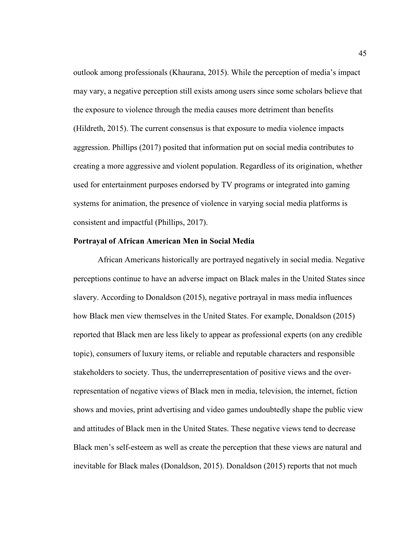outlook among professionals (Khaurana, 2015). While the perception of media's impact may vary, a negative perception still exists among users since some scholars believe that the exposure to violence through the media causes more detriment than benefits (Hildreth, 2015). The current consensus is that exposure to media violence impacts aggression. Phillips (2017) posited that information put on social media contributes to creating a more aggressive and violent population. Regardless of its origination, whether used for entertainment purposes endorsed by TV programs or integrated into gaming systems for animation, the presence of violence in varying social media platforms is consistent and impactful (Phillips, 2017).

### **Portrayal of African American Men in Social Media**

African Americans historically are portrayed negatively in social media. Negative perceptions continue to have an adverse impact on Black males in the United States since slavery. According to Donaldson (2015), negative portrayal in mass media influences how Black men view themselves in the United States. For example, Donaldson (2015) reported that Black men are less likely to appear as professional experts (on any credible topic), consumers of luxury items, or reliable and reputable characters and responsible stakeholders to society. Thus, the underrepresentation of positive views and the overrepresentation of negative views of Black men in media, television, the internet, fiction shows and movies, print advertising and video games undoubtedly shape the public view and attitudes of Black men in the United States. These negative views tend to decrease Black men's self-esteem as well as create the perception that these views are natural and inevitable for Black males (Donaldson, 2015). Donaldson (2015) reports that not much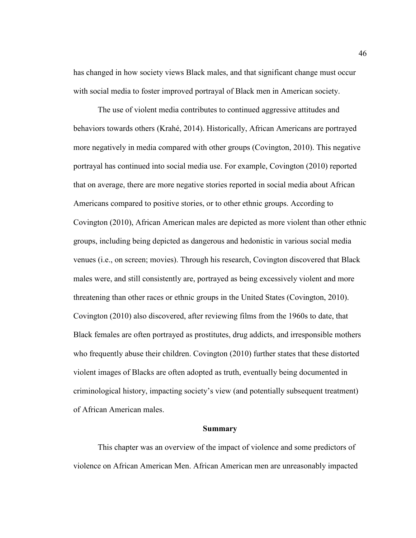has changed in how society views Black males, and that significant change must occur with social media to foster improved portrayal of Black men in American society.

The use of violent media contributes to continued aggressive attitudes and behaviors towards others (Krahé, 2014). Historically, African Americans are portrayed more negatively in media compared with other groups (Covington, 2010). This negative portrayal has continued into social media use. For example, Covington (2010) reported that on average, there are more negative stories reported in social media about African Americans compared to positive stories, or to other ethnic groups. According to Covington (2010), African American males are depicted as more violent than other ethnic groups, including being depicted as dangerous and hedonistic in various social media venues (i.e., on screen; movies). Through his research, Covington discovered that Black males were, and still consistently are, portrayed as being excessively violent and more threatening than other races or ethnic groups in the United States (Covington, 2010). Covington (2010) also discovered, after reviewing films from the 1960s to date, that Black females are often portrayed as prostitutes, drug addicts, and irresponsible mothers who frequently abuse their children. Covington (2010) further states that these distorted violent images of Blacks are often adopted as truth, eventually being documented in criminological history, impacting society's view (and potentially subsequent treatment) of African American males.

### **Summary**

This chapter was an overview of the impact of violence and some predictors of violence on African American Men. African American men are unreasonably impacted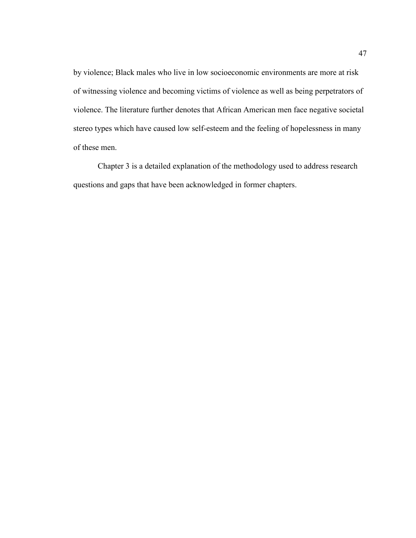by violence; Black males who live in low socioeconomic environments are more at risk of witnessing violence and becoming victims of violence as well as being perpetrators of violence. The literature further denotes that African American men face negative societal stereo types which have caused low self-esteem and the feeling of hopelessness in many of these men.

Chapter 3 is a detailed explanation of the methodology used to address research questions and gaps that have been acknowledged in former chapters.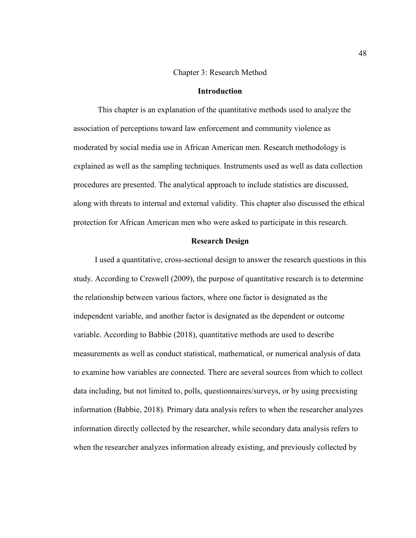## Chapter 3: Research Method

### **Introduction**

This chapter is an explanation of the quantitative methods used to analyze the association of perceptions toward law enforcement and community violence as moderated by social media use in African American men. Research methodology is explained as well as the sampling techniques. Instruments used as well as data collection procedures are presented. The analytical approach to include statistics are discussed, along with threats to internal and external validity. This chapter also discussed the ethical protection for African American men who were asked to participate in this research.

### **Research Design**

I used a quantitative, cross-sectional design to answer the research questions in this study. According to Creswell (2009), the purpose of quantitative research is to determine the relationship between various factors, where one factor is designated as the independent variable, and another factor is designated as the dependent or outcome variable. According to Babbie (2018), quantitative methods are used to describe measurements as well as conduct statistical, mathematical, or numerical analysis of data to examine how variables are connected. There are several sources from which to collect data including, but not limited to, polls, questionnaires/surveys, or by using preexisting information (Babbie, 2018). Primary data analysis refers to when the researcher analyzes information directly collected by the researcher, while secondary data analysis refers to when the researcher analyzes information already existing, and previously collected by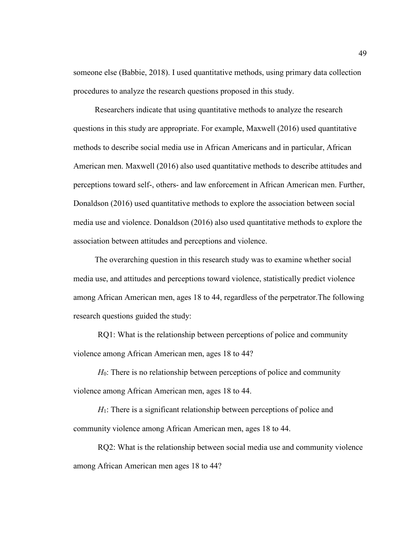someone else (Babbie, 2018). I used quantitative methods, using primary data collection procedures to analyze the research questions proposed in this study.

Researchers indicate that using quantitative methods to analyze the research questions in this study are appropriate. For example, Maxwell (2016) used quantitative methods to describe social media use in African Americans and in particular, African American men. Maxwell (2016) also used quantitative methods to describe attitudes and perceptions toward self-, others- and law enforcement in African American men. Further, Donaldson (2016) used quantitative methods to explore the association between social media use and violence. Donaldson (2016) also used quantitative methods to explore the association between attitudes and perceptions and violence.

The overarching question in this research study was to examine whether social media use, and attitudes and perceptions toward violence, statistically predict violence among African American men, ages 18 to 44, regardless of the perpetrator.The following research questions guided the study:

RQ1: What is the relationship between perceptions of police and community violence among African American men, ages 18 to 44?

*H*<sub>0</sub>: There is no relationship between perceptions of police and community violence among African American men, ages 18 to 44.

*H*<sub>1</sub>: There is a significant relationship between perceptions of police and community violence among African American men, ages 18 to 44.

RQ2: What is the relationship between social media use and community violence among African American men ages 18 to 44?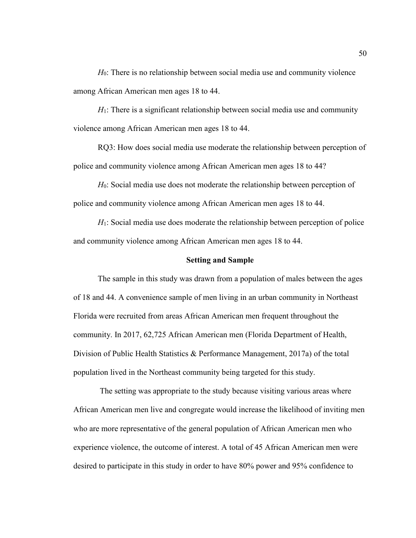*H*<sub>0</sub>: There is no relationship between social media use and community violence among African American men ages 18 to 44.

*H*<sub>1</sub>: There is a significant relationship between social media use and community violence among African American men ages 18 to 44.

RQ3: How does social media use moderate the relationship between perception of police and community violence among African American men ages 18 to 44?

*H*0: Social media use does not moderate the relationship between perception of police and community violence among African American men ages 18 to 44.

*H*1: Social media use does moderate the relationship between perception of police and community violence among African American men ages 18 to 44.

#### **Setting and Sample**

The sample in this study was drawn from a population of males between the ages of 18 and 44. A convenience sample of men living in an urban community in Northeast Florida were recruited from areas African American men frequent throughout the community. In 2017, 62,725 African American men (Florida Department of Health, Division of Public Health Statistics & Performance Management, 2017a) of the total population lived in the Northeast community being targeted for this study.

 The setting was appropriate to the study because visiting various areas where African American men live and congregate would increase the likelihood of inviting men who are more representative of the general population of African American men who experience violence, the outcome of interest. A total of 45 African American men were desired to participate in this study in order to have 80% power and 95% confidence to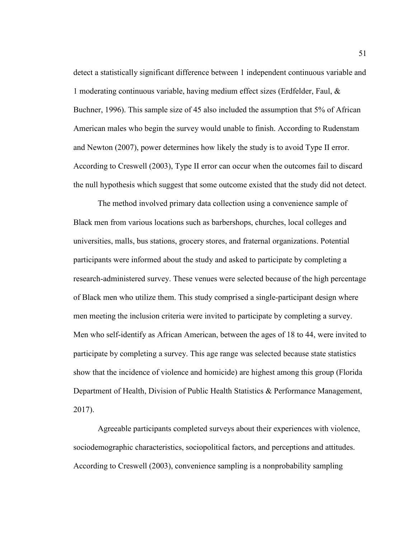detect a statistically significant difference between 1 independent continuous variable and 1 moderating continuous variable, having medium effect sizes (Erdfelder, Faul, & Buchner, 1996). This sample size of 45 also included the assumption that 5% of African American males who begin the survey would unable to finish. According to Rudenstam and Newton (2007), power determines how likely the study is to avoid Type II error. According to Creswell (2003), Type II error can occur when the outcomes fail to discard the null hypothesis which suggest that some outcome existed that the study did not detect.

The method involved primary data collection using a convenience sample of Black men from various locations such as barbershops, churches, local colleges and universities, malls, bus stations, grocery stores, and fraternal organizations. Potential participants were informed about the study and asked to participate by completing a research-administered survey. These venues were selected because of the high percentage of Black men who utilize them. This study comprised a single-participant design where men meeting the inclusion criteria were invited to participate by completing a survey. Men who self-identify as African American, between the ages of 18 to 44, were invited to participate by completing a survey. This age range was selected because state statistics show that the incidence of violence and homicide) are highest among this group (Florida Department of Health, Division of Public Health Statistics & Performance Management, 2017).

Agreeable participants completed surveys about their experiences with violence, sociodemographic characteristics, sociopolitical factors, and perceptions and attitudes. According to Creswell (2003), convenience sampling is a nonprobability sampling

51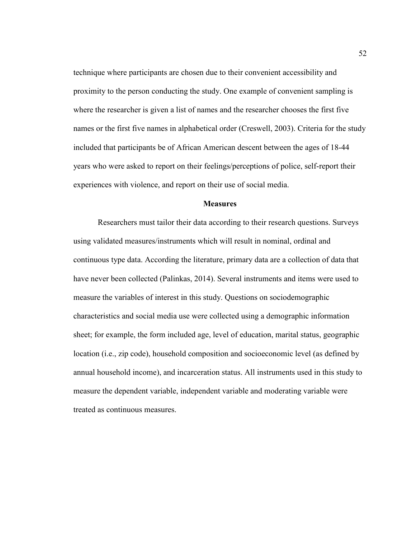technique where participants are chosen due to their convenient accessibility and proximity to the person conducting the study. One example of convenient sampling is where the researcher is given a list of names and the researcher chooses the first five names or the first five names in alphabetical order (Creswell, 2003). Criteria for the study included that participants be of African American descent between the ages of 18-44 years who were asked to report on their feelings/perceptions of police, self-report their experiences with violence, and report on their use of social media.

## **Measures**

Researchers must tailor their data according to their research questions. Surveys using validated measures/instruments which will result in nominal, ordinal and continuous type data. According the literature, primary data are a collection of data that have never been collected (Palinkas, 2014). Several instruments and items were used to measure the variables of interest in this study. Questions on sociodemographic characteristics and social media use were collected using a demographic information sheet; for example, the form included age, level of education, marital status, geographic location (i.e., zip code), household composition and socioeconomic level (as defined by annual household income), and incarceration status. All instruments used in this study to measure the dependent variable, independent variable and moderating variable were treated as continuous measures.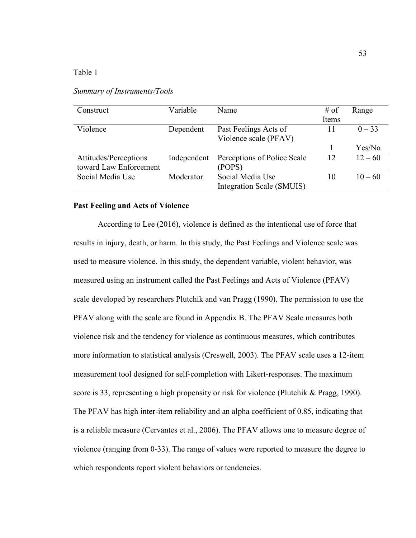Table 1

| Construct              | Variable    | Name                        | $#$ of | Range     |
|------------------------|-------------|-----------------------------|--------|-----------|
|                        |             |                             | Items  |           |
| Violence               | Dependent   | Past Feelings Acts of       | 11     | $0 - 33$  |
|                        |             | Violence scale (PFAV)       |        |           |
|                        |             |                             |        | Yes/No    |
| Attitudes/Perceptions  | Independent | Perceptions of Police Scale | 12     | $12 - 60$ |
| toward Law Enforcement |             | (POPS)                      |        |           |
| Social Media Use       | Moderator   | Social Media Use            | 10     | $10 - 60$ |
|                        |             | Integration Scale (SMUIS)   |        |           |
|                        |             |                             |        |           |

*Summary of Instruments/Tools* 

## **Past Feeling and Acts of Violence**

According to Lee (2016), violence is defined as the intentional use of force that results in injury, death, or harm. In this study, the Past Feelings and Violence scale was used to measure violence. In this study, the dependent variable, violent behavior, was measured using an instrument called the Past Feelings and Acts of Violence (PFAV) scale developed by researchers Plutchik and van Pragg (1990). The permission to use the PFAV along with the scale are found in Appendix B. The PFAV Scale measures both violence risk and the tendency for violence as continuous measures, which contributes more information to statistical analysis (Creswell, 2003). The PFAV scale uses a 12-item measurement tool designed for self-completion with Likert-responses. The maximum score is 33, representing a high propensity or risk for violence (Plutchik & Pragg, 1990). The PFAV has high inter-item reliability and an alpha coefficient of 0.85, indicating that is a reliable measure (Cervantes et al., 2006). The PFAV allows one to measure degree of violence (ranging from 0-33). The range of values were reported to measure the degree to which respondents report violent behaviors or tendencies.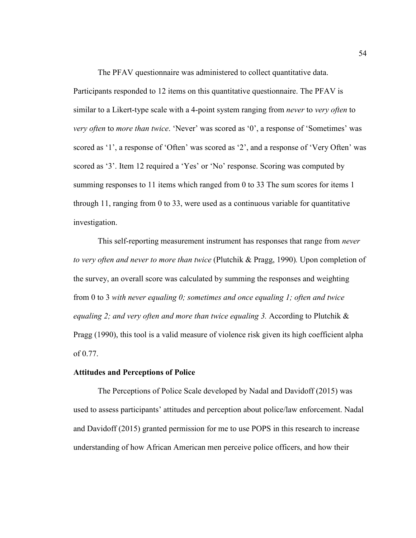The PFAV questionnaire was administered to collect quantitative data. Participants responded to 12 items on this quantitative questionnaire. The PFAV is similar to a Likert-type scale with a 4-point system ranging from *never* to *very often* to *very often* to *more than twice*. 'Never' was scored as '0', a response of 'Sometimes' was scored as '1', a response of 'Often' was scored as '2', and a response of 'Very Often' was scored as '3'. Item 12 required a 'Yes' or 'No' response. Scoring was computed by summing responses to 11 items which ranged from 0 to 33 The sum scores for items 1 through 11, ranging from 0 to 33, were used as a continuous variable for quantitative investigation.

This self-reporting measurement instrument has responses that range from *never to very often and never to more than twice* (Plutchik & Pragg, 1990)*.* Upon completion of the survey, an overall score was calculated by summing the responses and weighting from 0 to 3 *with never equaling 0; sometimes and once equaling 1; often and twice equaling 2; and very often and more than twice equaling 3. According to Plutchik &* Pragg (1990), this tool is a valid measure of violence risk given its high coefficient alpha of 0.77.

## **Attitudes and Perceptions of Police**

The Perceptions of Police Scale developed by Nadal and Davidoff (2015) was used to assess participants' attitudes and perception about police/law enforcement. Nadal and Davidoff (2015) granted permission for me to use POPS in this research to increase understanding of how African American men perceive police officers, and how their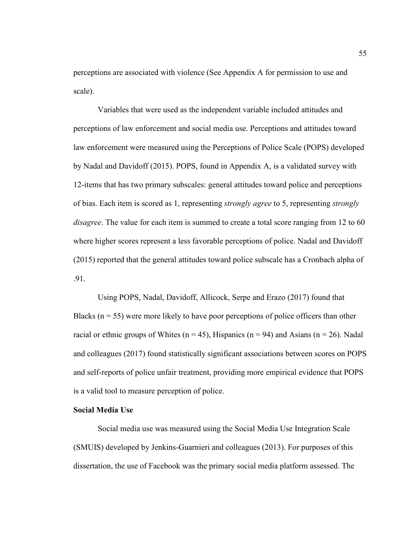perceptions are associated with violence (See Appendix A for permission to use and scale).

Variables that were used as the independent variable included attitudes and perceptions of law enforcement and social media use. Perceptions and attitudes toward law enforcement were measured using the Perceptions of Police Scale (POPS) developed by Nadal and Davidoff (2015). POPS, found in Appendix A, is a validated survey with 12-items that has two primary subscales: general attitudes toward police and perceptions of bias. Each item is scored as 1, representing *strongly agree* to 5, representing *strongly disagree*. The value for each item is summed to create a total score ranging from 12 to 60 where higher scores represent a less favorable perceptions of police. Nadal and Davidoff (2015) reported that the general attitudes toward police subscale has a Cronbach alpha of .91.

Using POPS, Nadal, Davidoff, Allicock, Serpe and Erazo (2017) found that Blacks ( $n = 55$ ) were more likely to have poor perceptions of police officers than other racial or ethnic groups of Whites ( $n = 45$ ), Hispanics ( $n = 94$ ) and Asians ( $n = 26$ ). Nadal and colleagues (2017) found statistically significant associations between scores on POPS and self-reports of police unfair treatment, providing more empirical evidence that POPS is a valid tool to measure perception of police.

## **Social Media Use**

Social media use was measured using the Social Media Use Integration Scale (SMUIS) developed by Jenkins-Guarnieri and colleagues (2013). For purposes of this dissertation, the use of Facebook was the primary social media platform assessed. The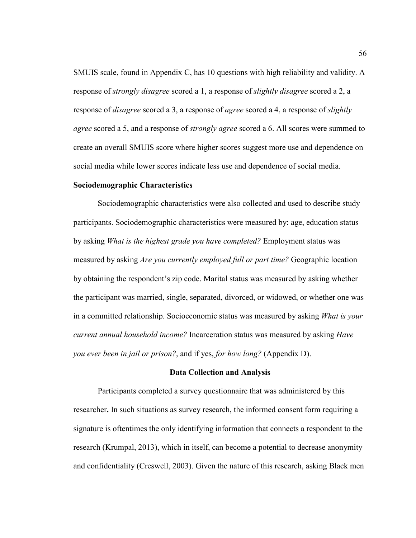SMUIS scale, found in Appendix C, has 10 questions with high reliability and validity. A response of *strongly disagree* scored a 1, a response of *slightly disagree* scored a 2, a response of *disagree* scored a 3, a response of *agree* scored a 4, a response of *slightly agree* scored a 5, and a response of *strongly agree* scored a 6. All scores were summed to create an overall SMUIS score where higher scores suggest more use and dependence on social media while lower scores indicate less use and dependence of social media.

## **Sociodemographic Characteristics**

Sociodemographic characteristics were also collected and used to describe study participants. Sociodemographic characteristics were measured by: age, education status by asking *What is the highest grade you have completed?* Employment status was measured by asking *Are you currently employed full or part time?* Geographic location by obtaining the respondent's zip code. Marital status was measured by asking whether the participant was married, single, separated, divorced, or widowed, or whether one was in a committed relationship. Socioeconomic status was measured by asking *What is your current annual household income?* Incarceration status was measured by asking *Have you ever been in jail or prison?*, and if yes, *for how long?* (Appendix D).

### **Data Collection and Analysis**

Participants completed a survey questionnaire that was administered by this researcher**.** In such situations as survey research, the informed consent form requiring a signature is oftentimes the only identifying information that connects a respondent to the research (Krumpal, 2013), which in itself, can become a potential to decrease anonymity and confidentiality (Creswell, 2003). Given the nature of this research, asking Black men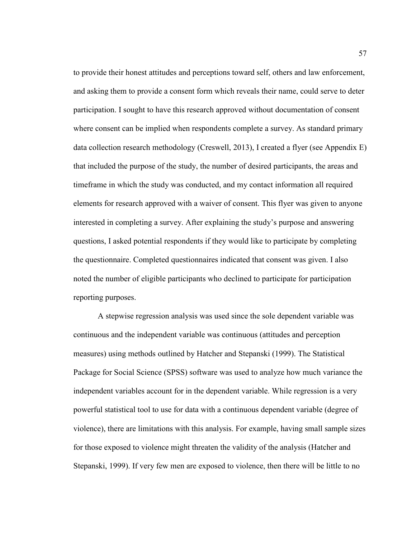to provide their honest attitudes and perceptions toward self, others and law enforcement, and asking them to provide a consent form which reveals their name, could serve to deter participation. I sought to have this research approved without documentation of consent where consent can be implied when respondents complete a survey. As standard primary data collection research methodology (Creswell, 2013), I created a flyer (see Appendix E) that included the purpose of the study, the number of desired participants, the areas and timeframe in which the study was conducted, and my contact information all required elements for research approved with a waiver of consent. This flyer was given to anyone interested in completing a survey. After explaining the study's purpose and answering questions, I asked potential respondents if they would like to participate by completing the questionnaire. Completed questionnaires indicated that consent was given. I also noted the number of eligible participants who declined to participate for participation reporting purposes.

A stepwise regression analysis was used since the sole dependent variable was continuous and the independent variable was continuous (attitudes and perception measures) using methods outlined by Hatcher and Stepanski (1999). The Statistical Package for Social Science (SPSS) software was used to analyze how much variance the independent variables account for in the dependent variable. While regression is a very powerful statistical tool to use for data with a continuous dependent variable (degree of violence), there are limitations with this analysis. For example, having small sample sizes for those exposed to violence might threaten the validity of the analysis (Hatcher and Stepanski, 1999). If very few men are exposed to violence, then there will be little to no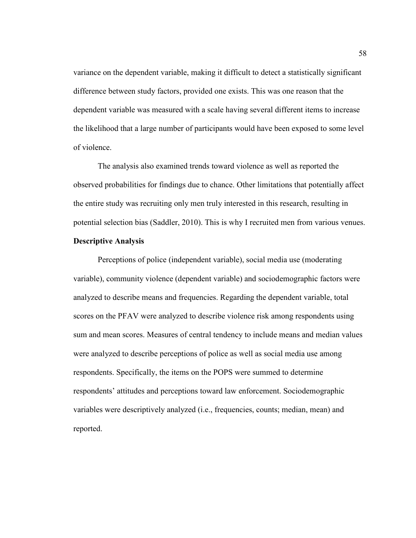variance on the dependent variable, making it difficult to detect a statistically significant difference between study factors, provided one exists. This was one reason that the dependent variable was measured with a scale having several different items to increase the likelihood that a large number of participants would have been exposed to some level of violence.

The analysis also examined trends toward violence as well as reported the observed probabilities for findings due to chance. Other limitations that potentially affect the entire study was recruiting only men truly interested in this research, resulting in potential selection bias (Saddler, 2010). This is why I recruited men from various venues.

## **Descriptive Analysis**

Perceptions of police (independent variable), social media use (moderating variable), community violence (dependent variable) and sociodemographic factors were analyzed to describe means and frequencies. Regarding the dependent variable, total scores on the PFAV were analyzed to describe violence risk among respondents using sum and mean scores. Measures of central tendency to include means and median values were analyzed to describe perceptions of police as well as social media use among respondents. Specifically, the items on the POPS were summed to determine respondents' attitudes and perceptions toward law enforcement. Sociodemographic variables were descriptively analyzed (i.e., frequencies, counts; median, mean) and reported.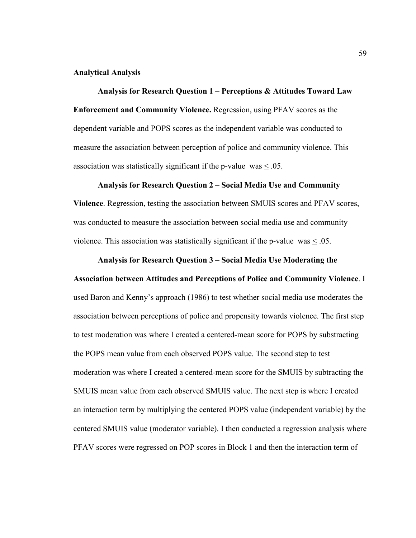## **Analytical Analysis**

**Analysis for Research Question 1 – Perceptions & Attitudes Toward Law Enforcement and Community Violence.** Regression, using PFAV scores as the dependent variable and POPS scores as the independent variable was conducted to measure the association between perception of police and community violence. This association was statistically significant if the p-value was  $\leq 0.05$ .

#### **Analysis for Research Question 2 – Social Media Use and Community**

**Violence**. Regression, testing the association between SMUIS scores and PFAV scores, was conducted to measure the association between social media use and community violence. This association was statistically significant if the p-value was  $\leq 0.05$ .

# **Analysis for Research Question 3 – Social Media Use Moderating the**

**Association between Attitudes and Perceptions of Police and Community Violence**. I used Baron and Kenny's approach (1986) to test whether social media use moderates the association between perceptions of police and propensity towards violence. The first step to test moderation was where I created a centered-mean score for POPS by substracting the POPS mean value from each observed POPS value. The second step to test moderation was where I created a centered-mean score for the SMUIS by subtracting the SMUIS mean value from each observed SMUIS value. The next step is where I created an interaction term by multiplying the centered POPS value (independent variable) by the centered SMUIS value (moderator variable). I then conducted a regression analysis where PFAV scores were regressed on POP scores in Block 1 and then the interaction term of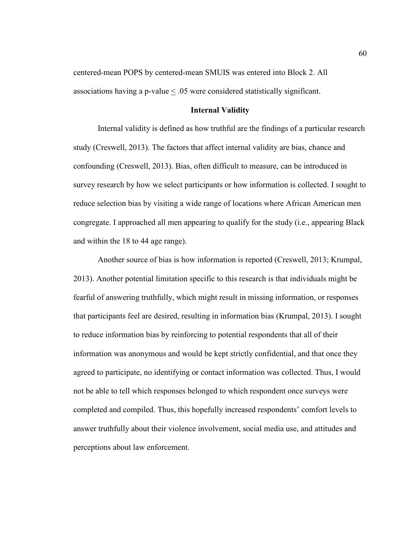centered-mean POPS by centered-mean SMUIS was entered into Block 2. All associations having a p-value < .05 were considered statistically significant.

## **Internal Validity**

Internal validity is defined as how truthful are the findings of a particular research study (Creswell, 2013). The factors that affect internal validity are bias, chance and confounding (Creswell, 2013). Bias, often difficult to measure, can be introduced in survey research by how we select participants or how information is collected. I sought to reduce selection bias by visiting a wide range of locations where African American men congregate. I approached all men appearing to qualify for the study (i.e., appearing Black and within the 18 to 44 age range).

Another source of bias is how information is reported (Creswell, 2013; Krumpal, 2013). Another potential limitation specific to this research is that individuals might be fearful of answering truthfully, which might result in missing information, or responses that participants feel are desired, resulting in information bias (Krumpal, 2013). I sought to reduce information bias by reinforcing to potential respondents that all of their information was anonymous and would be kept strictly confidential, and that once they agreed to participate, no identifying or contact information was collected. Thus, I would not be able to tell which responses belonged to which respondent once surveys were completed and compiled. Thus, this hopefully increased respondents' comfort levels to answer truthfully about their violence involvement, social media use, and attitudes and perceptions about law enforcement.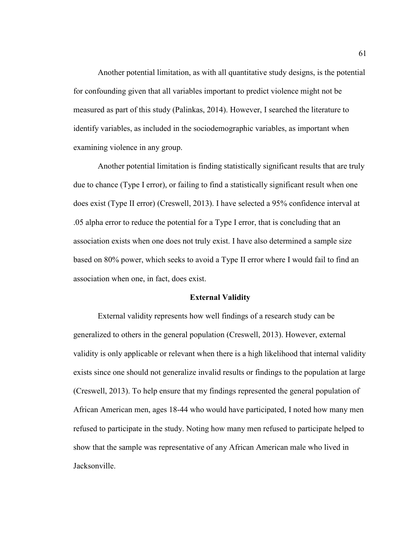Another potential limitation, as with all quantitative study designs, is the potential for confounding given that all variables important to predict violence might not be measured as part of this study (Palinkas, 2014). However, I searched the literature to identify variables, as included in the sociodemographic variables, as important when examining violence in any group.

Another potential limitation is finding statistically significant results that are truly due to chance (Type I error), or failing to find a statistically significant result when one does exist (Type II error) (Creswell, 2013). I have selected a 95% confidence interval at .05 alpha error to reduce the potential for a Type I error, that is concluding that an association exists when one does not truly exist. I have also determined a sample size based on 80% power, which seeks to avoid a Type II error where I would fail to find an association when one, in fact, does exist.

### **External Validity**

External validity represents how well findings of a research study can be generalized to others in the general population (Creswell, 2013). However, external validity is only applicable or relevant when there is a high likelihood that internal validity exists since one should not generalize invalid results or findings to the population at large (Creswell, 2013). To help ensure that my findings represented the general population of African American men, ages 18-44 who would have participated, I noted how many men refused to participate in the study. Noting how many men refused to participate helped to show that the sample was representative of any African American male who lived in Jacksonville.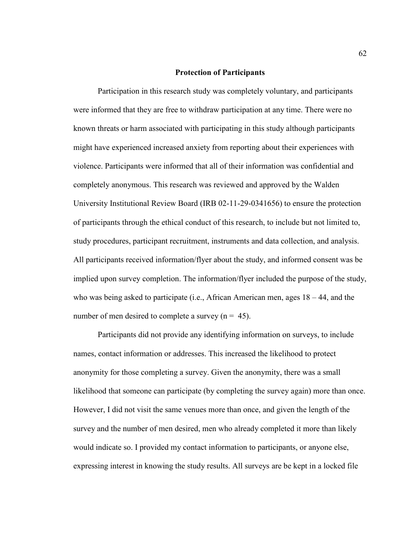#### **Protection of Participants**

 Participation in this research study was completely voluntary, and participants were informed that they are free to withdraw participation at any time. There were no known threats or harm associated with participating in this study although participants might have experienced increased anxiety from reporting about their experiences with violence. Participants were informed that all of their information was confidential and completely anonymous. This research was reviewed and approved by the Walden University Institutional Review Board (IRB 02-11-29-0341656) to ensure the protection of participants through the ethical conduct of this research, to include but not limited to, study procedures, participant recruitment, instruments and data collection, and analysis. All participants received information/flyer about the study, and informed consent was be implied upon survey completion. The information/flyer included the purpose of the study, who was being asked to participate (i.e., African American men, ages 18 – 44, and the number of men desired to complete a survey  $(n = 45)$ .

Participants did not provide any identifying information on surveys, to include names, contact information or addresses. This increased the likelihood to protect anonymity for those completing a survey. Given the anonymity, there was a small likelihood that someone can participate (by completing the survey again) more than once. However, I did not visit the same venues more than once, and given the length of the survey and the number of men desired, men who already completed it more than likely would indicate so. I provided my contact information to participants, or anyone else, expressing interest in knowing the study results. All surveys are be kept in a locked file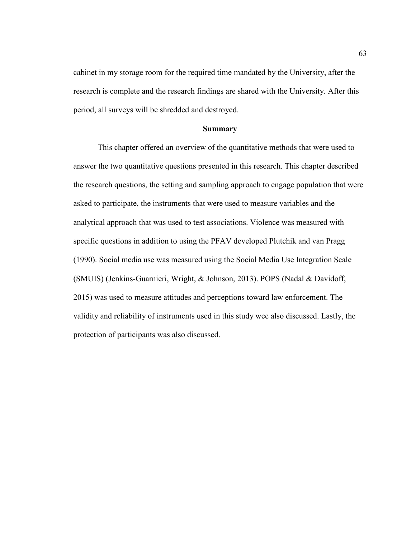cabinet in my storage room for the required time mandated by the University, after the research is complete and the research findings are shared with the University. After this period, all surveys will be shredded and destroyed.

#### **Summary**

 This chapter offered an overview of the quantitative methods that were used to answer the two quantitative questions presented in this research. This chapter described the research questions, the setting and sampling approach to engage population that were asked to participate, the instruments that were used to measure variables and the analytical approach that was used to test associations. Violence was measured with specific questions in addition to using the PFAV developed Plutchik and van Pragg (1990). Social media use was measured using the Social Media Use Integration Scale (SMUIS) (Jenkins-Guarnieri, Wright, & Johnson, 2013). POPS (Nadal & Davidoff, 2015) was used to measure attitudes and perceptions toward law enforcement. The validity and reliability of instruments used in this study wee also discussed. Lastly, the protection of participants was also discussed.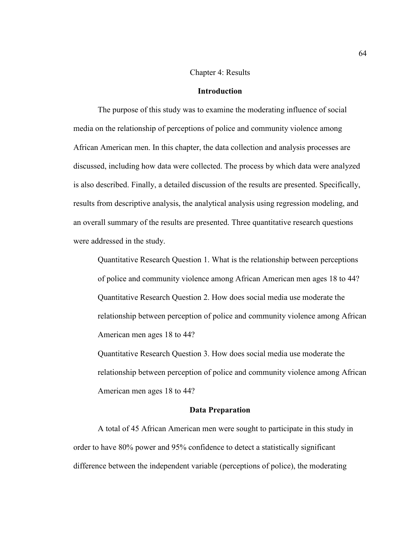#### Chapter 4: Results

#### **Introduction**

The purpose of this study was to examine the moderating influence of social media on the relationship of perceptions of police and community violence among African American men. In this chapter, the data collection and analysis processes are discussed, including how data were collected. The process by which data were analyzed is also described. Finally, a detailed discussion of the results are presented. Specifically, results from descriptive analysis, the analytical analysis using regression modeling, and an overall summary of the results are presented. Three quantitative research questions were addressed in the study.

Quantitative Research Question 1. What is the relationship between perceptions of police and community violence among African American men ages 18 to 44? Quantitative Research Question 2. How does social media use moderate the relationship between perception of police and community violence among African American men ages 18 to 44?

Quantitative Research Question 3. How does social media use moderate the relationship between perception of police and community violence among African American men ages 18 to 44?

#### **Data Preparation**

A total of 45 African American men were sought to participate in this study in order to have 80% power and 95% confidence to detect a statistically significant difference between the independent variable (perceptions of police), the moderating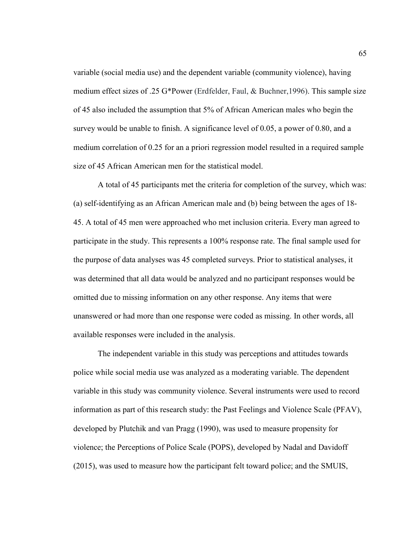variable (social media use) and the dependent variable (community violence), having medium effect sizes of .25 G\*Power (Erdfelder, Faul, & Buchner,1996). This sample size of 45 also included the assumption that 5% of African American males who begin the survey would be unable to finish. A significance level of 0.05, a power of 0.80, and a medium correlation of 0.25 for an a priori regression model resulted in a required sample size of 45 African American men for the statistical model.

A total of 45 participants met the criteria for completion of the survey, which was: (a) self-identifying as an African American male and (b) being between the ages of 18- 45. A total of 45 men were approached who met inclusion criteria. Every man agreed to participate in the study. This represents a 100% response rate. The final sample used for the purpose of data analyses was 45 completed surveys. Prior to statistical analyses, it was determined that all data would be analyzed and no participant responses would be omitted due to missing information on any other response. Any items that were unanswered or had more than one response were coded as missing. In other words, all available responses were included in the analysis.

The independent variable in this study was perceptions and attitudes towards police while social media use was analyzed as a moderating variable. The dependent variable in this study was community violence. Several instruments were used to record information as part of this research study: the Past Feelings and Violence Scale (PFAV), developed by Plutchik and van Pragg (1990), was used to measure propensity for violence; the Perceptions of Police Scale (POPS), developed by Nadal and Davidoff (2015), was used to measure how the participant felt toward police; and the SMUIS,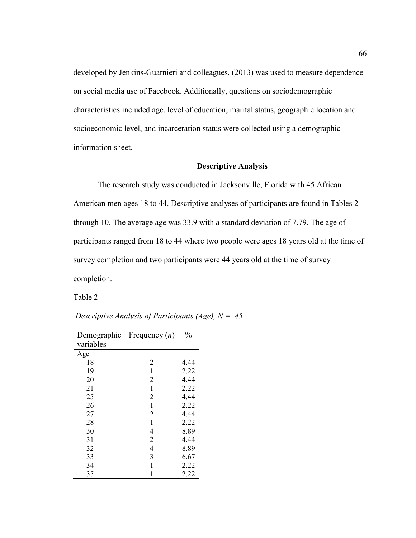developed by Jenkins-Guarnieri and colleagues, (2013) was used to measure dependence on social media use of Facebook. Additionally, questions on sociodemographic characteristics included age, level of education, marital status, geographic location and socioeconomic level, and incarceration status were collected using a demographic information sheet.

### **Descriptive Analysis**

The research study was conducted in Jacksonville, Florida with 45 African American men ages 18 to 44. Descriptive analyses of participants are found in Tables 2 through 10. The average age was 33.9 with a standard deviation of 7.79. The age of participants ranged from 18 to 44 where two people were ages 18 years old at the time of survey completion and two participants were 44 years old at the time of survey completion.

Table 2

|           | Demographic Frequency $(n)$ | $\frac{0}{0}$ |
|-----------|-----------------------------|---------------|
| variables |                             |               |
| Age       |                             |               |
| 18        | $\overline{2}$              | 4.44          |
| 19        | 1                           | 2.22          |
| 20        | $\overline{2}$              | 4.44          |
| 21        | 1                           | 2.22          |
| 25        | 2                           | 4.44          |
| 26        | 1                           | 2.22          |
| 27        | $\overline{2}$              | 4.44          |
| 28        | 1                           | 2.22          |
| 30        | 4                           | 8.89          |
| 31        | $\overline{2}$              | 4.44          |
| 32        | 4                           | 8.89          |
| 33        | 3                           | 6.67          |
| 34        | 1                           | 2.22          |
| 35        | 1                           | 2.22          |

*Descriptive Analysis of Participants (Age), N = 45*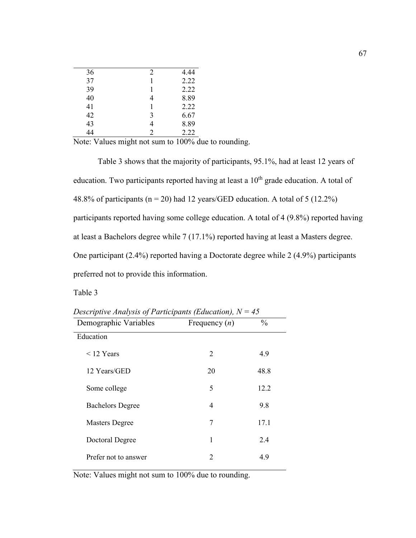| 36<br>2<br>37<br>39<br>40<br>4<br>41<br>42<br>3<br>43<br>4<br>2<br>44 |  |      |
|-----------------------------------------------------------------------|--|------|
|                                                                       |  | 4.44 |
|                                                                       |  | 2.22 |
|                                                                       |  | 2.22 |
|                                                                       |  | 8.89 |
|                                                                       |  | 2.22 |
|                                                                       |  | 6.67 |
|                                                                       |  | 8.89 |
|                                                                       |  | 2.22 |

Note: Values might not sum to 100% due to rounding.

Table 3 shows that the majority of participants, 95.1%, had at least 12 years of education. Two participants reported having at least a  $10<sup>th</sup>$  grade education. A total of 48.8% of participants ( $n = 20$ ) had 12 years/GED education. A total of 5 (12.2%) participants reported having some college education. A total of 4 (9.8%) reported having at least a Bachelors degree while 7 (17.1%) reported having at least a Masters degree. One participant (2.4%) reported having a Doctorate degree while 2 (4.9%) participants preferred not to provide this information.

Table 3

| Demographic Variables   | Frequency $(n)$ | $\frac{0}{0}$ |
|-------------------------|-----------------|---------------|
| Education               |                 |               |
| $\leq$ 12 Years         | 2               | 4.9           |
| 12 Years/GED            | 20              | 48.8          |
| Some college            | 5               | 12.2          |
| <b>Bachelors Degree</b> | 4               | 9.8           |
| <b>Masters Degree</b>   | 7               | 17.1          |
| Doctoral Degree         | 1               | 2.4           |
| Prefer not to answer    | $\mathfrak{D}$  | 4.9           |

*Descriptive Analysis of Participants (Education), N = 45* 

Note: Values might not sum to 100% due to rounding.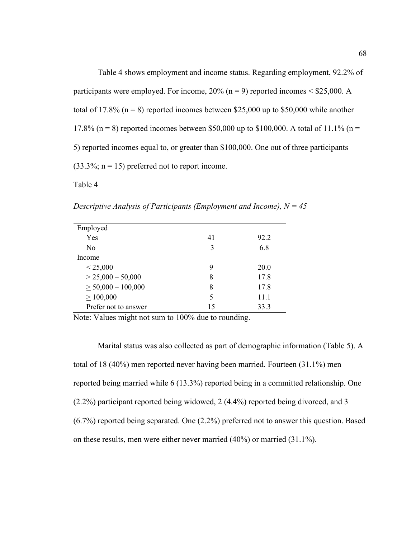Table 4 shows employment and income status. Regarding employment, 92.2% of participants were employed. For income,  $20\%$  (n = 9) reported incomes < \$25,000. A total of 17.8% ( $n = 8$ ) reported incomes between \$25,000 up to \$50,000 while another 17.8% (n = 8) reported incomes between \$50,000 up to \$100,000. A total of 11.1% (n = 5) reported incomes equal to, or greater than \$100,000. One out of three participants  $(33.3\%; n = 15)$  preferred not to report income.

Table 4

*Descriptive Analysis of Participants (Employment and Income), N = 45* 

| Employed                |    |      |
|-------------------------|----|------|
| Yes                     | 41 | 92.2 |
| N <sub>0</sub>          | 3  | 6.8  |
| Income                  |    |      |
| $\leq 25,000$           | 9  | 20.0 |
| $> 25,000 - 50,000$     | 8  | 17.8 |
| $\geq 50,000 - 100,000$ | 8  | 17.8 |
| > 100,000               | 5  | 11.1 |
| Prefer not to answer    | 15 | 33.3 |

Note: Values might not sum to 100% due to rounding.

Marital status was also collected as part of demographic information (Table 5). A total of 18 (40%) men reported never having been married. Fourteen (31.1%) men reported being married while 6 (13.3%) reported being in a committed relationship. One (2.2%) participant reported being widowed, 2 (4.4%) reported being divorced, and 3 (6.7%) reported being separated. One (2.2%) preferred not to answer this question. Based on these results, men were either never married (40%) or married (31.1%).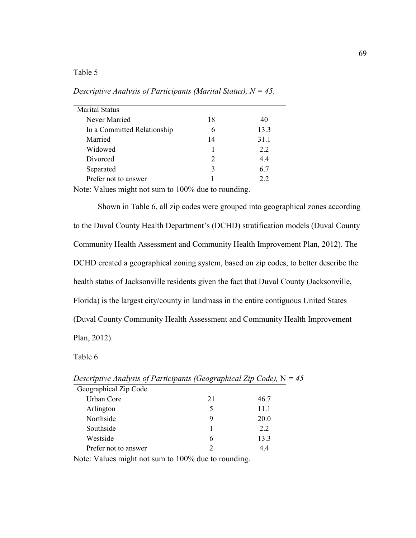# Table 5

| <b>Marital Status</b>       |               |      |
|-----------------------------|---------------|------|
| Never Married               | 18            | 40   |
| In a Committed Relationship |               | 13.3 |
| Married                     | 14            | 31.1 |
| Widowed                     |               | 22   |
| Divorced                    | $\mathcal{D}$ | 44   |
| Separated                   |               | 6.7  |
| Prefer not to answer        |               | 22   |

*Descriptive Analysis of Participants (Marital Status), N = 45*.

Note: Values might not sum to 100% due to rounding.

Shown in Table 6, all zip codes were grouped into geographical zones according to the Duval County Health Department's (DCHD) stratification models (Duval County Community Health Assessment and Community Health Improvement Plan, 2012). The DCHD created a geographical zoning system, based on zip codes, to better describe the health status of Jacksonville residents given the fact that Duval County (Jacksonville, Florida) is the largest city/county in landmass in the entire contiguous United States (Duval County Community Health Assessment and Community Health Improvement Plan, 2012).

Table 6

| Descriptive Analysis of Larticipants (Geographical Lip Code), $N = 4$ |    |      |
|-----------------------------------------------------------------------|----|------|
| Geographical Zip Code                                                 |    |      |
| Urban Core                                                            | 21 | 46.7 |
| Arlington                                                             |    | 11.1 |
| Northside                                                             | 9  | 20.0 |
| Southside                                                             |    | 2.2  |
| Westside                                                              | 6  | 13.3 |
| Prefer not to answer                                                  |    | 4.4  |

*Descriptive Analysis of Participants (Geographical Zip Code)*,  $N = 45$ 

Note: Values might not sum to 100% due to rounding.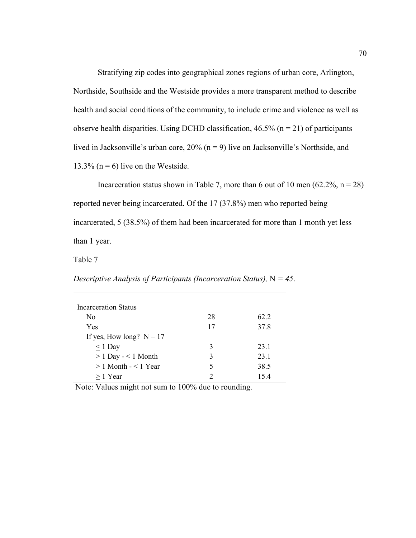Stratifying zip codes into geographical zones regions of urban core, Arlington, Northside, Southside and the Westside provides a more transparent method to describe health and social conditions of the community, to include crime and violence as well as observe health disparities. Using DCHD classification,  $46.5\%$  (n = 21) of participants lived in Jacksonville's urban core, 20% (n = 9) live on Jacksonville's Northside, and 13.3% ( $n = 6$ ) live on the Westside.

Incarceration status shown in Table 7, more than 6 out of 10 men  $(62.2\%, n = 28)$ reported never being incarcerated. Of the 17 (37.8%) men who reported being incarcerated, 5 (38.5%) of them had been incarcerated for more than 1 month yet less than 1 year.

Table 7

*Descriptive Analysis of Participants (Incarceration Status),*  $N = 45$ .

| Incarceration Status       |    |      |
|----------------------------|----|------|
| No.                        | 28 | 62.2 |
| Yes                        | 17 | 37.8 |
| If yes, How long? $N = 17$ |    |      |
| $\leq$ 1 Day               | 3  | 23.1 |
| $> 1$ Day - $< 1$ Month    | 3  | 23.1 |
| $> 1$ Month $- < 1$ Year   | 5  | 38.5 |
| $>1$ Year                  | っ  | 15.4 |

Note: Values might not sum to 100% due to rounding.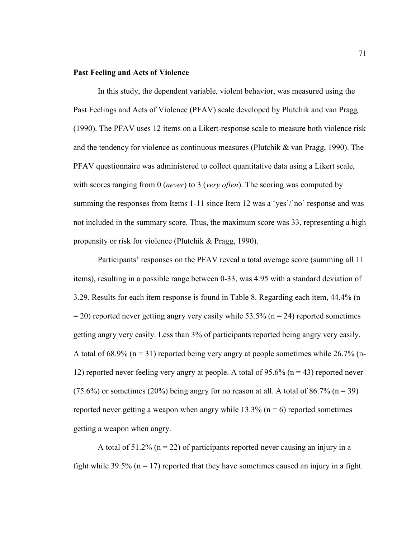#### **Past Feeling and Acts of Violence**

In this study, the dependent variable, violent behavior, was measured using the Past Feelings and Acts of Violence (PFAV) scale developed by Plutchik and van Pragg (1990). The PFAV uses 12 items on a Likert-response scale to measure both violence risk and the tendency for violence as continuous measures (Plutchik & van Pragg, 1990). The PFAV questionnaire was administered to collect quantitative data using a Likert scale, with scores ranging from 0 (*never*) to 3 (*very often*). The scoring was computed by summing the responses from Items 1-11 since Item 12 was a 'yes'/'no' response and was not included in the summary score. Thus, the maximum score was 33, representing a high propensity or risk for violence (Plutchik & Pragg, 1990).

Participants' responses on the PFAV reveal a total average score (summing all 11 items), resulting in a possible range between 0-33, was 4.95 with a standard deviation of 3.29. Results for each item response is found in Table 8. Regarding each item, 44.4% (n  $= 20$ ) reported never getting angry very easily while 53.5% (n = 24) reported sometimes getting angry very easily. Less than 3% of participants reported being angry very easily. A total of 68.9% ( $n = 31$ ) reported being very angry at people sometimes while 26.7% (n-12) reported never feeling very angry at people. A total of 95.6% ( $n = 43$ ) reported never (75.6%) or sometimes (20%) being angry for no reason at all. A total of 86.7% ( $n = 39$ ) reported never getting a weapon when angry while  $13.3\%$  (n = 6) reported sometimes getting a weapon when angry.

A total of  $51.2\%$  (n = 22) of participants reported never causing an injury in a fight while 39.5% ( $n = 17$ ) reported that they have sometimes caused an injury in a fight.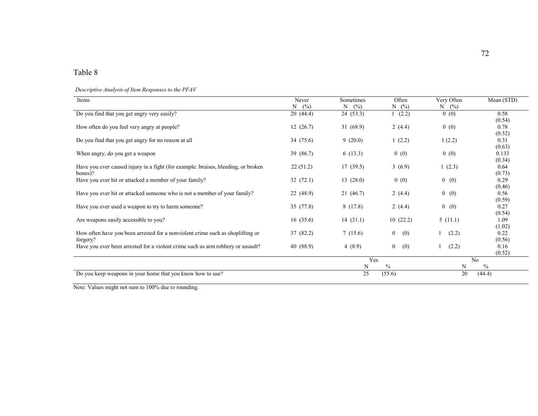# Table 8

*Descriptive Analysis of Item Responses to the PFAV* 

| Items                                                                             | Never     | Sometimes | Often                 | Very Often | Mean (STD)     |
|-----------------------------------------------------------------------------------|-----------|-----------|-----------------------|------------|----------------|
|                                                                                   | N<br>(%)  | (%)<br>N  | $N \quad (\%)$        | (%)<br>N   |                |
| Do you find that you get angry very easily?                                       | 20(44.4)  | 24 (53.3) | (2.2)                 | 0(0)       | 0.58           |
|                                                                                   |           |           |                       |            | (0.54)         |
| How often do you feel very angry at people?                                       | 12(26.7)  | 31(68.9)  | 2 $(4.4)$             | 0(0)       | 0.78           |
|                                                                                   |           |           |                       |            | (0.52)         |
| Do you find that you get angry for no reason at all                               | 34 (75.6) | 9(20.0)   | 1(2.2)                | 1(2.2)     | 0.31           |
|                                                                                   |           |           |                       |            | (0.63)         |
| When angry, do you get a weapon                                                   | 39 (86.7) | 6(13.3)   | 0(0)                  | 0(0)       | 0.133          |
|                                                                                   |           |           |                       |            | (0.34)         |
| Have you ever caused injury in a fight (for example: bruises, bleeding, or broken | 22(51.2)  | 17(39.5)  | 3(6.9)                | 1(2.3)     | 0.64           |
| bones)?                                                                           |           |           |                       |            | (0.73)         |
| Have you ever hit or attacked a member of your family?                            | 32(72.1)  | 13(28.0)  | 0(0)                  | 0(0)       | 0.29           |
| Have you ever hit or attacked someone who is not a member of your family?         | 22(48.9)  | 21 (46.7) | 2 $(4.4)$             | 0(0)       | (0.46)<br>0.56 |
|                                                                                   |           |           |                       |            | (0.59)         |
| Have you ever used a weapon to try to harm someone?                               | 35 (77.8) | 8(17.8)   | 2 $(4.4)$             | 0(0)       | 0.27           |
|                                                                                   |           |           |                       |            | (0.54)         |
| Are weapons easily accessible to you?                                             | 16(35.6)  | 14(31.1)  | 10(22.2)              | 5(11.1)    | 1.09           |
|                                                                                   |           |           |                       |            | (1.02)         |
| How often have you been arrested for a nonviolent crime such as shoplifting or    | 37 (82.2) | 7(15.6)   | $\overline{0}$<br>(0) | (2.2)      | 0.22           |
| forgery?                                                                          |           |           |                       |            | (0.56)         |
| Have you ever been arrested for a violent crime such as arm robbery or assault?   | 40 (88.9) | 4 $(8.9)$ | (0)<br>$\overline{0}$ | (2.2)      | 0.16           |
|                                                                                   |           |           |                       |            | (0.52)         |
|                                                                                   |           | Yes       |                       |            | No             |
|                                                                                   |           | N         | $\%$                  | N          | $\frac{0}{0}$  |
| Do you keep weapons in your home that you know how to use?                        |           | 25        | (55.6)                | 20         | (44.4)         |

Note: Values might not sum to 100% due to rounding.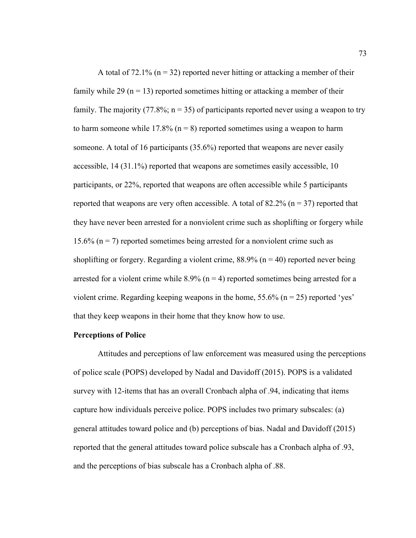A total of  $72.1\%$  (n = 32) reported never hitting or attacking a member of their family while 29 ( $n = 13$ ) reported sometimes hitting or attacking a member of their family. The majority (77.8%;  $n = 35$ ) of participants reported never using a weapon to try to harm someone while 17.8% ( $n = 8$ ) reported sometimes using a weapon to harm someone. A total of 16 participants (35.6%) reported that weapons are never easily accessible, 14 (31.1%) reported that weapons are sometimes easily accessible, 10 participants, or 22%, reported that weapons are often accessible while 5 participants reported that weapons are very often accessible. A total of  $82.2\%$  (n = 37) reported that they have never been arrested for a nonviolent crime such as shoplifting or forgery while 15.6% ( $n = 7$ ) reported sometimes being arrested for a nonviolent crime such as shoplifting or forgery. Regarding a violent crime,  $88.9\%$  (n = 40) reported never being arrested for a violent crime while  $8.9\%$  (n = 4) reported sometimes being arrested for a violent crime. Regarding keeping weapons in the home,  $55.6\%$  (n = 25) reported 'yes' that they keep weapons in their home that they know how to use.

#### **Perceptions of Police**

Attitudes and perceptions of law enforcement was measured using the perceptions of police scale (POPS) developed by Nadal and Davidoff (2015). POPS is a validated survey with 12-items that has an overall Cronbach alpha of .94, indicating that items capture how individuals perceive police. POPS includes two primary subscales: (a) general attitudes toward police and (b) perceptions of bias. Nadal and Davidoff (2015) reported that the general attitudes toward police subscale has a Cronbach alpha of .93, and the perceptions of bias subscale has a Cronbach alpha of .88.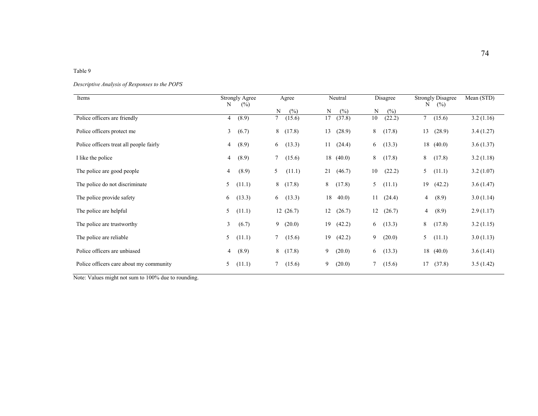#### Table 9

#### *Descriptive Analysis of Responses to the POPS*

| Items                                   | <b>Strongly Agree</b><br>$(\%)$<br>N | Agree                 | Neutral      | Disagree     | <b>Strongly Disagree</b><br>(%)<br>N | Mean (STD) |
|-----------------------------------------|--------------------------------------|-----------------------|--------------|--------------|--------------------------------------|------------|
|                                         |                                      | (%)<br>N              | (%)<br>N     | N<br>(%)     |                                      |            |
| Police officers are friendly            | (8.9)<br>$\overline{4}$              | 7<br>(15.6)           | 17<br>(37.8) | 10<br>(22.2) | $\tau$<br>(15.6)                     | 3.2(1.16)  |
| Police officers protect me              | (6.7)<br>3 <sup>7</sup>              | 8<br>(17.8)           | (28.9)<br>13 | 8<br>(17.8)  | (28.9)<br>13                         | 3.4(1.27)  |
| Police officers treat all people fairly | (8.9)<br>$\overline{4}$              | (13.3)<br>6           | (24.4)<br>11 | (13.3)<br>6  | (40.0)<br>18                         | 3.6(1.37)  |
| I like the police                       | (8.9)<br>$\overline{4}$              | (15.6)<br>$\tau$      | 18(40.0)     | 8<br>(17.8)  | 8<br>(17.8)                          | 3.2(1.18)  |
| The police are good people              | (8.9)<br>$\overline{4}$              | 5<br>(11.1)           | 21<br>(46.7) | (22.2)<br>10 | 5<br>(11.1)                          | 3.2(1.07)  |
| The police do not discriminate          | 5<br>(11.1)                          | 8<br>(17.8)           | (17.8)<br>8  | (11.1)<br>5  | (42.2)<br>19                         | 3.6(1.47)  |
| The police provide safety               | (13.3)<br>6                          | (13.3)<br>6           | 18<br>40.0   | (24.4)<br>11 | (8.9)<br>4                           | 3.0(1.14)  |
| The police are helpful                  | 5<br>(11.1)                          | 12(26.7)              | 12<br>(26.7) | 12<br>(26.7) | (8.9)<br>4                           | 2.9(1.17)  |
| The police are trustworthy              | $\mathbf{3}$<br>(6.7)                | 9<br>(20.0)           | (42.2)<br>19 | (13.3)<br>6  | 8<br>(17.8)                          | 3.2(1.15)  |
| The police are reliable.                | 5<br>(11.1)                          | $7^{\circ}$<br>(15.6) | (42.2)<br>19 | 9<br>(20.0)  | (11.1)<br>5                          | 3.0(1.13)  |
| Police officers are unbiased            | (8.9)<br>$\overline{4}$              | (17.8)<br>8           | 9<br>(20.0)  | (13.3)<br>6  | 18<br>(40.0)                         | 3.6(1.41)  |
| Police officers care about my community | (11.1)<br>5                          | (15.6)<br>7           | 9<br>(20.0)  | (15.6)<br>7  | (37.8)<br>17                         | 3.5(1.42)  |

Note: Values might not sum to 100% due to rounding.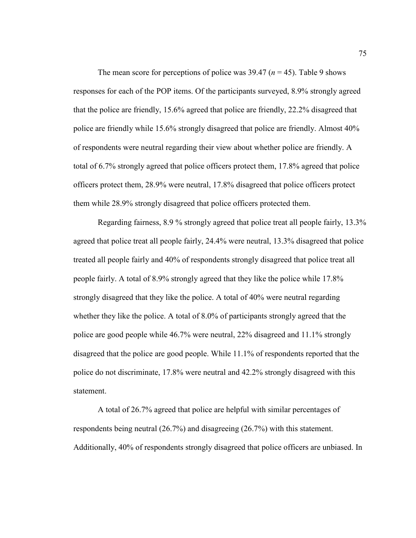The mean score for perceptions of police was  $39.47$  ( $n = 45$ ). Table 9 shows responses for each of the POP items. Of the participants surveyed, 8.9% strongly agreed that the police are friendly, 15.6% agreed that police are friendly, 22.2% disagreed that police are friendly while 15.6% strongly disagreed that police are friendly. Almost 40% of respondents were neutral regarding their view about whether police are friendly. A total of 6.7% strongly agreed that police officers protect them, 17.8% agreed that police officers protect them, 28.9% were neutral, 17.8% disagreed that police officers protect them while 28.9% strongly disagreed that police officers protected them.

Regarding fairness, 8.9 % strongly agreed that police treat all people fairly, 13.3% agreed that police treat all people fairly, 24.4% were neutral, 13.3% disagreed that police treated all people fairly and 40% of respondents strongly disagreed that police treat all people fairly. A total of 8.9% strongly agreed that they like the police while 17.8% strongly disagreed that they like the police. A total of 40% were neutral regarding whether they like the police. A total of 8.0% of participants strongly agreed that the police are good people while 46.7% were neutral, 22% disagreed and 11.1% strongly disagreed that the police are good people. While 11.1% of respondents reported that the police do not discriminate, 17.8% were neutral and 42.2% strongly disagreed with this statement.

A total of 26.7% agreed that police are helpful with similar percentages of respondents being neutral (26.7%) and disagreeing (26.7%) with this statement. Additionally, 40% of respondents strongly disagreed that police officers are unbiased. In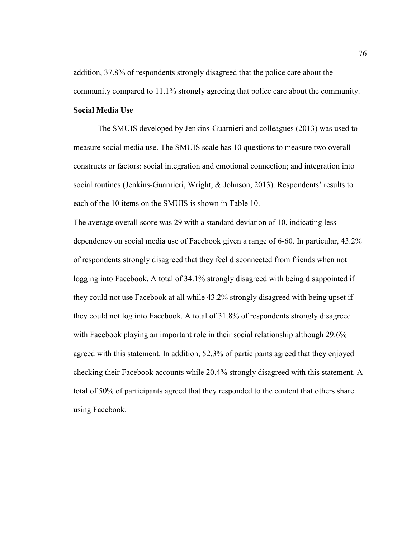addition, 37.8% of respondents strongly disagreed that the police care about the community compared to 11.1% strongly agreeing that police care about the community.

# **Social Media Use**

The SMUIS developed by Jenkins-Guarnieri and colleagues (2013) was used to measure social media use. The SMUIS scale has 10 questions to measure two overall constructs or factors: social integration and emotional connection; and integration into social routines (Jenkins-Guarnieri, Wright, & Johnson, 2013). Respondents' results to each of the 10 items on the SMUIS is shown in Table 10.

The average overall score was 29 with a standard deviation of 10, indicating less dependency on social media use of Facebook given a range of 6-60. In particular, 43.2% of respondents strongly disagreed that they feel disconnected from friends when not logging into Facebook. A total of 34.1% strongly disagreed with being disappointed if they could not use Facebook at all while 43.2% strongly disagreed with being upset if they could not log into Facebook. A total of 31.8% of respondents strongly disagreed with Facebook playing an important role in their social relationship although 29.6% agreed with this statement. In addition, 52.3% of participants agreed that they enjoyed checking their Facebook accounts while 20.4% strongly disagreed with this statement. A total of 50% of participants agreed that they responded to the content that others share using Facebook.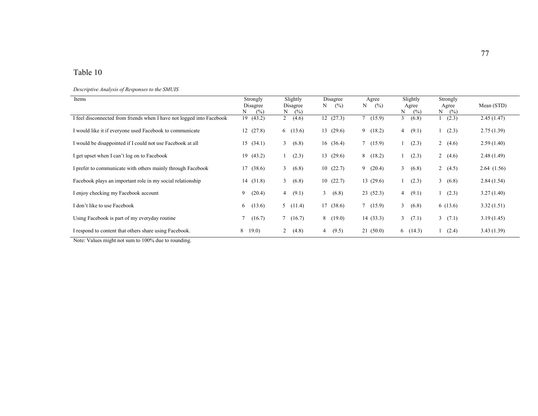# Table 10

*Descriptive Analysis of Responses to the SMUIS* 

| Items                                                                 | Strongly<br>Disagree<br>N<br>(%) | Slightly<br>Disagree<br>Ν<br>(%) | <b>Disagree</b><br>(%)<br>N | Agree<br>N<br>(%) | Slightly<br>Agree<br>N<br>(%) | Strongly<br>Agree<br>(%)<br>N | Mean (STD) |
|-----------------------------------------------------------------------|----------------------------------|----------------------------------|-----------------------------|-------------------|-------------------------------|-------------------------------|------------|
| I feel disconnected from friends when I have not logged into Facebook | 19(43.2)                         | $\overline{2}$<br>(4.6)          | 12(27.3)                    | (15.9)            | (6.8)<br>3                    | (2.3)                         | 2.45(1.47) |
| I would like it if everyone used Facebook to communicate              | 12(27.8)                         | 6(13.6)                          | 13(29.6)                    | 9(18.2)           | (9.1)<br>4                    | (2.3)                         | 2.75(1.39) |
| I would be disappointed if I could not use Facebook at all            | 15(34.1)                         | 3<br>(6.8)                       | 16(36.4)                    | 7(15.9)           | (2.3)                         | $\overline{2}$<br>(4.6)       | 2.59(1.40) |
| I get upset when I can't log on to Facebook                           | 19(43.2)                         | (2.3)                            | 13(29.6)                    | 8(18.2)           | (2.3)                         | $\overline{2}$<br>(4.6)       | 2.48(1.49) |
| I prefer to communicate with others mainly through Facebook           | 17(38.6)                         | 3<br>(6.8)                       | 10(22.7)                    | 9(20.4)           | 3<br>(6.8)                    | 2 $(4.5)$                     | 2.64(1.56) |
| Facebook plays an important role in my social relationship            | 14(31.8)                         | 3<br>(6.8)                       | 10(22.7)                    | 13(29.6)          | (2.3)                         | 3<br>(6.8)                    | 2.84(1.54) |
| I enjoy checking my Facebook account                                  | 9<br>(20.4)                      | (9.1)<br>4                       | 3<br>(6.8)                  | 23(52.3)          | (9.1)<br>$\overline{4}$       | (2.3)                         | 3.27(1.40) |
| I don't like to use Facebook                                          | (13.6)<br>6                      | (11.4)<br>5                      | 17(38.6)                    | 7(15.9)           | $\mathbf{3}$<br>(6.8)         | 6(13.6)                       | 3.32(1.51) |
| Using Facebook is part of my everyday routine                         | (16.7)                           | $7^{\circ}$<br>(16.7)            | 8(19.0)                     | 14 (33.3)         | $\mathbf{3}$<br>(7.1)         | (7.1)<br>$\mathbf{3}$         | 3.19(1.45) |
| I respond to content that others share using Facebook.                | 8<br>19.0)                       | $\overline{2}$<br>(4.8)          | (9.5)<br>4                  | 21(50.0)          | 6(14.3)                       | (2.4)                         | 3.43(1.39) |

Note: Values might not sum to 100% due to rounding.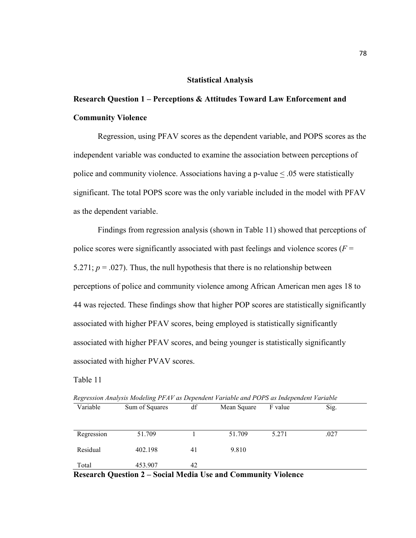#### **Statistical Analysis**

# **Research Question 1 – Perceptions & Attitudes Toward Law Enforcement and Community Violence**

Regression, using PFAV scores as the dependent variable, and POPS scores as the independent variable was conducted to examine the association between perceptions of police and community violence. Associations having a p-value < .05 were statistically significant. The total POPS score was the only variable included in the model with PFAV as the dependent variable.

Findings from regression analysis (shown in Table 11) showed that perceptions of police scores were significantly associated with past feelings and violence scores ( $F =$ 5.271;  $p = .027$ ). Thus, the null hypothesis that there is no relationship between perceptions of police and community violence among African American men ages 18 to 44 was rejected. These findings show that higher POP scores are statistically significantly associated with higher PFAV scores, being employed is statistically significantly associated with higher PFAV scores, and being younger is statistically significantly associated with higher PVAV scores.

Table 11

| Variable   | Sum of Squares | df | Mean Square | F value | Sig. |
|------------|----------------|----|-------------|---------|------|
| Regression | 51.709         |    | 51.709      | 5.271   | .027 |
| Residual   | 402.198        | 41 | 9.810       |         |      |
| Total      | 453.907        | 42 |             |         |      |

*Regression Analysis Modeling PFAV as Dependent Variable and POPS as Independent Variable* 

**Research Question 2 – Social Media Use and Community Violence**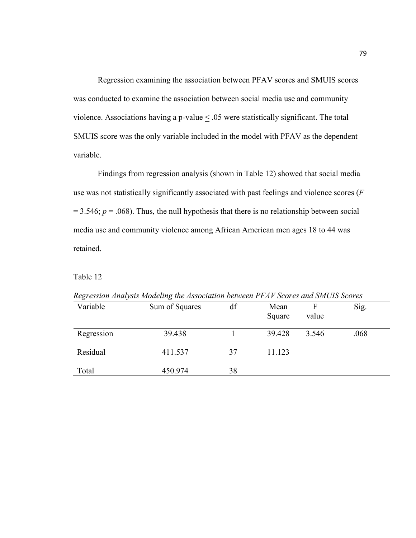Regression examining the association between PFAV scores and SMUIS scores was conducted to examine the association between social media use and community violence. Associations having a p-value  $\leq .05$  were statistically significant. The total SMUIS score was the only variable included in the model with PFAV as the dependent variable.

Findings from regression analysis (shown in Table 12) showed that social media use was not statistically significantly associated with past feelings and violence scores (*F*  $= 3.546$ ;  $p = .068$ ). Thus, the null hypothesis that there is no relationship between social media use and community violence among African American men ages 18 to 44 was retained.

## Table 12

| Regression Analysis Modeling the Association between I PAV Scores and SMOIS Scores |                |    |        |       |      |  |
|------------------------------------------------------------------------------------|----------------|----|--------|-------|------|--|
| Variable                                                                           | Sum of Squares | df | Mean   |       | Sig. |  |
|                                                                                    |                |    | Square | value |      |  |
| Regression                                                                         | 39.438         |    | 39.428 | 3.546 | .068 |  |
| Residual                                                                           | 411.537        | 37 | 11.123 |       |      |  |
| Total                                                                              | 450.974        | 38 |        |       |      |  |

*Regression Analysis Modeling the Association between PFAV Scores and SMUIS Scores*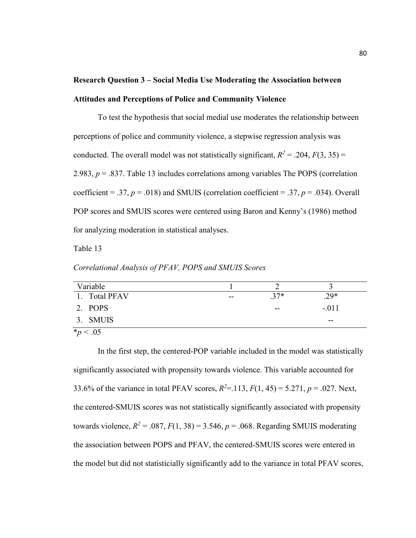# **Research Question 3 – Social Media Use Moderating the Association between Attitudes and Perceptions of Police and Community Violence**

 To test the hypothesis that social medial use moderates the relationship between perceptions of police and community violence, a stepwise regression analysis was conducted. The overall model was not statistically significant,  $R^2 = .204$ ,  $F(3, 35) =$ 2.983, *p* = .837. Table 13 includes correlations among variables The POPS (correlation coefficient = .37,  $p = .018$ ) and SMUIS (correlation coefficient = .37,  $p = .034$ ). Overall POP scores and SMUIS scores were centered using Baron and Kenny's (1986) method for analyzing moderation in statistical analyses.

Table 13

*Correlational Analysis of PFAV, POPS and SMUIS Scores* 

| Variable                               |    |       |         |
|----------------------------------------|----|-------|---------|
| 1. Total PFAV                          | -- | $37*$ | $29*$   |
| 2. POPS                                |    | $- -$ | $-.011$ |
| 3. SMUIS                               |    |       | --      |
| $\mathbf{a}$ $\mathbf{b}$ $\mathbf{c}$ |    |       |         |

 $*_{p}$  < .05

In the first step, the centered-POP variable included in the model was statistically significantly associated with propensity towards violence. This variable accounted for 33.6% of the variance in total PFAV scores,  $R^2 = 113$ ,  $F(1, 45) = 5.271$ ,  $p = .027$ . Next, the centered-SMUIS scores was not statistically significantly associated with propensity towards violence,  $R^2 = .087$ ,  $F(1, 38) = 3.546$ ,  $p = .068$ . Regarding SMUIS moderating the association between POPS and PFAV, the centered-SMUIS scores were entered in the model but did not statisticially significantly add to the variance in total PFAV scores,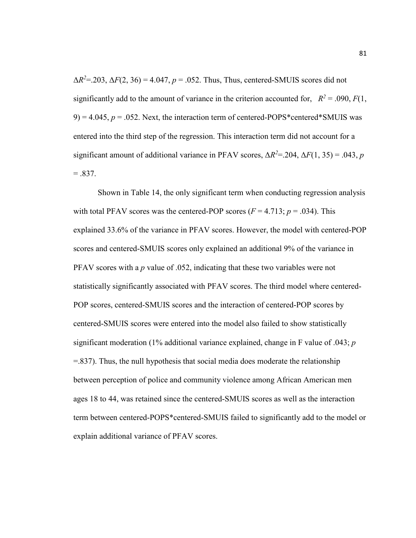$\Delta R^2 = 203$ ,  $\Delta F(2, 36) = 4.047$ ,  $p = 0.052$ . Thus, Thus, centered-SMUIS scores did not significantly add to the amount of variance in the criterion accounted for,  $R^2 = .090, F(1, 1)$  $9$ ) = 4.045,  $p = 0.052$ . Next, the interaction term of centered-POPS\*centered\*SMUIS was entered into the third step of the regression. This interaction term did not account for a significant amount of additional variance in PFAV scores,  $\Delta R^2 = 204$ ,  $\Delta F(1, 35) = 0.043$ , *p*  $=.837.$ 

Shown in Table 14, the only significant term when conducting regression analysis with total PFAV scores was the centered-POP scores  $(F = 4.713; p = .034)$ . This explained 33.6% of the variance in PFAV scores. However, the model with centered-POP scores and centered-SMUIS scores only explained an additional 9% of the variance in PFAV scores with a *p* value of .052, indicating that these two variables were not statistically significantly associated with PFAV scores. The third model where centered-POP scores, centered-SMUIS scores and the interaction of centered-POP scores by centered-SMUIS scores were entered into the model also failed to show statistically significant moderation (1% additional variance explained, change in F value of .043; *p*  =.837). Thus, the null hypothesis that social media does moderate the relationship between perception of police and community violence among African American men ages 18 to 44, was retained since the centered-SMUIS scores as well as the interaction term between centered-POPS\*centered-SMUIS failed to significantly add to the model or explain additional variance of PFAV scores.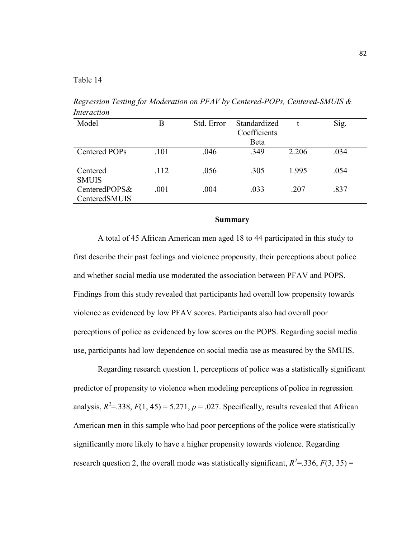Table 14

*Regression Testing for Moderation on PFAV by Centered-POPs, Centered-SMUIS & Interaction* 

| Model                          | Β    | Std. Error | Standardized<br>Coefficients |       | Sig. |
|--------------------------------|------|------------|------------------------------|-------|------|
|                                |      |            | Beta                         |       |      |
| Centered POPs                  | .101 | .046       | .349                         | 2.206 | .034 |
| Centered<br><b>SMUIS</b>       | .112 | .056       | .305                         | 1.995 | .054 |
| CenteredPOPS&<br>CenteredSMUIS | .001 | .004       | .033                         | .207  | .837 |

#### **Summary**

A total of 45 African American men aged 18 to 44 participated in this study to first describe their past feelings and violence propensity, their perceptions about police and whether social media use moderated the association between PFAV and POPS. Findings from this study revealed that participants had overall low propensity towards violence as evidenced by low PFAV scores. Participants also had overall poor perceptions of police as evidenced by low scores on the POPS. Regarding social media use, participants had low dependence on social media use as measured by the SMUIS.

Regarding research question 1, perceptions of police was a statistically significant predictor of propensity to violence when modeling perceptions of police in regression analysis,  $R^2$ =.338,  $F(1, 45)$  = 5.271,  $p$  = .027. Specifically, results revealed that African American men in this sample who had poor perceptions of the police were statistically significantly more likely to have a higher propensity towards violence. Regarding research question 2, the overall mode was statistically significant,  $R^2 = 336$ ,  $F(3, 35) =$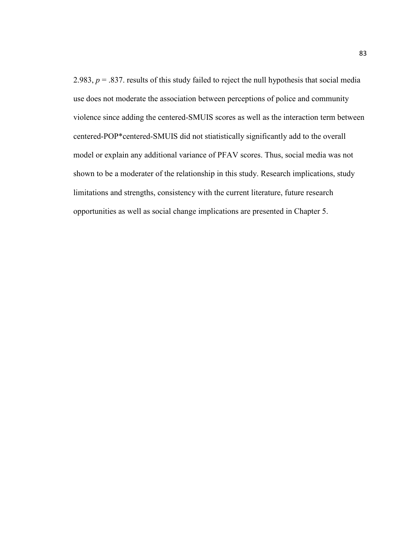2.983,  $p = 0.837$ . results of this study failed to reject the null hypothesis that social media use does not moderate the association between perceptions of police and community violence since adding the centered-SMUIS scores as well as the interaction term between centered-POP\*centered-SMUIS did not stiatistically significantly add to the overall model or explain any additional variance of PFAV scores. Thus, social media was not shown to be a moderater of the relationship in this study. Research implications, study limitations and strengths, consistency with the current literature, future research opportunities as well as social change implications are presented in Chapter 5.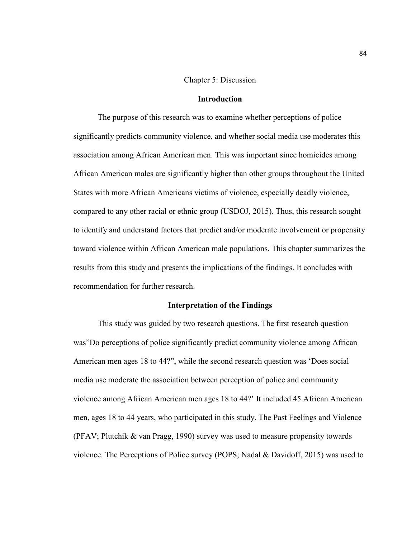#### Chapter 5: Discussion

#### **Introduction**

The purpose of this research was to examine whether perceptions of police significantly predicts community violence, and whether social media use moderates this association among African American men. This was important since homicides among African American males are significantly higher than other groups throughout the United States with more African Americans victims of violence, especially deadly violence, compared to any other racial or ethnic group (USDOJ, 2015). Thus, this research sought to identify and understand factors that predict and/or moderate involvement or propensity toward violence within African American male populations. This chapter summarizes the results from this study and presents the implications of the findings. It concludes with recommendation for further research.

#### **Interpretation of the Findings**

This study was guided by two research questions. The first research question was"Do perceptions of police significantly predict community violence among African American men ages 18 to 44?", while the second research question was 'Does social media use moderate the association between perception of police and community violence among African American men ages 18 to 44?' It included 45 African American men, ages 18 to 44 years, who participated in this study. The Past Feelings and Violence (PFAV; Plutchik & van Pragg, 1990) survey was used to measure propensity towards violence. The Perceptions of Police survey (POPS; Nadal & Davidoff, 2015) was used to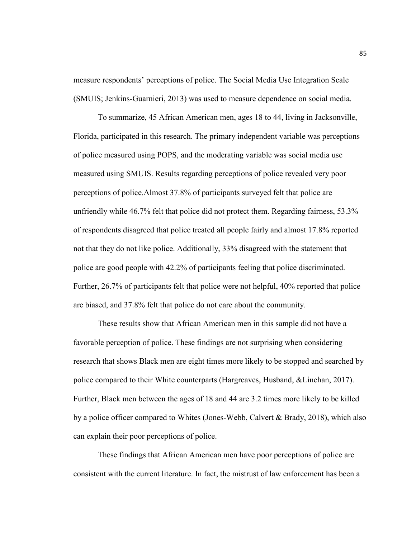measure respondents' perceptions of police. The Social Media Use Integration Scale (SMUIS; Jenkins-Guarnieri, 2013) was used to measure dependence on social media.

To summarize, 45 African American men, ages 18 to 44, living in Jacksonville, Florida, participated in this research. The primary independent variable was perceptions of police measured using POPS, and the moderating variable was social media use measured using SMUIS. Results regarding perceptions of police revealed very poor perceptions of police.Almost 37.8% of participants surveyed felt that police are unfriendly while 46.7% felt that police did not protect them. Regarding fairness, 53.3% of respondents disagreed that police treated all people fairly and almost 17.8% reported not that they do not like police. Additionally, 33% disagreed with the statement that police are good people with 42.2% of participants feeling that police discriminated. Further, 26.7% of participants felt that police were not helpful, 40% reported that police are biased, and 37.8% felt that police do not care about the community.

These results show that African American men in this sample did not have a favorable perception of police. These findings are not surprising when considering research that shows Black men are eight times more likely to be stopped and searched by police compared to their White counterparts (Hargreaves, Husband, &Linehan, 2017). Further, Black men between the ages of 18 and 44 are 3.2 times more likely to be killed by a police officer compared to Whites (Jones-Webb, Calvert & Brady, 2018), which also can explain their poor perceptions of police.

These findings that African American men have poor perceptions of police are consistent with the current literature. In fact, the mistrust of law enforcement has been a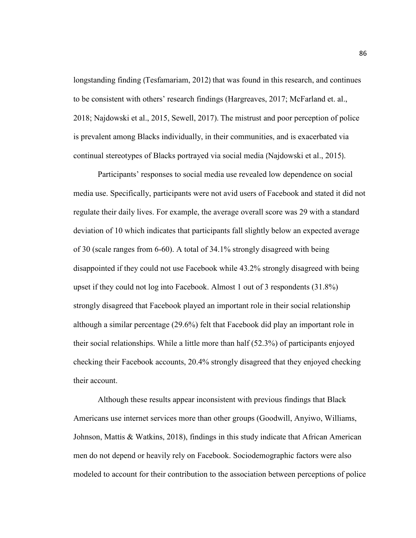longstanding finding (Tesfamariam, 2012) that was found in this research, and continues to be consistent with others' research findings (Hargreaves, 2017; McFarland et. al., 2018; Najdowski et al., 2015, Sewell, 2017). The mistrust and poor perception of police is prevalent among Blacks individually, in their communities, and is exacerbated via continual stereotypes of Blacks portrayed via social media (Najdowski et al., 2015).

Participants' responses to social media use revealed low dependence on social media use. Specifically, participants were not avid users of Facebook and stated it did not regulate their daily lives. For example, the average overall score was 29 with a standard deviation of 10 which indicates that participants fall slightly below an expected average of 30 (scale ranges from 6-60). A total of 34.1% strongly disagreed with being disappointed if they could not use Facebook while 43.2% strongly disagreed with being upset if they could not log into Facebook. Almost 1 out of 3 respondents (31.8%) strongly disagreed that Facebook played an important role in their social relationship although a similar percentage (29.6%) felt that Facebook did play an important role in their social relationships. While a little more than half (52.3%) of participants enjoyed checking their Facebook accounts, 20.4% strongly disagreed that they enjoyed checking their account.

Although these results appear inconsistent with previous findings that Black Americans use internet services more than other groups (Goodwill, Anyiwo, Williams, Johnson, Mattis & Watkins, 2018), findings in this study indicate that African American men do not depend or heavily rely on Facebook. Sociodemographic factors were also modeled to account for their contribution to the association between perceptions of police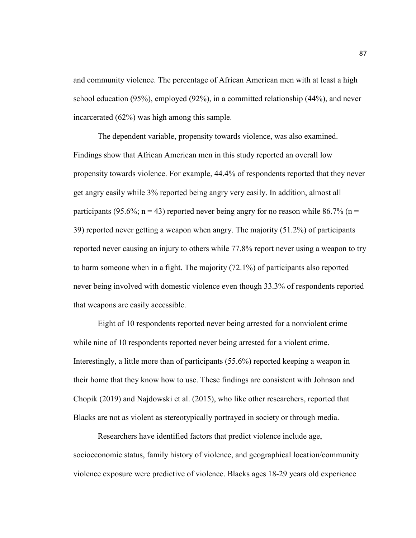and community violence. The percentage of African American men with at least a high school education (95%), employed (92%), in a committed relationship (44%), and never incarcerated (62%) was high among this sample.

The dependent variable, propensity towards violence, was also examined. Findings show that African American men in this study reported an overall low propensity towards violence. For example, 44.4% of respondents reported that they never get angry easily while 3% reported being angry very easily. In addition, almost all participants (95.6%;  $n = 43$ ) reported never being angry for no reason while 86.7% ( $n =$ 39) reported never getting a weapon when angry. The majority (51.2%) of participants reported never causing an injury to others while 77.8% report never using a weapon to try to harm someone when in a fight. The majority (72.1%) of participants also reported never being involved with domestic violence even though 33.3% of respondents reported that weapons are easily accessible.

Eight of 10 respondents reported never being arrested for a nonviolent crime while nine of 10 respondents reported never being arrested for a violent crime. Interestingly, a little more than of participants (55.6%) reported keeping a weapon in their home that they know how to use. These findings are consistent with Johnson and Chopik (2019) and Najdowski et al. (2015), who like other researchers, reported that Blacks are not as violent as stereotypically portrayed in society or through media.

Researchers have identified factors that predict violence include age, socioeconomic status, family history of violence, and geographical location/community violence exposure were predictive of violence. Blacks ages 18-29 years old experience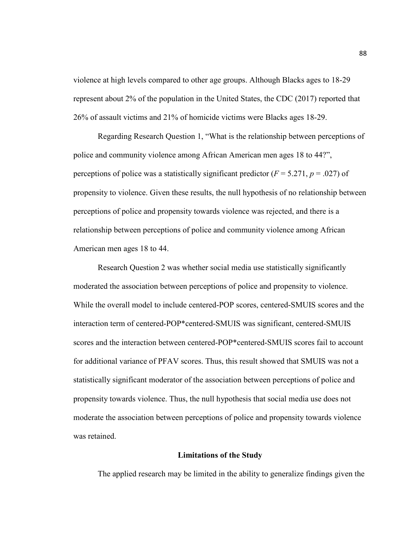violence at high levels compared to other age groups. Although Blacks ages to 18-29 represent about 2% of the population in the United States, the CDC (2017) reported that 26% of assault victims and 21% of homicide victims were Blacks ages 18-29.

Regarding Research Question 1, "What is the relationship between perceptions of police and community violence among African American men ages 18 to 44?", perceptions of police was a statistically significant predictor  $(F = 5.271, p = .027)$  of propensity to violence. Given these results, the null hypothesis of no relationship between perceptions of police and propensity towards violence was rejected, and there is a relationship between perceptions of police and community violence among African American men ages 18 to 44.

Research Question 2 was whether social media use statistically significantly moderated the association between perceptions of police and propensity to violence. While the overall model to include centered-POP scores, centered-SMUIS scores and the interaction term of centered-POP\*centered-SMUIS was significant, centered-SMUIS scores and the interaction between centered-POP\*centered-SMUIS scores fail to account for additional variance of PFAV scores. Thus, this result showed that SMUIS was not a statistically significant moderator of the association between perceptions of police and propensity towards violence. Thus, the null hypothesis that social media use does not moderate the association between perceptions of police and propensity towards violence was retained.

### **Limitations of the Study**

The applied research may be limited in the ability to generalize findings given the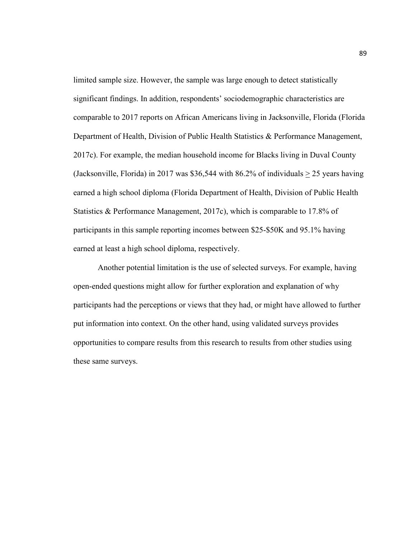limited sample size. However, the sample was large enough to detect statistically significant findings. In addition, respondents' sociodemographic characteristics are comparable to 2017 reports on African Americans living in Jacksonville, Florida (Florida Department of Health, Division of Public Health Statistics & Performance Management, 2017c). For example, the median household income for Blacks living in Duval County (Jacksonville, Florida) in 2017 was \$36,544 with 86.2% of individuals > 25 years having earned a high school diploma (Florida Department of Health, Division of Public Health Statistics & Performance Management, 2017c), which is comparable to 17.8% of participants in this sample reporting incomes between \$25-\$50K and 95.1% having earned at least a high school diploma, respectively.

Another potential limitation is the use of selected surveys. For example, having open-ended questions might allow for further exploration and explanation of why participants had the perceptions or views that they had, or might have allowed to further put information into context. On the other hand, using validated surveys provides opportunities to compare results from this research to results from other studies using these same surveys.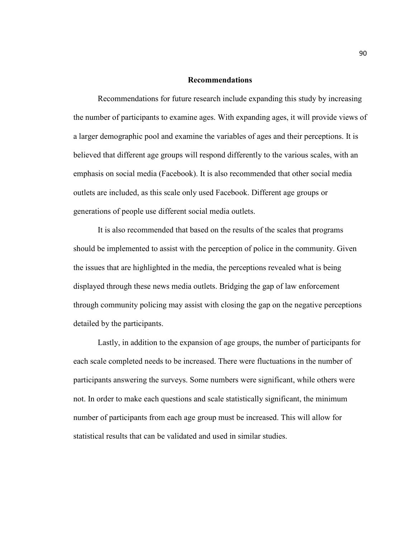#### **Recommendations**

Recommendations for future research include expanding this study by increasing the number of participants to examine ages. With expanding ages, it will provide views of a larger demographic pool and examine the variables of ages and their perceptions. It is believed that different age groups will respond differently to the various scales, with an emphasis on social media (Facebook). It is also recommended that other social media outlets are included, as this scale only used Facebook. Different age groups or generations of people use different social media outlets.

 It is also recommended that based on the results of the scales that programs should be implemented to assist with the perception of police in the community. Given the issues that are highlighted in the media, the perceptions revealed what is being displayed through these news media outlets. Bridging the gap of law enforcement through community policing may assist with closing the gap on the negative perceptions detailed by the participants.

 Lastly, in addition to the expansion of age groups, the number of participants for each scale completed needs to be increased. There were fluctuations in the number of participants answering the surveys. Some numbers were significant, while others were not. In order to make each questions and scale statistically significant, the minimum number of participants from each age group must be increased. This will allow for statistical results that can be validated and used in similar studies.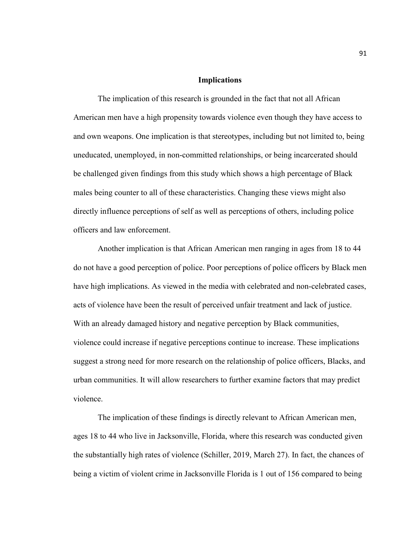#### **Implications**

The implication of this research is grounded in the fact that not all African American men have a high propensity towards violence even though they have access to and own weapons. One implication is that stereotypes, including but not limited to, being uneducated, unemployed, in non-committed relationships, or being incarcerated should be challenged given findings from this study which shows a high percentage of Black males being counter to all of these characteristics. Changing these views might also directly influence perceptions of self as well as perceptions of others, including police officers and law enforcement.

Another implication is that African American men ranging in ages from 18 to 44 do not have a good perception of police. Poor perceptions of police officers by Black men have high implications. As viewed in the media with celebrated and non-celebrated cases, acts of violence have been the result of perceived unfair treatment and lack of justice. With an already damaged history and negative perception by Black communities, violence could increase if negative perceptions continue to increase. These implications suggest a strong need for more research on the relationship of police officers, Blacks, and urban communities. It will allow researchers to further examine factors that may predict violence.

The implication of these findings is directly relevant to African American men, ages 18 to 44 who live in Jacksonville, Florida, where this research was conducted given the substantially high rates of violence (Schiller, 2019, March 27). In fact, the chances of being a victim of violent crime in Jacksonville Florida is 1 out of 156 compared to being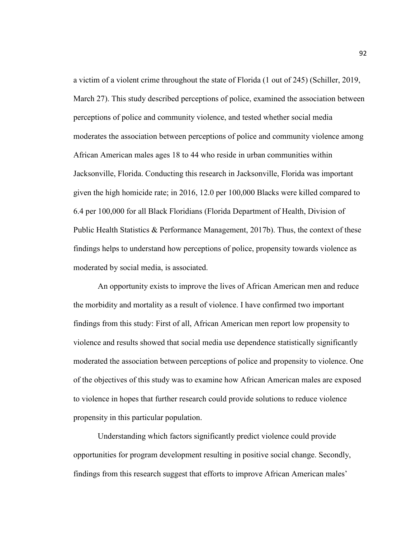a victim of a violent crime throughout the state of Florida (1 out of 245) (Schiller, 2019, March 27). This study described perceptions of police, examined the association between perceptions of police and community violence, and tested whether social media moderates the association between perceptions of police and community violence among African American males ages 18 to 44 who reside in urban communities within Jacksonville, Florida. Conducting this research in Jacksonville, Florida was important given the high homicide rate; in 2016, 12.0 per 100,000 Blacks were killed compared to 6.4 per 100,000 for all Black Floridians (Florida Department of Health, Division of Public Health Statistics & Performance Management, 2017b). Thus, the context of these findings helps to understand how perceptions of police, propensity towards violence as moderated by social media, is associated.

An opportunity exists to improve the lives of African American men and reduce the morbidity and mortality as a result of violence. I have confirmed two important findings from this study: First of all, African American men report low propensity to violence and results showed that social media use dependence statistically significantly moderated the association between perceptions of police and propensity to violence. One of the objectives of this study was to examine how African American males are exposed to violence in hopes that further research could provide solutions to reduce violence propensity in this particular population.

Understanding which factors significantly predict violence could provide opportunities for program development resulting in positive social change. Secondly, findings from this research suggest that efforts to improve African American males'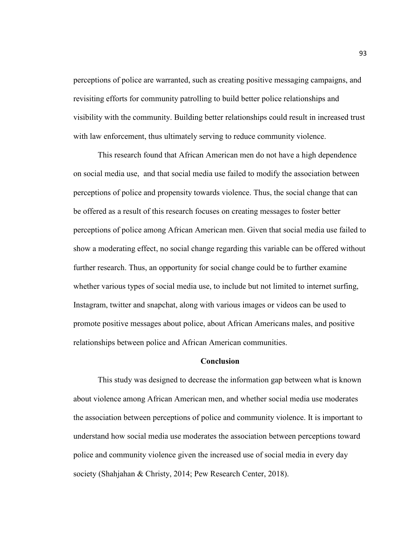perceptions of police are warranted, such as creating positive messaging campaigns, and revisiting efforts for community patrolling to build better police relationships and visibility with the community. Building better relationships could result in increased trust with law enforcement, thus ultimately serving to reduce community violence.

This research found that African American men do not have a high dependence on social media use, and that social media use failed to modify the association between perceptions of police and propensity towards violence. Thus, the social change that can be offered as a result of this research focuses on creating messages to foster better perceptions of police among African American men. Given that social media use failed to show a moderating effect, no social change regarding this variable can be offered without further research. Thus, an opportunity for social change could be to further examine whether various types of social media use, to include but not limited to internet surfing, Instagram, twitter and snapchat, along with various images or videos can be used to promote positive messages about police, about African Americans males, and positive relationships between police and African American communities.

#### **Conclusion**

This study was designed to decrease the information gap between what is known about violence among African American men, and whether social media use moderates the association between perceptions of police and community violence. It is important to understand how social media use moderates the association between perceptions toward police and community violence given the increased use of social media in every day society (Shahjahan & Christy, 2014; Pew Research Center, 2018).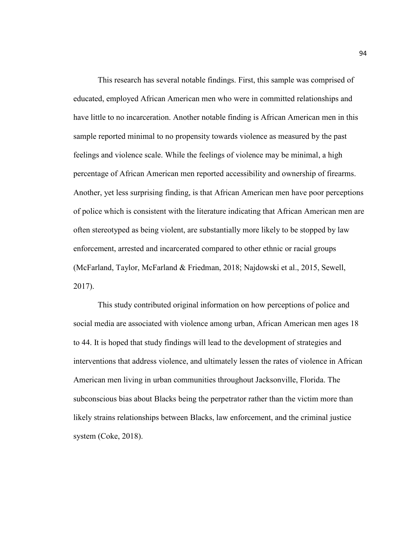This research has several notable findings. First, this sample was comprised of educated, employed African American men who were in committed relationships and have little to no incarceration. Another notable finding is African American men in this sample reported minimal to no propensity towards violence as measured by the past feelings and violence scale. While the feelings of violence may be minimal, a high percentage of African American men reported accessibility and ownership of firearms. Another, yet less surprising finding, is that African American men have poor perceptions of police which is consistent with the literature indicating that African American men are often stereotyped as being violent, are substantially more likely to be stopped by law enforcement, arrested and incarcerated compared to other ethnic or racial groups (McFarland, Taylor, McFarland & Friedman, 2018; Najdowski et al., 2015, Sewell, 2017).

This study contributed original information on how perceptions of police and social media are associated with violence among urban, African American men ages 18 to 44. It is hoped that study findings will lead to the development of strategies and interventions that address violence, and ultimately lessen the rates of violence in African American men living in urban communities throughout Jacksonville, Florida. The subconscious bias about Blacks being the perpetrator rather than the victim more than likely strains relationships between Blacks, law enforcement, and the criminal justice system (Coke, 2018).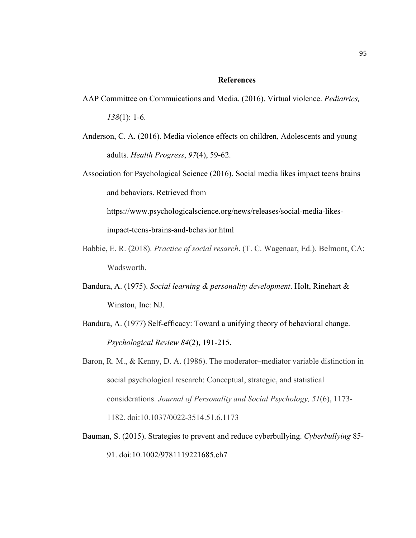#### **References**

- AAP Committee on Commuications and Media. (2016). Virtual violence. *Pediatrics, 138*(1): 1-6.
- Anderson, C. A. (2016). Media violence effects on children, Adolescents and young adults. *Health Progress*, *97*(4), 59-62.
- Association for Psychological Science (2016). Social media likes impact teens brains and behaviors. Retrieved from

https://www.psychologicalscience.org/news/releases/social-media-likesimpact-teens-brains-and-behavior.html

- Babbie, E. R. (2018). *Practice of social resarch*. (T. C. Wagenaar, Ed.). Belmont, CA: Wadsworth.
- Bandura, A. (1975). *Social learning & personality development*. Holt, Rinehart & Winston, Inc: NJ.
- Bandura, A. (1977) Self-efficacy: Toward a unifying theory of behavioral change. *Psychological Review 84*(2), 191-215.
- Baron, R. M., & Kenny, D. A. (1986). The moderator–mediator variable distinction in social psychological research: Conceptual, strategic, and statistical considerations. *Journal of Personality and Social Psychology, 51*(6), 1173- 1182. doi:10.1037/0022-3514.51.6.1173
- Bauman, S. (2015). Strategies to prevent and reduce cyberbullying. *Cyberbullying* 85- 91. doi:10.1002/9781119221685.ch7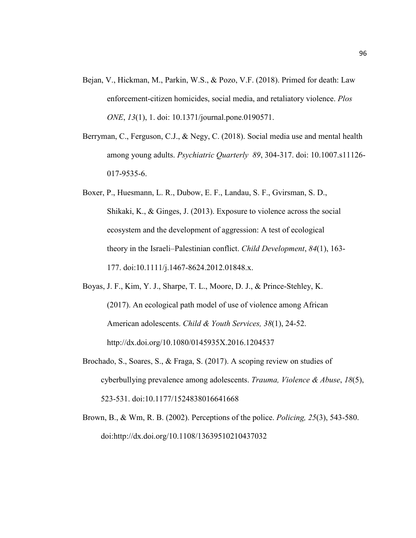- Bejan, V., Hickman, M., Parkin, W.S., & Pozo, V.F. (2018). Primed for death: Law enforcement-citizen homicides, social media, and retaliatory violence. *Plos ONE*, *13*(1), 1. doi: 10.1371/journal.pone.0190571.
- Berryman, C., Ferguson, C.J., & Negy, C. (2018). Social media use and mental health among young adults. *Psychiatric Quarterly 89*, 304-317. doi: 10.1007.s11126- 017-9535-6.
- Boxer, P., Huesmann, L. R., Dubow, E. F., Landau, S. F., Gvirsman, S. D., Shikaki, K., & Ginges, J. (2013). Exposure to violence across the social ecosystem and the development of aggression: A test of ecological theory in the Israeli–Palestinian conflict. *Child Development*, *84*(1), 163- 177. doi:10.1111/j.1467-8624.2012.01848.x.
- Boyas, J. F., Kim, Y. J., Sharpe, T. L., Moore, D. J., & Prince-Stehley, K. (2017). An ecological path model of use of violence among African American adolescents. *Child & Youth Services, 38*(1), 24-52. http://dx.doi.org/10.1080/0145935X.2016.1204537
- Brochado, S., Soares, S., & Fraga, S. (2017). A scoping review on studies of cyberbullying prevalence among adolescents. *Trauma, Violence & Abuse*, *18*(5), 523-531. doi:10.1177/1524838016641668
- Brown, B., & Wm, R. B. (2002). Perceptions of the police. *Policing, 25*(3), 543-580. doi:http://dx.doi.org/10.1108/13639510210437032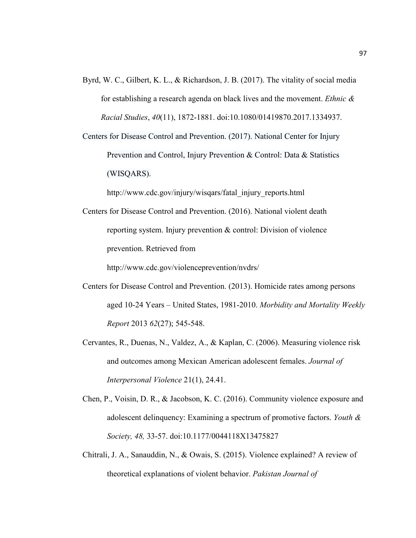Byrd, W. C., Gilbert, K. L., & Richardson, J. B. (2017). The vitality of social media for establishing a research agenda on black lives and the movement. *Ethnic & Racial Studies*, *40*(11), 1872-1881. doi:10.1080/01419870.2017.1334937.

Centers for Disease Control and Prevention. (2017). National Center for Injury Prevention and Control, Injury Prevention & Control: Data & Statistics (WISQARS).

http://www.cdc.gov/injury/wisqars/fatal\_injury\_reports.html

Centers for Disease Control and Prevention. (2016). National violent death reporting system. Injury prevention & control: Division of violence prevention. Retrieved from

http://www.cdc.gov/violenceprevention/nvdrs/

- Centers for Disease Control and Prevention. (2013). Homicide rates among persons aged 10-24 Years – United States, 1981-2010. *Morbidity and Mortality Weekly Report* 2013 *62*(27); 545-548.
- Cervantes, R., Duenas, N., Valdez, A., & Kaplan, C. (2006). Measuring violence risk and outcomes among Mexican American adolescent females. *Journal of Interpersonal Violence* 21(1), 24.41.
- Chen, P., Voisin, D. R., & Jacobson, K. C. (2016). Community violence exposure and adolescent delinquency: Examining a spectrum of promotive factors. *Youth & Society, 48,* 33-57. doi:10.1177/0044118X13475827
- Chitrali, J. A., Sanauddin, N., & Owais, S. (2015). Violence explained? A review of theoretical explanations of violent behavior. *Pakistan Journal of*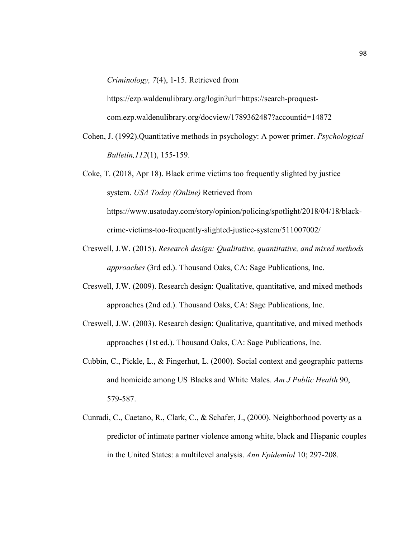*Criminology, 7*(4), 1-15. Retrieved from

https://ezp.waldenulibrary.org/login?url=https://search-proquestcom.ezp.waldenulibrary.org/docview/1789362487?accountid=14872

Cohen, J. (1992).Quantitative methods in psychology: A power primer. *Psychological Bulletin,112*(1), 155-159.

Coke, T. (2018, Apr 18). Black crime victims too frequently slighted by justice system. *USA Today (Online)* Retrieved from https://www.usatoday.com/story/opinion/policing/spotlight/2018/04/18/blackcrime-victims-too-frequently-slighted-justice-system/511007002/

- Creswell, J.W. (2015). *Research design: Qualitative, quantitative, and mixed methods approaches* (3rd ed.). Thousand Oaks, CA: Sage Publications, Inc.
- Creswell, J.W. (2009). Research design: Qualitative, quantitative, and mixed methods approaches (2nd ed.). Thousand Oaks, CA: Sage Publications, Inc.
- Creswell, J.W. (2003). Research design: Qualitative, quantitative, and mixed methods approaches (1st ed.). Thousand Oaks, CA: Sage Publications, Inc.
- Cubbin, C., Pickle, L., & Fingerhut, L. (2000). Social context and geographic patterns and homicide among US Blacks and White Males. *Am J Public Health* 90, 579-587.
- Cunradi, C., Caetano, R., Clark, C., & Schafer, J., (2000). Neighborhood poverty as a predictor of intimate partner violence among white, black and Hispanic couples in the United States: a multilevel analysis. *Ann Epidemiol* 10; 297-208.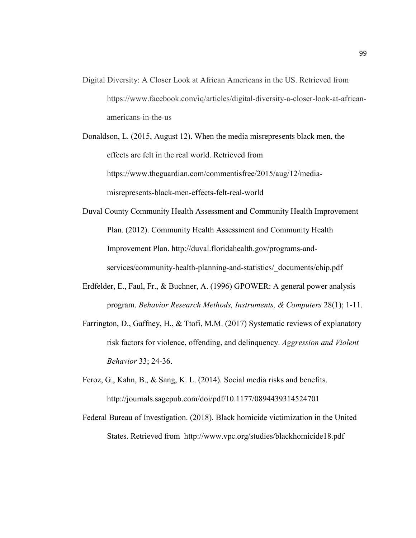- Digital Diversity: A Closer Look at African Americans in the US. Retrieved from https://www.facebook.com/iq/articles/digital-diversity-a-closer-look-at-africanamericans-in-the-us
- Donaldson, L. (2015, August 12). When the media misrepresents black men, the effects are felt in the real world. Retrieved from https://www.theguardian.com/commentisfree/2015/aug/12/mediamisrepresents-black-men-effects-felt-real-world
- Duval County Community Health Assessment and Community Health Improvement Plan. (2012). Community Health Assessment and Community Health Improvement Plan. http://duval.floridahealth.gov/programs-andservices/community-health-planning-and-statistics/\_documents/chip.pdf
- Erdfelder, E., Faul, Fr., & Buchner, A. (1996) GPOWER: A general power analysis program. *Behavior Research Methods, Instruments, & Computers* 28(1); 1-11.
- Farrington, D., Gaffney, H., & Ttofi, M.M. (2017) Systematic reviews of explanatory risk factors for violence, offending, and delinquency. *Aggression and Violent Behavior* 33; 24-36.
- Feroz, G., Kahn, B., & Sang, K. L. (2014). Social media risks and benefits. http://journals.sagepub.com/doi/pdf/10.1177/0894439314524701
- Federal Bureau of Investigation. (2018). Black homicide victimization in the United States. Retrieved from http://www.vpc.org/studies/blackhomicide18.pdf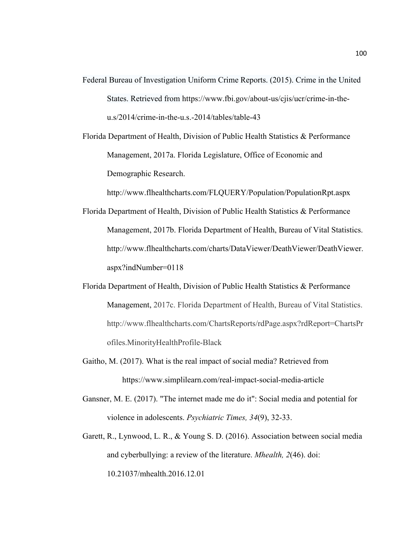- Federal Bureau of Investigation Uniform Crime Reports. (2015). Crime in the United States. Retrieved from https://www.fbi.gov/about-us/cjis/ucr/crime-in-theu.s/2014/crime-in-the-u.s.-2014/tables/table-43
- Florida Department of Health, Division of Public Health Statistics & Performance Management, 2017a. Florida Legislature, Office of Economic and Demographic Research.

http://www.flhealthcharts.com/FLQUERY/Population/PopulationRpt.aspx

- Florida Department of Health, Division of Public Health Statistics & Performance Management, 2017b. Florida Department of Health, Bureau of Vital Statistics. http://www.flhealthcharts.com/charts/DataViewer/DeathViewer/DeathViewer. aspx?indNumber=0118
- Florida Department of Health, Division of Public Health Statistics & Performance Management, 2017c. Florida Department of Health, Bureau of Vital Statistics. http://www.flhealthcharts.com/ChartsReports/rdPage.aspx?rdReport=ChartsPr ofiles.MinorityHealthProfile-Black
- Gaitho, M. (2017). What is the real impact of social media? Retrieved from https://www.simplilearn.com/real-impact-social-media-article
- Gansner, M. E. (2017). "The internet made me do it": Social media and potential for violence in adolescents. *Psychiatric Times, 34*(9), 32-33.
- Garett, R., Lynwood, L. R., & Young S. D. (2016). Association between social media and cyberbullying: a review of the literature. *Mhealth, 2*(46). doi: 10.21037/mhealth.2016.12.01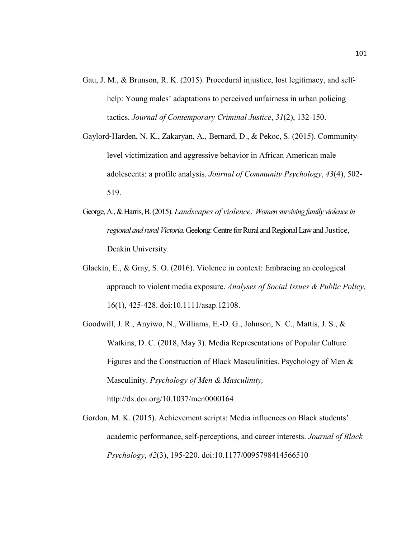- Gau, J. M., & Brunson, R. K. (2015). Procedural injustice, lost legitimacy, and selfhelp: Young males' adaptations to perceived unfairness in urban policing tactics. *Journal of Contemporary Criminal Justice*, *31*(2), 132-150.
- Gaylord‐Harden, N. K., Zakaryan, A., Bernard, D., & Pekoc, S. (2015). Communitylevel victimization and aggressive behavior in African American male adolescents: a profile analysis. *Journal of Community Psychology*, *43*(4), 502- 519.
- George, A., & Harris, B. (2015). *Landscapes of violence: Women surviving family violence in regional and rural Victoria*. Geelong: Centre for Rural and Regional Law and Justice, Deakin University.
- Glackin, E., & Gray, S. O. (2016). Violence in context: Embracing an ecological approach to violent media exposure. *Analyses of Social Issues & Public Policy,* 16(1), 425-428. doi:10.1111/asap.12108.
- Goodwill, J. R., Anyiwo, N., Williams, E.-D. G., Johnson, N. C., Mattis, J. S., & Watkins, D. C. (2018, May 3). Media Representations of Popular Culture Figures and the Construction of Black Masculinities. Psychology of Men & Masculinity. *Psychology of Men & Masculinity,*  http://dx.doi.org/10.1037/men0000164
- Gordon, M. K. (2015). Achievement scripts: Media influences on Black students' academic performance, self-perceptions, and career interests. *Journal of Black Psychology*, *42*(3), 195-220. doi:10.1177/0095798414566510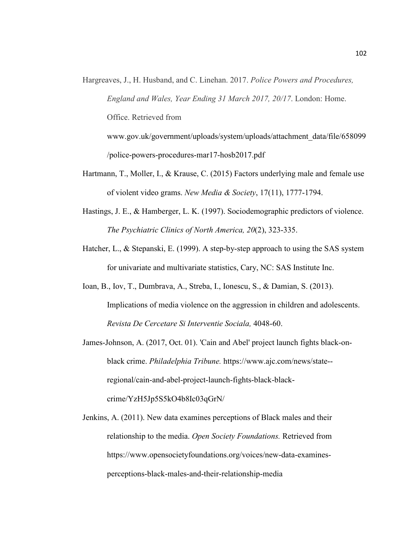- Hargreaves, J., H. Husband, and C. Linehan. 2017. *Police Powers and Procedures, England and Wales, Year Ending 31 March 2017, 20/17*. London: Home. Office. Retrieved from www.gov.uk/government/uploads/system/uploads/attachment\_data/file/658099
	- /police-powers-procedures-mar17-hosb2017.pdf
- Hartmann, T., Moller, I., & Krause, C. (2015) Factors underlying male and female use of violent video grams. *New Media & Society*, 17(11), 1777-1794.
- Hastings, J. E., & Hamberger, L. K. (1997). Sociodemographic predictors of violence. *The Psychiatric Clinics of North America, 20*(2), 323-335.
- Hatcher, L., & Stepanski, E. (1999). A step-by-step approach to using the SAS system for univariate and multivariate statistics, Cary, NC: SAS Institute Inc.
- Ioan, B., Iov, T., Dumbrava, A., Streba, I., Ionescu, S., & Damian, S. (2013). Implications of media violence on the aggression in children and adolescents. *Revista De Cercetare Si Interventie Sociala,* 4048-60.
- James-Johnson, A. (2017, Oct. 01). 'Cain and Abel' project launch fights black-onblack crime. *Philadelphia Tribune.* https://www.ajc.com/news/state- regional/cain-and-abel-project-launch-fights-black-blackcrime/YzH5Jp5S5kO4b8Ic03qGrN/
- Jenkins, A. (2011). New data examines perceptions of Black males and their relationship to the media. *Open Society Foundations.* Retrieved from https://www.opensocietyfoundations.org/voices/new-data-examinesperceptions-black-males-and-their-relationship-media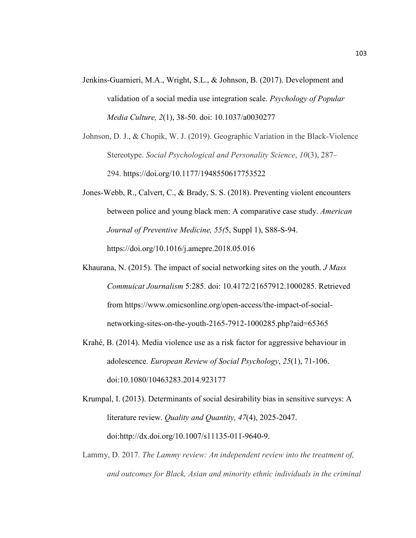- Jenkins-Guarnieri, M.A., Wright, S.L., & Johnson, B. (2017). Development and validation of a social media use integration scale. *Psychology of Popular Media Culture, 2*(1), 38-50. doi: 10.1037/a0030277
- Johnson, D. J., & Chopik, W. J. (2019). Geographic Variation in the Black-Violence Stereotype. *Social Psychological and Personality Science*, *10*(3), 287– 294. https://doi.org/10.1177/1948550617753522
- Jones-Webb, R., Calvert, C., & Brady, S. S. (2018). Preventing violent encounters between police and young black men: A comparative case study. *American Journal of Preventive Medicine, 55(*5, Suppl 1), S88-S-94. https://doi.org/10.1016/j.amepre.2018.05.016
- Khaurana, N. (2015). The impact of social networking sites on the youth. *J Mass Commuicat Journalism* 5:285. doi: 10.4172/21657912.1000285. Retrieved from https://www.omicsonline.org/open-access/the-impact-of-socialnetworking-sites-on-the-youth-2165-7912-1000285.php?aid=65365
- Krahé, B. (2014). Media violence use as a risk factor for aggressive behaviour in adolescence. *European Review of Social Psychology*, *25*(1), 71-106. doi:10.1080/10463283.2014.923177
- Krumpal, I. (2013). Determinants of social desirability bias in sensitive surveys: A literature review. *Quality and Quantity, 47*(4), 2025-2047. doi:http://dx.doi.org/10.1007/s11135-011-9640-9.
- Lammy, D. 2017. *The Lammy review: An independent review into the treatment of, and outcomes for Black, Asian and minority ethnic individuals in the criminal*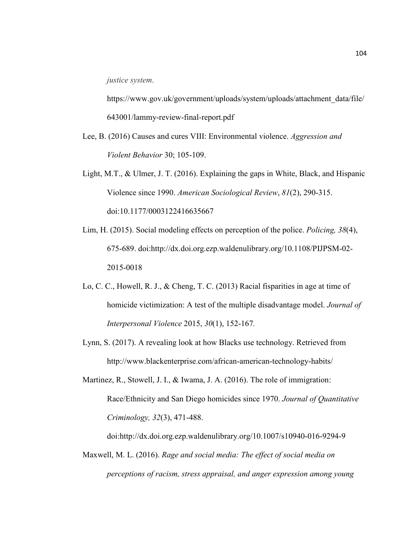*justice system*.

https://www.gov.uk/government/uploads/system/uploads/attachment\_data/file/ 643001/lammy-review-final-report.pdf

- Lee, B. (2016) Causes and cures VIII: Environmental violence. *Aggression and Violent Behavior* 30; 105-109.
- Light, M.T., & Ulmer, J. T. (2016). Explaining the gaps in White, Black, and Hispanic Violence since 1990. *American Sociological Review*, *81*(2), 290-315. doi:10.1177/0003122416635667
- Lim, H. (2015). Social modeling effects on perception of the police. *Policing, 38*(4), 675-689. doi:http://dx.doi.org.ezp.waldenulibrary.org/10.1108/PIJPSM-02- 2015-0018
- Lo, C. C., Howell, R. J., & Cheng, T. C. (2013) Racial fisparities in age at time of homicide victimization: A test of the multiple disadvantage model. *Journal of Interpersonal Violence* 2015, *30*(1), 152-167*.*
- Lynn, S. (2017). A revealing look at how Blacks use technology. Retrieved from http://www.blackenterprise.com/african-american-technology-habits/
- Martinez, R., Stowell, J. I., & Iwama, J. A. (2016). The role of immigration: Race/Ethnicity and San Diego homicides since 1970. *Journal of Quantitative Criminology, 32*(3), 471-488.

doi:http://dx.doi.org.ezp.waldenulibrary.org/10.1007/s10940-016-9294-9

Maxwell, M. L. (2016). *Rage and social media: The effect of social media on perceptions of racism, stress appraisal, and anger expression among young*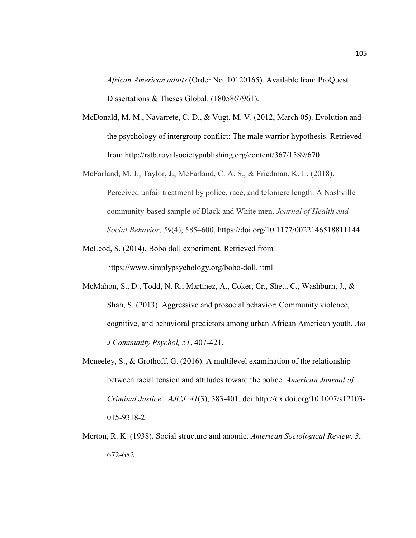*African American adults* (Order No. 10120165). Available from ProQuest Dissertations & Theses Global. (1805867961).

- McDonald, M. M., Navarrete, C. D., & Vugt, M. V. (2012, March 05). Evolution and the psychology of intergroup conflict: The male warrior hypothesis. Retrieved from http://rstb.royalsocietypublishing.org/content/367/1589/670
- McFarland, M. J., Taylor, J., McFarland, C. A. S., & Friedman, K. L. (2018). Perceived unfair treatment by police, race, and telomere length: A Nashville community-based sample of Black and White men. *Journal of Health and Social Behavior*, *59*(4), 585–600. https://doi.org/10.1177/0022146518811144
- McLeod, S. (2014). Bobo doll experiment. Retrieved from https://www.simplypsychology.org/bobo-doll.html
- McMahon, S., D., Todd, N. R., Martinez, A., Coker, Cr., Sheu, C., Washburn, J., & Shah, S. (2013). Aggressive and prosocial behavior: Community violence, cognitive, and behavioral predictors among urban African American youth. *Am J Community Psychol, 51*, 407-421.
- Mcneeley, S., & Grothoff, G. (2016). A multilevel examination of the relationship between racial tension and attitudes toward the police. *American Journal of Criminal Justice : AJCJ, 41*(3), 383-401. doi:http://dx.doi.org/10.1007/s12103- 015-9318-2
- Merton, R. K. (1938). Social structure and anomie. *American Sociological Review, 3*, 672-682.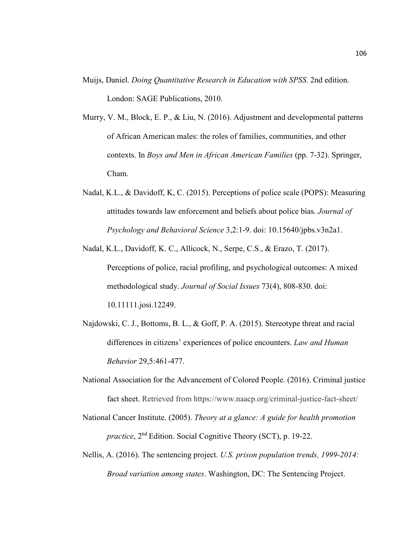- Muijs, Daniel. *Doing Quantitative Research in Education with SPSS*. 2nd edition. London: SAGE Publications, 2010.
- Murry, V. M., Block, E. P., & Liu, N. (2016). Adjustment and developmental patterns of African American males: the roles of families, communities, and other contexts. In *Boys and Men in African American Families* (pp. 7-32). Springer, Cham.
- Nadal, K.L., & Davidoff, K, C. (2015). Perceptions of police scale (POPS): Measuring attitudes towards law enforcement and beliefs about police bias. *Journal of Psychology and Behavioral Science* 3,2:1-9. doi: 10.15640/jpbs.v3n2a1.
- Nadal, K.L., Davidoff, K. C., Allicock, N., Serpe, C.S., & Erazo, T. (2017). Perceptions of police, racial profiling, and psychological outcomes: A mixed methodological study. *Journal of Social Issues* 73(4), 808-830. doi: 10.11111.josi.12249.
- Najdowski, C. J., Bottoms, B. L., & Goff, P. A. (2015). Stereotype threat and racial differences in citizens' experiences of police encounters. *Law and Human Behavior* 29,5:461-477.
- National Association for the Advancement of Colored People. (2016). Criminal justice fact sheet. Retrieved from https://www.naacp.org/criminal-justice-fact-sheet/
- National Cancer Institute. (2005). *Theory at a glance: A guide for health promotion practice*, 2nd Edition. Social Cognitive Theory (SCT), p. 19-22.
- Nellis, A. (2016). The sentencing project. *U.S. prison population trends, 1999-2014: Broad variation among states*. Washington, DC: The Sentencing Project.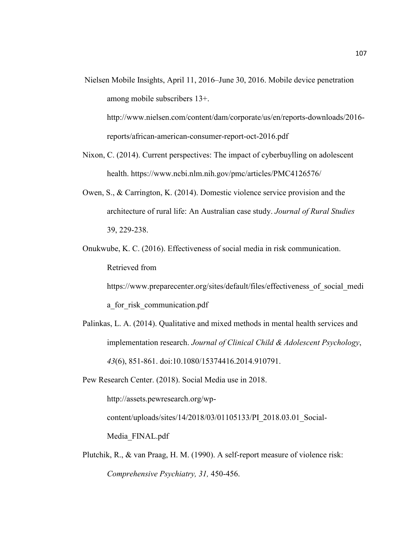Nielsen Mobile Insights, April 11, 2016–June 30, 2016. Mobile device penetration among mobile subscribers 13+.

http://www.nielsen.com/content/dam/corporate/us/en/reports-downloads/2016 reports/african-american-consumer-report-oct-2016.pdf

- Nixon, C. (2014). Current perspectives: The impact of cyberbuylling on adolescent health. https://www.ncbi.nlm.nih.gov/pmc/articles/PMC4126576/
- Owen, S., & Carrington, K. (2014). Domestic violence service provision and the architecture of rural life: An Australian case study. *Journal of Rural Studies*  39, 229-238.
- Onukwube, K. C. (2016). Effectiveness of social media in risk communication. Retrieved from

https://www.preparecenter.org/sites/default/files/effectiveness of social medi

a for risk communication.pdf

Palinkas, L. A. (2014). Qualitative and mixed methods in mental health services and implementation research. *Journal of Clinical Child & Adolescent Psychology*, *43*(6), 851-861. doi:10.1080/15374416.2014.910791.

Pew Research Center. (2018). Social Media use in 2018.

http://assets.pewresearch.org/wp-

content/uploads/sites/14/2018/03/01105133/PI\_2018.03.01\_Social-

Media\_FINAL.pdf

Plutchik, R., & van Praag, H. M. (1990). A self-report measure of violence risk: *Comprehensive Psychiatry, 31,* 450-456.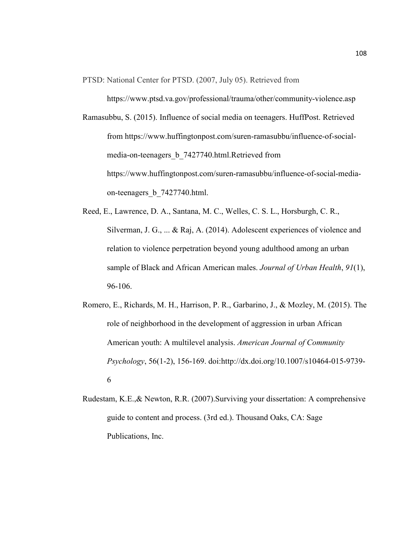PTSD: National Center for PTSD. (2007, July 05). Retrieved from

https://www.ptsd.va.gov/professional/trauma/other/community-violence.asp

- Ramasubbu, S. (2015). Influence of social media on teenagers. HuffPost. Retrieved from https://www.huffingtonpost.com/suren-ramasubbu/influence-of-socialmedia-on-teenagers\_b\_7427740.html.Retrieved from https://www.huffingtonpost.com/suren-ramasubbu/influence-of-social-mediaon-teenagers\_b\_7427740.html.
- Reed, E., Lawrence, D. A., Santana, M. C., Welles, C. S. L., Horsburgh, C. R., Silverman, J. G., ... & Raj, A. (2014). Adolescent experiences of violence and relation to violence perpetration beyond young adulthood among an urban sample of Black and African American males. *Journal of Urban Health*, *91*(1), 96-106.
- Romero, E., Richards, M. H., Harrison, P. R., Garbarino, J., & Mozley, M. (2015). The role of neighborhood in the development of aggression in urban African American youth: A multilevel analysis. *American Journal of Community Psychology*, 56(1-2), 156-169. doi:http://dx.doi.org/10.1007/s10464-015-9739- 6
- Rudestam, K.E.,& Newton, R.R. (2007).Surviving your dissertation: A comprehensive guide to content and process. (3rd ed.). Thousand Oaks, CA: Sage Publications, Inc.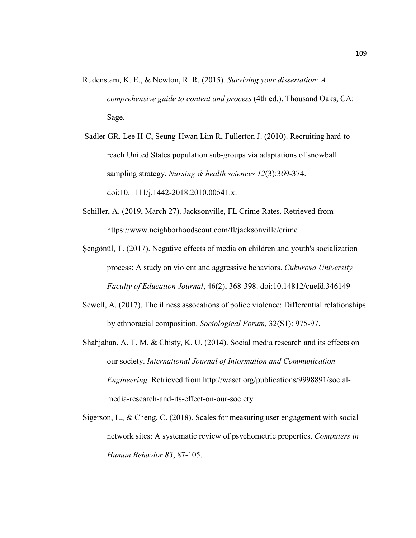- Rudenstam, K. E., & Newton, R. R. (2015). *Surviving your dissertation: A comprehensive guide to content and process* (4th ed.). Thousand Oaks, CA: Sage.
- Sadler GR, Lee H-C, Seung-Hwan Lim R, Fullerton J. (2010). Recruiting hard-toreach United States population sub-groups via adaptations of snowball sampling strategy. *Nursing & health sciences 12*(3):369-374. doi:10.1111/j.1442-2018.2010.00541.x.
- Schiller, A. (2019, March 27). Jacksonville, FL Crime Rates. Retrieved from https://www.neighborhoodscout.com/fl/jacksonville/crime
- Şengönül, T. (2017). Negative effects of media on children and youth's socialization process: A study on violent and aggressive behaviors. *Cukurova University Faculty of Education Journal*, 46(2), 368-398. doi:10.14812/cuefd.346149
- Sewell, A. (2017). The illness assocations of police violence: Differential relationships by ethnoracial composition. *Sociological Forum,* 32(S1): 975-97.
- Shahjahan, A. T. M. & Chisty, K. U. (2014). Social media research and its effects on our society. *International Journal of Information and Communication Engineering*. Retrieved from http://waset.org/publications/9998891/socialmedia-research-and-its-effect-on-our-society
- Sigerson, L., & Cheng, C. (2018). Scales for measuring user engagement with social network sites: A systematic review of psychometric properties. *Computers in Human Behavior 83*, 87-105.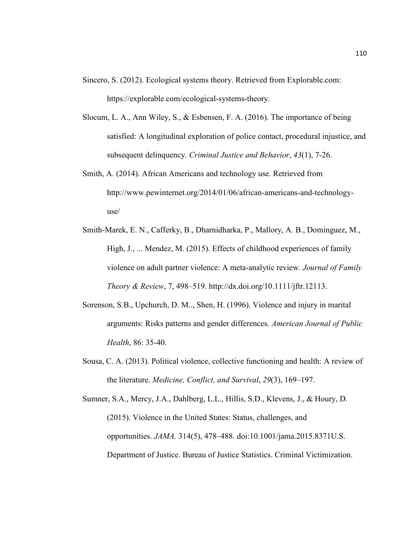- Sincero, S. (2012). Ecological systems theory. Retrieved from Explorable.com: https://explorable.com/ecological-systems-theory.
- Slocum, L. A., Ann Wiley, S., & Esbensen, F. A. (2016). The importance of being satisfied: A longitudinal exploration of police contact, procedural injustice, and subsequent delinquency. *Criminal Justice and Behavior*, *43*(1), 7-26.
- Smith, A. (2014). African Americans and technology use. Retrieved from http://www.pewinternet.org/2014/01/06/african-americans-and-technologyuse/
- Smith-Marek, E. N., Cafferky, B., Dharnidharka, P., Mallory, A. B., Dominguez, M., High, J., ... Mendez, M. (2015). Effects of childhood experiences of family violence on adult partner violence: A meta-analytic review. *Journal of Family Theory & Review*, 7, 498–519. http://dx.doi.org/10.1111/jftr.12113.
- Sorenson, S.B., Upchurch, D. M.., Shen, H. (1996). Violence and injury in marital arguments: Risks patterns and gender differences. *American Journal of Public Health*, 86: 35-40.
- Sousa, C. A. (2013). Political violence, collective functioning and health: A review of the literature. *Medicine, Conflict, and Survival*, *29*(3), 169–197.
- Sumner, S.A., Mercy, J.A., Dahlberg, L.L., Hillis, S.D., Klevens, J., & Houry, D. (2015). Violence in the United States: Status, challenges, and opportunities. *JAMA.* 314(5), 478–488. doi:10.1001/jama.2015.8371U.S. Department of Justice. Bureau of Justice Statistics. Criminal Victimization.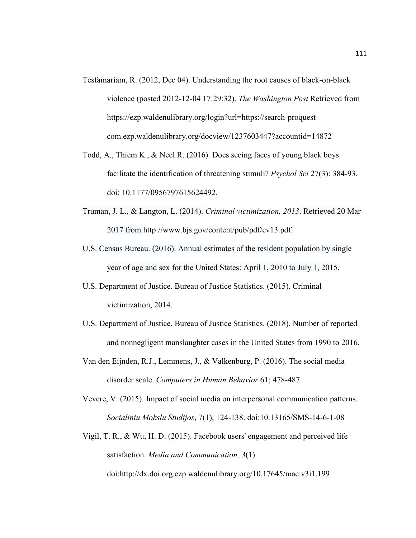- Tesfamariam, R. (2012, Dec 04). Understanding the root causes of black-on-black violence (posted 2012-12-04 17:29:32). *The Washington Post* Retrieved from https://ezp.waldenulibrary.org/login?url=https://search-proquestcom.ezp.waldenulibrary.org/docview/1237603447?accountid=14872
- Todd, A., Thiem K., & Neel R. (2016). Does seeing faces of young black boys facilitate the identification of threatening stimuli? *Psychol Sci* 27(3): 384-93. doi: 10.1177/0956797615624492.
- Truman, J. L., & Langton, L. (2014). *Criminal victimization, 2013*. Retrieved 20 Mar 2017 from http://www.bjs.gov/content/pub/pdf/cv13.pdf.
- U.S. Census Bureau. (2016). Annual estimates of the resident population by single year of age and sex for the United States: April 1, 2010 to July 1, 2015.
- U.S. Department of Justice. Bureau of Justice Statistics. (2015). Criminal victimization, 2014.
- U.S. Department of Justice, Bureau of Justice Statistics. (2018). Number of reported and nonnegligent manslaughter cases in the United States from 1990 to 2016.
- Van den Eijnden, R.J., Lemmens, J., & Valkenburg, P. (2016). The social media disorder scale. *Computers in Human Behavior* 61; 478-487.
- Vevere, V. (2015). Impact of social media on interpersonal communication patterns. *Socialiniu Mokslu Studijos*, 7(1), 124-138. doi:10.13165/SMS-14-6-1-08
- Vigil, T. R., & Wu, H. D. (2015). Facebook users' engagement and perceived life satisfaction. *Media and Communication, 3*(1) doi:http://dx.doi.org.ezp.waldenulibrary.org/10.17645/mac.v3i1.199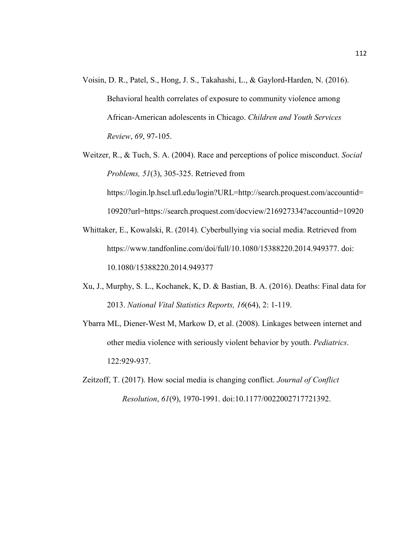- Voisin, D. R., Patel, S., Hong, J. S., Takahashi, L., & Gaylord-Harden, N. (2016). Behavioral health correlates of exposure to community violence among African-American adolescents in Chicago. *Children and Youth Services Review*, *69*, 97-105.
- Weitzer, R., & Tuch, S. A. (2004). Race and perceptions of police misconduct. *Social Problems, 51*(3), 305-325. Retrieved from https://login.lp.hscl.ufl.edu/login?URL=http://search.proquest.com/accountid= 10920?url=https://search.proquest.com/docview/216927334?accountid=10920
- Whittaker, E., Kowalski, R. (2014). Cyberbullying via social media. Retrieved from https://www.tandfonline.com/doi/full/10.1080/15388220.2014.949377. doi: 10.1080/15388220.2014.949377
- Xu, J., Murphy, S. L., Kochanek, K, D. & Bastian, B. A. (2016). Deaths: Final data for 2013. *National Vital Statistics Reports, 16*(64), 2: 1-119.
- Ybarra ML, Diener-West M, Markow D, et al. (2008). Linkages between internet and other media violence with seriously violent behavior by youth. *Pediatrics*. 122:929-937.
- Zeitzoff, T. (2017). How social media is changing conflict. *Journal of Conflict Resolution*, *61*(9), 1970-1991. doi:10.1177/0022002717721392.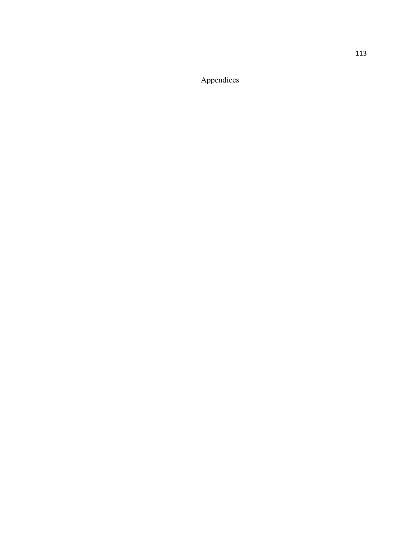Appendices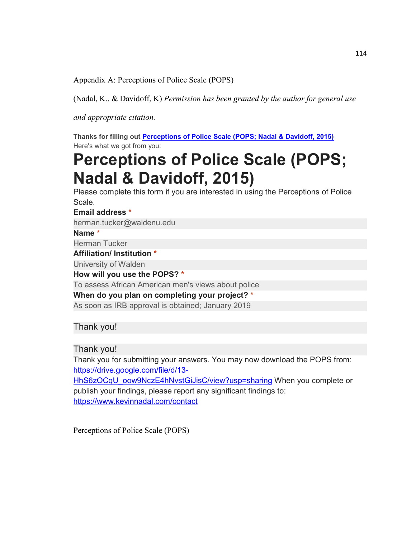Appendix A: Perceptions of Police Scale (POPS)

(Nadal, K., & Davidoff, K) *Permission has been granted by the author for general use* 

*and appropriate citation.* 

**Thanks for filling out Perceptions of Police Scale (POPS; Nadal & Davidoff, 2015)** Here's what we got from you:

# **Perceptions of Police Scale (POPS; Nadal & Davidoff, 2015)**

Please complete this form if you are interested in using the Perceptions of Police Scale.

**Email address \***

herman.tucker@waldenu.edu

**Name \***

Herman Tucker

**Affiliation/ Institution \***

University of Walden

**How will you use the POPS? \***

To assess African American men's views about police

**When do you plan on completing your project? \***

As soon as IRB approval is obtained; January 2019

Thank you!

Thank you!

Thank you for submitting your answers. You may now download the POPS from: https://drive.google.com/file/d/13- HhS6zOCqU\_oow9NczE4hNvstGiJisC/view?usp=sharing When you complete or publish your findings, please report any significant findings to:

https://www.kevinnadal.com/contact

Perceptions of Police Scale (POPS)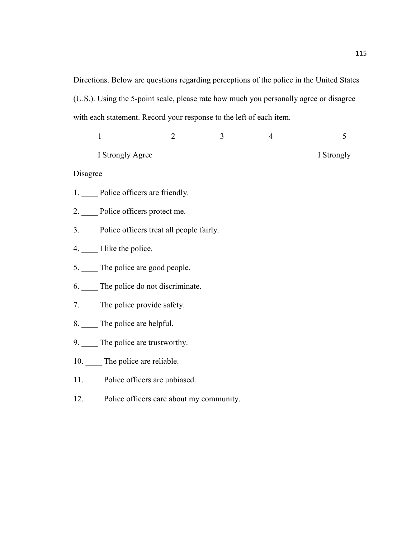Directions. Below are questions regarding perceptions of the police in the United States (U.S.). Using the 5-point scale, please rate how much you personally agree or disagree with each statement. Record your response to the left of each item.

|          | $\mathbf{1}$                                 | $\overline{2}$ | 3 | $\overline{4}$ | 5          |  |  |
|----------|----------------------------------------------|----------------|---|----------------|------------|--|--|
|          | I Strongly Agree                             |                |   |                | I Strongly |  |  |
| Disagree |                                              |                |   |                |            |  |  |
|          | 1. Police officers are friendly.             |                |   |                |            |  |  |
|          | 2. Police officers protect me.               |                |   |                |            |  |  |
|          | 3. Police officers treat all people fairly.  |                |   |                |            |  |  |
|          | $4.$ I like the police.                      |                |   |                |            |  |  |
|          | 5. The police are good people.               |                |   |                |            |  |  |
|          | 6. The police do not discriminate.           |                |   |                |            |  |  |
|          | 7. The police provide safety.                |                |   |                |            |  |  |
|          | 8. The police are helpful.                   |                |   |                |            |  |  |
|          | 9. The police are trustworthy.               |                |   |                |            |  |  |
|          | 10. The police are reliable.                 |                |   |                |            |  |  |
|          | 11. Police officers are unbiased.            |                |   |                |            |  |  |
|          | 12. Police officers care about my community. |                |   |                |            |  |  |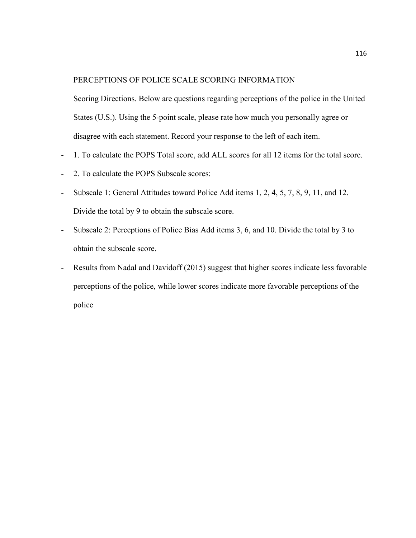#### PERCEPTIONS OF POLICE SCALE SCORING INFORMATION

Scoring Directions. Below are questions regarding perceptions of the police in the United States (U.S.). Using the 5-point scale, please rate how much you personally agree or disagree with each statement. Record your response to the left of each item.

- 1. To calculate the POPS Total score, add ALL scores for all 12 items for the total score.
- 2. To calculate the POPS Subscale scores:
- Subscale 1: General Attitudes toward Police Add items 1, 2, 4, 5, 7, 8, 9, 11, and 12. Divide the total by 9 to obtain the subscale score.
- Subscale 2: Perceptions of Police Bias Add items 3, 6, and 10. Divide the total by 3 to obtain the subscale score.
- Results from Nadal and Davidoff (2015) suggest that higher scores indicate less favorable perceptions of the police, while lower scores indicate more favorable perceptions of the police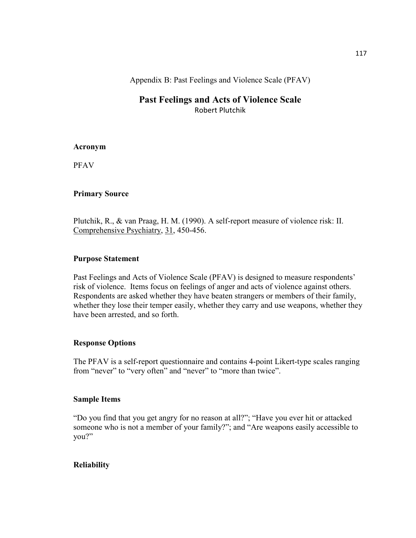Appendix B: Past Feelings and Violence Scale (PFAV)

# **Past Feelings and Acts of Violence Scale**  Robert Plutchik

#### **Acronym**

PFAV

## **Primary Source**

Plutchik, R., & van Praag, H. M. (1990). A self-report measure of violence risk: II. Comprehensive Psychiatry, 31, 450-456.

#### **Purpose Statement**

Past Feelings and Acts of Violence Scale (PFAV) is designed to measure respondents' risk of violence. Items focus on feelings of anger and acts of violence against others. Respondents are asked whether they have beaten strangers or members of their family, whether they lose their temper easily, whether they carry and use weapons, whether they have been arrested, and so forth.

## **Response Options**

The PFAV is a self-report questionnaire and contains 4-point Likert-type scales ranging from "never" to "very often" and "never" to "more than twice".

#### **Sample Items**

"Do you find that you get angry for no reason at all?"; "Have you ever hit or attacked someone who is not a member of your family?"; and "Are weapons easily accessible to you?"

## **Reliability**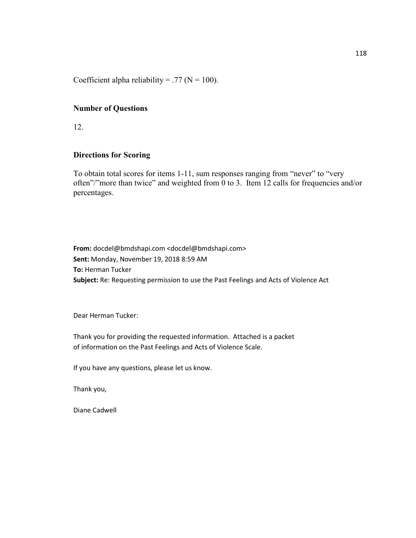Coefficient alpha reliability = .77 ( $N = 100$ ).

## **Number of Questions**

12.

#### **Directions for Scoring**

To obtain total scores for items 1-11, sum responses ranging from "never" to "very often"/"more than twice" and weighted from 0 to 3. Item 12 calls for frequencies and/or percentages.

**From:** docdel@bmdshapi.com <docdel@bmdshapi.com> **Sent:** Monday, November 19, 2018 8:59 AM **To:** Herman Tucker **Subject:** Re: Requesting permission to use the Past Feelings and Acts of Violence Act

Dear Herman Tucker:

Thank you for providing the requested information. Attached is a packet of information on the Past Feelings and Acts of Violence Scale.

If you have any questions, please let us know.

Thank you,

Diane Cadwell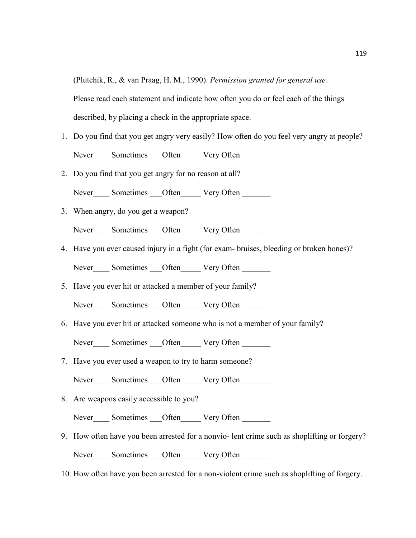(Plutchik, R., & van Praag, H. M., 1990). *Permission granted for general use.*

Please read each statement and indicate how often you do or feel each of the things

described, by placing a check in the appropriate space.

- 1. Do you find that you get angry very easily? How often do you feel very angry at people? Never\_\_\_\_\_ Sometimes \_\_\_\_Often \_\_\_\_\_\_\_ Very Often
- 2. Do you find that you get angry for no reason at all?

Never\_\_\_\_\_ Sometimes \_\_\_\_Often \_\_\_\_\_\_ Very Often \_

3. When angry, do you get a weapon?

Never Sometimes Often Very Often

- 4. Have you ever caused injury in a fight (for exam- bruises, bleeding or broken bones)? Never\_\_\_\_\_ Sometimes \_\_\_Often \_\_\_\_\_\_ Very Often \_\_\_\_\_\_\_
- 5. Have you ever hit or attacked a member of your family?

Never Sometimes Often Very Often

6. Have you ever hit or attacked someone who is not a member of your family?

Never Sometimes Often Very Often

7. Have you ever used a weapon to try to harm someone?

Never\_\_\_\_\_ Sometimes \_\_\_Often \_\_\_\_\_\_ Very Often \_\_\_\_\_\_\_

8. Are weapons easily accessible to you?

Never\_\_\_\_\_ Sometimes \_\_\_Often \_\_\_\_\_\_ Very Often \_\_\_\_\_\_\_

- 9. How often have you been arrested for a nonvio- lent crime such as shoplifting or forgery? Never\_\_\_\_\_ Sometimes \_\_\_Often \_\_\_\_\_\_ Very Often \_\_\_\_\_\_\_
- 10. How often have you been arrested for a non-violent crime such as shoplifting of forgery.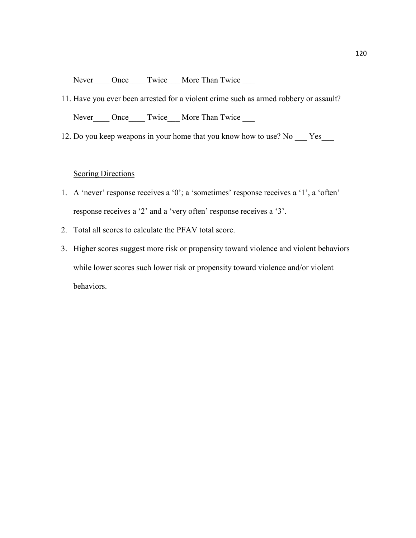Never\_\_\_\_ Once\_\_\_\_ Twice\_\_\_ More Than Twice \_\_\_

- 11. Have you ever been arrested for a violent crime such as armed robbery or assault? Never\_\_\_\_ Once\_\_\_\_ Twice\_\_\_ More Than Twice \_\_\_
- 12. Do you keep weapons in your home that you know how to use? No \_\_\_ Yes\_\_\_

# **Scoring Directions**

- 1. A 'never' response receives a '0'; a 'sometimes' response receives a '1', a 'often' response receives a '2' and a 'very often' response receives a '3'.
- 2. Total all scores to calculate the PFAV total score.
- 3. Higher scores suggest more risk or propensity toward violence and violent behaviors while lower scores such lower risk or propensity toward violence and/or violent behaviors.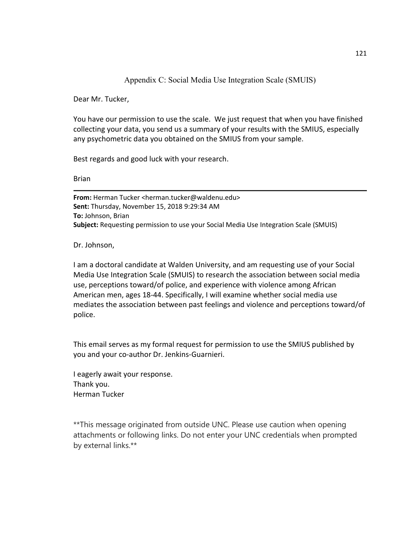# Appendix C: Social Media Use Integration Scale (SMUIS)

Dear Mr. Tucker,

You have our permission to use the scale. We just request that when you have finished collecting your data, you send us a summary of your results with the SMIUS, especially any psychometric data you obtained on the SMIUS from your sample.

Best regards and good luck with your research.

Brian

**From:** Herman Tucker <herman.tucker@waldenu.edu> **Sent:** Thursday, November 15, 2018 9:29:34 AM **To:** Johnson, Brian **Subject:** Requesting permission to use your Social Media Use Integration Scale (SMUIS)

Dr. Johnson,

I am a doctoral candidate at Walden University, and am requesting use of your Social Media Use Integration Scale (SMUIS) to research the association between social media use, perceptions toward/of police, and experience with violence among African American men, ages 18-44. Specifically, I will examine whether social media use mediates the association between past feelings and violence and perceptions toward/of police.

This email serves as my formal request for permission to use the SMIUS published by you and your co-author Dr. Jenkins-Guarnieri.

I eagerly await your response. Thank you. Herman Tucker

\*\*This message originated from outside UNC. Please use caution when opening attachments or following links. Do not enter your UNC credentials when prompted by external links.\*\*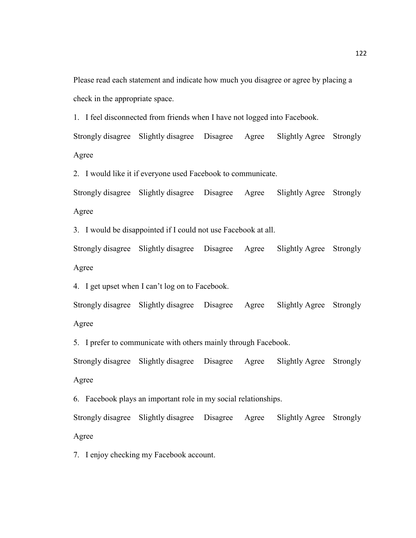Please read each statement and indicate how much you disagree or agree by placing a check in the appropriate space.

1. I feel disconnected from friends when I have not logged into Facebook.

Strongly disagree Slightly disagree Disagree Agree Slightly Agree Strongly Agree

2. I would like it if everyone used Facebook to communicate.

Strongly disagree Slightly disagree Disagree Agree Slightly Agree Strongly Agree

3. I would be disappointed if I could not use Facebook at all.

Strongly disagree Slightly disagree Disagree Agree Slightly Agree Strongly Agree

4. I get upset when I can't log on to Facebook.

Strongly disagree Slightly disagree Disagree Agree Slightly Agree Strongly Agree

5. I prefer to communicate with others mainly through Facebook.

Strongly disagree Slightly disagree Disagree Agree Slightly Agree Strongly Agree

6. Facebook plays an important role in my social relationships.

Strongly disagree Slightly disagree Disagree Agree Slightly Agree Strongly Agree

7. I enjoy checking my Facebook account.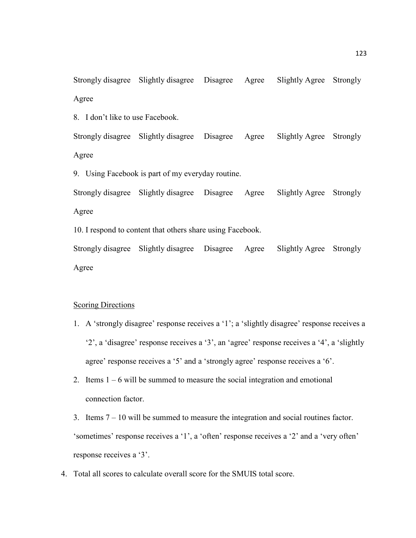Strongly disagree Slightly disagree Disagree Agree Slightly Agree Strongly Agree

8. I don't like to use Facebook.

Strongly disagree Slightly disagree Disagree Agree Slightly Agree Strongly Agree

9. Using Facebook is part of my everyday routine.

Strongly disagree Slightly disagree Disagree Agree Slightly Agree Strongly Agree

10. I respond to content that others share using Facebook.

Strongly disagree Slightly disagree Disagree Agree Slightly Agree Strongly Agree

#### **Scoring Directions**

- 1. A 'strongly disagree' response receives a '1'; a 'slightly disagree' response receives a '2', a 'disagree' response receives a '3', an 'agree' response receives a '4', a 'slightly agree' response receives a '5' and a 'strongly agree' response receives a '6'.
- 2. Items 1 6 will be summed to measure the social integration and emotional connection factor.
- 3. Items 7 10 will be summed to measure the integration and social routines factor. 'sometimes' response receives a '1', a 'often' response receives a '2' and a 'very often' response receives a '3'.
- 4. Total all scores to calculate overall score for the SMUIS total score.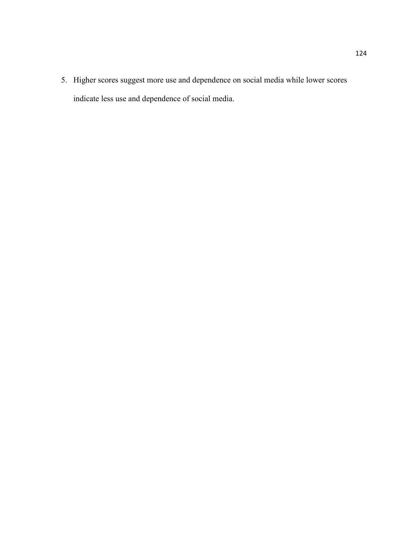5. Higher scores suggest more use and dependence on social media while lower scores indicate less use and dependence of social media.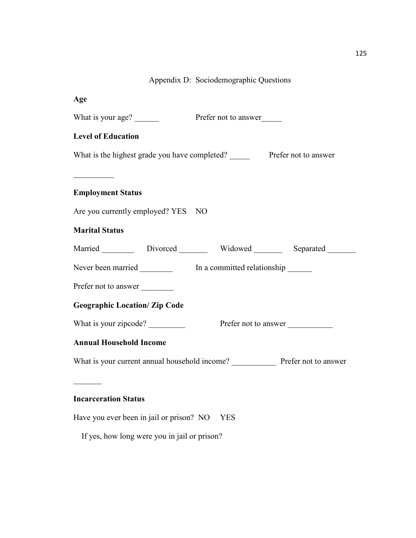# Appendix D: Sociodemographic Questions

| Age                                                                                                                                                                                                                                                                                                                                                                                                                                                                                                                                                    |                                                                    |  |  |
|--------------------------------------------------------------------------------------------------------------------------------------------------------------------------------------------------------------------------------------------------------------------------------------------------------------------------------------------------------------------------------------------------------------------------------------------------------------------------------------------------------------------------------------------------------|--------------------------------------------------------------------|--|--|
| What is your age?                                                                                                                                                                                                                                                                                                                                                                                                                                                                                                                                      | Prefer not to answer                                               |  |  |
| <b>Level of Education</b>                                                                                                                                                                                                                                                                                                                                                                                                                                                                                                                              |                                                                    |  |  |
|                                                                                                                                                                                                                                                                                                                                                                                                                                                                                                                                                        | What is the highest grade you have completed? Prefer not to answer |  |  |
| $\begin{array}{l} \begin{array}{c} \begin{array}{c} \begin{array}{c} \end{array} \\ \begin{array}{c} \end{array} \end{array} \end{array} \end{array} \end{array} \end{array} \end{array} \begin{array}{c} \begin{array}{c} \begin{array}{c} \end{array} \\ \begin{array}{c} \end{array} \end{array} \end{array} \begin{array}{c} \begin{array}{c} \begin{array}{c} \end{array} \\ \begin{array}{c} \end{array} \end{array} \end{array} \end{array} \begin{array}{c} \begin{array}{c} \begin{array}{c} \end{array} \end{array} \end{array} \end{array}$ |                                                                    |  |  |
| <b>Employment Status</b>                                                                                                                                                                                                                                                                                                                                                                                                                                                                                                                               |                                                                    |  |  |
| Are you currently employed? YES NO                                                                                                                                                                                                                                                                                                                                                                                                                                                                                                                     |                                                                    |  |  |
| <b>Marital Status</b>                                                                                                                                                                                                                                                                                                                                                                                                                                                                                                                                  |                                                                    |  |  |
|                                                                                                                                                                                                                                                                                                                                                                                                                                                                                                                                                        | Married Divorced Widowed Separated                                 |  |  |
|                                                                                                                                                                                                                                                                                                                                                                                                                                                                                                                                                        |                                                                    |  |  |
| Prefer not to answer                                                                                                                                                                                                                                                                                                                                                                                                                                                                                                                                   |                                                                    |  |  |
| <b>Geographic Location/ Zip Code</b>                                                                                                                                                                                                                                                                                                                                                                                                                                                                                                                   |                                                                    |  |  |
| What is your zipcode?<br>Prefer not to answer                                                                                                                                                                                                                                                                                                                                                                                                                                                                                                          |                                                                    |  |  |
| <b>Annual Household Income</b>                                                                                                                                                                                                                                                                                                                                                                                                                                                                                                                         |                                                                    |  |  |
|                                                                                                                                                                                                                                                                                                                                                                                                                                                                                                                                                        |                                                                    |  |  |
|                                                                                                                                                                                                                                                                                                                                                                                                                                                                                                                                                        |                                                                    |  |  |
| <b>Incarceration Status</b>                                                                                                                                                                                                                                                                                                                                                                                                                                                                                                                            |                                                                    |  |  |
| Have you ever been in jail or prison? NO YES                                                                                                                                                                                                                                                                                                                                                                                                                                                                                                           |                                                                    |  |  |

If yes, how long were you in jail or prison?